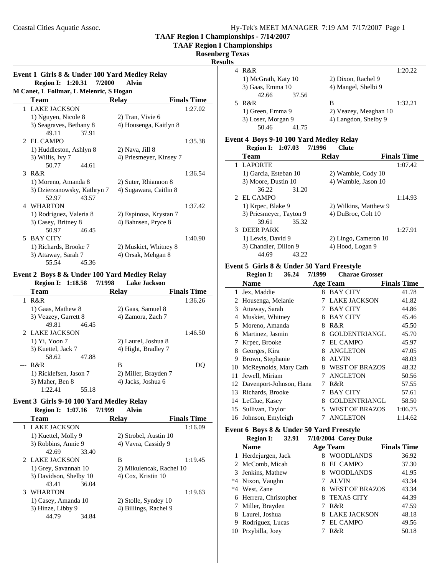**TAAF Region I Championships - 7/14/2007**

**TAAF Region I Championships**

### **Rosenberg Texas**

### **Results**

 $\overline{\phantom{0}}$ 

 $\overline{a}$ 

# **Event 1 Girls 8 & Under 100 Yard Medley Relay Region I: 1:20.31 7/2000 Alvin**

| M Canet, L Follmar, L Melenric, S Hogan |                         |                    |  |  |  |  |
|-----------------------------------------|-------------------------|--------------------|--|--|--|--|
| Team                                    | Relay                   | <b>Finals Time</b> |  |  |  |  |
| 1 LAKE JACKSON                          |                         | 1:27.02            |  |  |  |  |
| 1) Nguyen, Nicole 8                     | 2) Tran, Vivie 6        |                    |  |  |  |  |
| 3) Seagraves, Bethany 8                 | 4) Housenga, Kaitlyn 8  |                    |  |  |  |  |
| 49.11<br>37.91                          |                         |                    |  |  |  |  |
| 2 EL CAMPO                              |                         | 1:35.38            |  |  |  |  |
| 1) Huddleston, Ashlyn 8                 | 2) Nava, Jill 8         |                    |  |  |  |  |
| 3) Willis, Ivy 7                        | 4) Priesmeyer, Kinsey 7 |                    |  |  |  |  |
| 50.77<br>44.61                          |                         |                    |  |  |  |  |
| 3 R&R                                   |                         | 1:36.54            |  |  |  |  |
| 1) Moreno, Amanda 8                     | 2) Suter, Rhiannon 8    |                    |  |  |  |  |
| 3) Dzierzanowsky, Kathryn 7             | 4) Sugawara, Caitlin 8  |                    |  |  |  |  |
| 43.57<br>52.97                          |                         |                    |  |  |  |  |
| 4 WHARTON                               |                         | 1:37.42            |  |  |  |  |
| 1) Rodriguez, Valeria 8                 | 2) Espinosa, Krystan 7  |                    |  |  |  |  |
| 3) Casey, Britney 8                     | 4) Bahnsen, Pryce 8     |                    |  |  |  |  |
| 46.45<br>50.97                          |                         |                    |  |  |  |  |
| 5 BAY CITY                              |                         | 1:40.90            |  |  |  |  |
| 1) Richards, Brooke 7                   | 2) Muskiet, Whitney 8   |                    |  |  |  |  |
| 3) Attaway, Sarah 7                     | 4) Orsak, Mehgan 8      |                    |  |  |  |  |
| 55.54<br>45.36                          |                         |                    |  |  |  |  |

## **Event 2 Boys 8 & Under 100 Yard Medley Relay**

**Region I:** 1:18.58 7/1998 **Lake Jackson Team Relay Finals Time**<br>R&R 1:36.26 1 R&R 1) Gaas, Mathew 8 2) Gaas, Samuel 8 3) Veazey, Garrett 8 4) Zamora, Zach 7 49.81 46.45 2 1:46.50 LAKE JACKSON 1) Yi, Yoon 7 2) Laurel, Joshua 8 3) Kuettel, Jack 7 4) Hight, Bradley 7 58.62 47.88 -- R&R B DQ 1) Ricklefsen, Jason 7 2) Miller, Brayden 7 3) Maher, Ben 8 4) Jacks, Joshua 6 1:22.41 55.18

# **Event 3 Girls 9-10 100 Yard Medley Relay**

| <b>Region I: 1:07.16</b> | 7/1999<br>Alvin          |                    |
|--------------------------|--------------------------|--------------------|
| Team                     | Relav                    | <b>Finals Time</b> |
| 1 LAKE JACKSON           |                          | 1:16.09            |
| 1) Kuettel, Molly 9      | 2) Strobel, Austin 10    |                    |
| 3) Robbins, Annie 9      | 4) Vavra, Cassidy 9      |                    |
| 33.40<br>42.69           |                          |                    |
| 2 LAKE JACKSON           | B                        | 1:19.45            |
| 1) Grey, Savannah 10     | 2) Mikulencak, Rachel 10 |                    |
| 3) Davidson, Shelby 10   | 4) Cox, Kristin 10       |                    |
| 36.04<br>43.41           |                          |                    |
| <b>WHARTON</b><br>3      |                          | 1:19.63            |
| 1) Casey, Amanda 10      | 2) Stolle, Syndey 10     |                    |
| 3) Hinze, Libby 9        | 4) Billings, Rachel 9    |                    |
| 44.79<br>34.84           |                          |                    |
|                          |                          |                    |

| 4 R&R               |                       | 1:20.22 |
|---------------------|-----------------------|---------|
| 1) McGrath, Katy 10 | 2) Dixon, Rachel 9    |         |
| 3) Gaas, Emma 10    | 4) Mangel, Shelbi 9   |         |
| 42.66<br>37.56      |                       |         |
| 5 R&R               | В                     | 1:32.21 |
| 1) Green, Emma 9    | 2) Veazey, Meaghan 10 |         |
| 3) Loser, Morgan 9  | 4) Langdon, Shelby 9  |         |
| 50.46<br>4175       |                       |         |

### **Event 4 Boys 9-10 100 Yard Medley Relay**

| <b>Region I: 1:07.03</b> | 7/1996<br>Clute       |                    |
|--------------------------|-----------------------|--------------------|
| Team                     | <b>Relay</b>          | <b>Finals Time</b> |
| 1 LAPORTE                |                       | 1:07.42            |
| 1) Garcia, Esteban 10    | 2) Wamble, Cody 10    |                    |
| 3) Moore, Dustin 10      | 4) Wamble, Jason 10   |                    |
| 31.20<br>36.22           |                       |                    |
| 2 EL CAMPO               |                       | 1:14.93            |
| 1) Krpec, Blake 9        | 2) Wilkins, Matthew 9 |                    |
| 3) Priesmeyer, Tayton 9  | 4) DuBroc, Colt 10    |                    |
| 35.32<br>39.61           |                       |                    |
| DEER PARK<br>3           |                       | 1:27.91            |
| 1) Lewis, David 9        | 2) Lingo, Cameron 10  |                    |
| 3) Chandler, Dillon 9    | 4) Hood, Logan 9      |                    |
| 44.69<br>43.22           |                       |                    |

## **Event 5 Girls 8 & Under 50 Yard Freestyle**

|    | <b>Region I:</b><br>36.24 | 7/1999 | <b>Charae Grosser</b> |                    |
|----|---------------------------|--------|-----------------------|--------------------|
|    | Name                      |        | <b>Age Team</b>       | <b>Finals Time</b> |
| 1  | Jex, Maddie               | 8      | <b>BAY CITY</b>       | 41.78              |
| 2  | Housenga, Melanie         | 7      | <b>LAKE JACKSON</b>   | 41.82              |
| 3  | Attaway, Sarah            | 7      | <b>BAY CITY</b>       | 44.86              |
| 4  | Muskiet, Whitney          | 8      | <b>BAY CITY</b>       | 45.46              |
| 5  | Moreno, Amanda            | 8      | R&R                   | 45.50              |
| 6  | Martinez, Jasmin          | 8      | <b>GOLDENTRIANGL</b>  | 45.70              |
| 7  | Krpec, Brooke             | 7      | EL CAMPO              | 45.97              |
| 8  | Georges, Kira             | 8      | <b>ANGLETON</b>       | 47.05              |
| 9  | Brown, Stephanie          | 8      | <b>ALVIN</b>          | 48.03              |
| 10 | McReynolds, Mary Cath     | 8      | <b>WEST OF BRAZOS</b> | 48.32              |
| 11 | Jewell, Miriam            | 7      | <b>ANGLETON</b>       | 50.56              |
| 12 | Davenport-Johnson, Hana   | 7      | R&R                   | 57.55              |
| 13 | Richards, Brooke          | 7      | <b>BAY CITY</b>       | 57.61              |
| 14 | LeGlue, Kasey             | 8      | <b>GOLDENTRIANGL</b>  | 58.50              |
| 15 | Sullivan, Taylor          | 5      | <b>WEST OF BRAZOS</b> | 1:06.75            |
|    | 16 Johnson, Emyleigh      | 7      | <b>ANGLETON</b>       | 1:14.62            |

#### **Event 6 Boys 8 & Under 50 Yard Freestyle**<br> **Region L. 22.01 7/10/2004 Congri**  $R = 32.01 - 7/10/2004$  C

| <b>Region 1:</b><br>32.YI | 7/10/2004 Corey Duke       |                    |
|---------------------------|----------------------------|--------------------|
| <b>Name</b>               | Age Team                   | <b>Finals Time</b> |
| 1 Herdejurgen, Jack       | <b>WOODLANDS</b><br>8      | 36.92              |
| 2 McComb, Micah           | <b>EL CAMPO</b><br>8       | 37.30              |
| 3 Jenkins, Mathew         | 8 WOODLANDS                | 41.95              |
| *4 Nixon, Vaughn          | ALVIN                      | 43.34              |
| *4 West, Zane             | <b>WEST OF BRAZOS</b><br>8 | 43.34              |
| 6 Herrera, Christopher    | 8 TEXAS CITY               | 44.39              |
| 7 Miller, Brayden         | R&R                        | 47.59              |
| 8 Laurel, Joshua          | 8 LAKE JACKSON             | 48.18              |
| 9 Rodriguez, Lucas        | <b>EL CAMPO</b>            | 49.56              |
| 10 Przybilla, Joey        | R&R                        | 50.18              |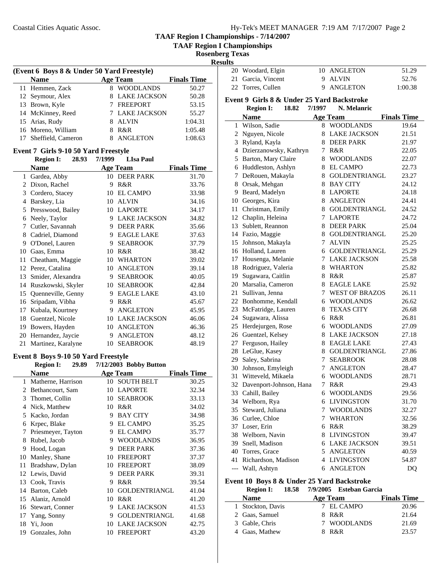**TAAF Region I Championships**

**Rosenberg Texas**

**Results**

| (Event 6 Boys 8 & Under 50 Yard Freestyle) |                       |  |                  |                    |  |
|--------------------------------------------|-----------------------|--|------------------|--------------------|--|
|                                            | <b>Name</b>           |  | <b>Age Team</b>  | <b>Finals Time</b> |  |
|                                            | 11 Hemmen, Zack       |  | <b>WOODLANDS</b> | 50.27              |  |
|                                            | 12 Seymour, Alex      |  | 8 LAKE JACKSON   | 50.28              |  |
|                                            | 13 Brown, Kyle        |  | 7 FREEPORT       | 53.15              |  |
|                                            | 14 McKinney, Reed     |  | 7 LAKE JACKSON   | 55.27              |  |
|                                            | 15 Arias, Rudy        |  | <b>ALVIN</b>     | 1:04.31            |  |
|                                            | 16 Moreno, William    |  | R&R              | 1:05.48            |  |
|                                            | 17 Sheffield, Cameron |  | <b>ANGLETON</b>  | 1:08.63            |  |

### **Event 7 Girls 9-10 50 Yard Freestyle**

|    | <b>Region I:</b><br>28.93 | 7/1999 | <b>LIsa Paul</b>    |                    |
|----|---------------------------|--------|---------------------|--------------------|
|    | Name                      |        | <b>Age Team</b>     | <b>Finals Time</b> |
| 1  | Gardea, Abby              | 10     | <b>DEER PARK</b>    | 31.70              |
| 2  | Dixon, Rachel             | 9      | R&R                 | 33.76              |
| 3  | Cordero, Stacey           | 10     | <b>EL CAMPO</b>     | 33.98              |
| 4  | Barskey, Lia              | 10     | <b>ALVIN</b>        | 34.16              |
| 5  | Presswood, Bailey         | 10     | <b>LAPORTE</b>      | 34.17              |
| 6  | Neely, Taylor             | 9      | <b>LAKE JACKSON</b> | 34.82              |
| 7  | Cutler, Savannah          | 9      | <b>DEER PARK</b>    | 35.66              |
| 8  | Cadriel, Diamond          | 9      | <b>EAGLE LAKE</b>   | 37.63              |
| 9  | O'Donel, Lauren           | 9      | <b>SEABROOK</b>     | 37.79              |
| 10 | Gaas, Emma                | 10     | R&R                 | 38.42              |
| 11 | Cheatham, Maggie          | 10     | WHARTON             | 39.02              |
| 12 | Perez, Catalina           | 10     | <b>ANGLETON</b>     | 39.14              |
| 13 | Smider, Alexandra         | 9      | <b>SEABROOK</b>     | 40.05              |
| 14 | Ruszkowski, Skyler        | 10     | <b>SEABROOK</b>     | 42.84              |
| 15 | Quenneville, Genny        | 9      | <b>EAGLE LAKE</b>   | 43.10              |
| 16 | Sripadam, Vibha           | 9      | R&R                 | 45.67              |
| 17 | Kubala, Kourtney          | 9      | <b>ANGLETON</b>     | 45.95              |
| 18 | Guentzel, Nicole          | 10     | <b>LAKE JACKSON</b> | 46.06              |
| 19 | Bowers, Hayden            | 10     | <b>ANGLETON</b>     | 46.36              |
| 20 | Hernandez, Jaycie         | 9      | <b>ANGLETON</b>     | 48.12              |
| 21 | Martinez, Karalyne        | 10     | <b>SEABROOK</b>     | 48.19              |

# **Event 8 Boys 9-10 50 Yard Freestyle**<br>**Bogion L. 20 80 7/12/2003** Bo

| 2008 - 2010 - 2010 - 2010 - 2010 - 2010 - 2010 - 2010 - 2010 - 2010 - 2010 - 2010 - 2010 - 2010 - 20 |                           |    |                        |                    |  |
|------------------------------------------------------------------------------------------------------|---------------------------|----|------------------------|--------------------|--|
|                                                                                                      | 29.89<br><b>Region I:</b> |    | 7/12/2003 Bobby Button |                    |  |
|                                                                                                      | Name                      |    | <b>Age Team</b>        | <b>Finals Time</b> |  |
| 1                                                                                                    | Matherne, Harrison        |    | 10 SOUTH BELT          | 30.25              |  |
| $\mathcal{D}_{\cdot}$                                                                                | Bethancourt, Sam          | 10 | <b>LAPORTE</b>         | 32.34              |  |
| 3                                                                                                    | Thomet, Collin            | 10 | <b>SEABROOK</b>        | 33.13              |  |
| 4                                                                                                    | Nick, Matthew             | 10 | R&R                    | 34.02              |  |
| 5                                                                                                    | Kacko, Jordan             | 9  | <b>BAY CITY</b>        | 34.98              |  |
| 6                                                                                                    | Krpec, Blake              | 9  | <b>EL CAMPO</b>        | 35.25              |  |
| 7                                                                                                    | Priesmeyer, Tayton        | 9  | <b>EL CAMPO</b>        | 35.77              |  |
| 8                                                                                                    | Rubel, Jacob              | 9  | <b>WOODLANDS</b>       | 36.95              |  |
| 9                                                                                                    | Hood, Logan               | 9  | <b>DEER PARK</b>       | 37.36              |  |
| 10                                                                                                   | Manley, Shane             | 10 | <b>FREEPORT</b>        | 37.37              |  |
| 11                                                                                                   | Bradshaw, Dylan           | 10 | <b>FREEPORT</b>        | 38.09              |  |
| 12                                                                                                   | Lewis, David              | 9  | <b>DEER PARK</b>       | 39.31              |  |
| 13                                                                                                   | Cook, Travis              | 9  | R&R                    | 39.54              |  |
| 14                                                                                                   | Barton, Caleb             | 10 | <b>GOLDENTRIANGL</b>   | 41.04              |  |
| 15                                                                                                   | Alaniz, Arnold            | 10 | R&R                    | 41.20              |  |
| 16                                                                                                   | Stewart, Conner           | 9  | <b>LAKE JACKSON</b>    | 41.53              |  |
| 17                                                                                                   | Yang, Sonny               | 9  | <b>GOLDENTRIANGL</b>   | 41.68              |  |
| 18                                                                                                   | Yi, Joon                  | 10 | <b>LAKE JACKSON</b>    | 42.75              |  |
| 19                                                                                                   | Gonzales, John            | 10 | <b>FREEPORT</b>        | 43.20              |  |
|                                                                                                      |                           |    |                        |                    |  |

| w |                    |             |         |
|---|--------------------|-------------|---------|
|   | 20 Woodard, Elgin  | 10 ANGLETON | 51.29   |
|   | 21 Garcia, Vincent | 9 ALVIN     | 52.76   |
|   | 22 Torres, Cullen  | 9 ANGLETON  | 1:00.38 |

## **Event 9 Girls 8 & Under 25 Yard Backstroke**

|       | <b>Region I:</b>           | 18.82 | 7/1997                  | N. Melanric           |                    |
|-------|----------------------------|-------|-------------------------|-----------------------|--------------------|
|       | <b>Name</b>                |       |                         | Age Team              | <b>Finals Time</b> |
| 1     | Wilson, Sadie              |       | 8.                      | <b>WOODLANDS</b>      | 19.64              |
| 2     | Nguyen, Nicole             |       | 8                       | <b>LAKE JACKSON</b>   | 21.51              |
| 3     | Ryland, Kayla              |       | 8                       | <b>DEER PARK</b>      | 21.97              |
|       | 4 Dzierzanowsky, Kathryn   |       | 7                       | R&R                   | 22.05              |
| 5     | Barton, Mary Claire        |       | 8                       | <b>WOODLANDS</b>      | 22.07              |
| 6     | Huddleston, Ashlyn         |       | 8                       | <b>EL CAMPO</b>       | 22.73              |
| 7     | DeRouen, Makayla           |       | 8                       | <b>GOLDENTRIANGL</b>  | 23.27              |
| 8     | Orsak, Mehgan              |       | 8                       | <b>BAY CITY</b>       | 24.12              |
| 9     | Beard, Madelyn             |       | 8                       | <b>LAPORTE</b>        | 24.18              |
|       | 10 Georges, Kira           |       | 8                       | <b>ANGLETON</b>       | 24.41              |
| 11    | Christman, Emily           |       | 8.                      | <b>GOLDENTRIANGL</b>  | 24.52              |
|       | 12 Chaplin, Heleina        |       | 7                       | <b>LAPORTE</b>        | 24.72              |
|       | 13 Sublett, Reannon        |       | 8                       | <b>DEER PARK</b>      | 25.04              |
|       | 14 Fazio, Maggie           |       | 8                       | <b>GOLDENTRIANGL</b>  | 25.20              |
|       | 15 Johnson, Makayla        |       | 7                       | <b>ALVIN</b>          | 25.25              |
|       | 16 Holland, Lauren         |       |                         | 6 GOLDENTRIANGL       | 25.29              |
|       | 17 Housenga, Melanie       |       | 7                       | <b>LAKE JACKSON</b>   | 25.58              |
|       | 18 Rodriguez, Valeria      |       | 8                       | <b>WHARTON</b>        | 25.82              |
|       | 19 Sugawara, Caitlin       |       | 8.                      | R&R                   | 25.87              |
|       | 20 Marsalia, Cameron       |       | 8                       | <b>EAGLE LAKE</b>     | 25.92              |
| 21    | Sullivan, Jenna            |       | 7                       | <b>WEST OF BRAZOS</b> | 26.11              |
|       | 22 Bonhomme, Kendall       |       | 6                       | <b>WOODLANDS</b>      | 26.62              |
|       | 23 McFatridge, Lauren      |       | 8                       | <b>TEXAS CITY</b>     | 26.68              |
|       | 24 Sugawara, Alissa        |       | 6                       | R&R                   | 26.81              |
|       | 25 Herdejurgen, Rose       |       | 6                       | <b>WOODLANDS</b>      | 27.09              |
|       | 26 Guentzel, Kelsey        |       | 8                       | <b>LAKE JACKSON</b>   | 27.18              |
|       | 27 Ferguson, Hailey        |       | 8                       | <b>EAGLE LAKE</b>     | 27.43              |
|       | 28 LeGlue, Kasey           |       | 8                       | <b>GOLDENTRIANGL</b>  | 27.86              |
|       | 29 Saley, Sabrina          |       | 7                       | <b>SEABROOK</b>       | 28.08              |
|       | 30 Johnson, Emyleigh       |       | 7                       | <b>ANGLETON</b>       | 28.47              |
| 31    | Witteveld, Mikaela         |       |                         | 6 WOODLANDS           | 28.71              |
|       | 32 Davenport-Johnson, Hana |       | 7                       | R&R                   | 29.43              |
|       | 33 Cahill, Bailey          |       | 6                       | <b>WOODLANDS</b>      | 29.56              |
|       | 34 Welborn, Rya            |       | 6                       | <b>LIVINGSTON</b>     | 31.70              |
| 35    | Steward, Juliana           |       | 7                       | <b>WOODLANDS</b>      | 32.27              |
|       | 36 Curlee, Chloe           |       | 7                       | <b>WHARTON</b>        | 32.56              |
|       | 37 Loser, Erin             |       | 6                       | R&R                   | 38.29              |
|       | 38 Welborn, Navin          |       | 8                       | <b>LIVINGSTON</b>     | 39.47              |
|       | 39 Snell, Madison          |       | 6                       | <b>LAKE JACKSON</b>   | 39.51              |
|       | 40 Torres, Grace           |       | 5.                      | <b>ANGLETON</b>       | 40.59              |
| 41    | Richardson, Madison        |       | $\overline{\mathbf{4}}$ | <b>LIVINGSTON</b>     | 54.87              |
| $---$ | Wall, Ashtyn               |       | 6                       | <b>ANGLETON</b>       | DQ                 |

## **Event 10 Boys 8 & Under 25 Yard Backstroke**

j.

| <b>Region I:</b>  | 18.58 7/9/2005 Esteban Garcia |                    |
|-------------------|-------------------------------|--------------------|
| <b>Name</b>       | <b>Age Team</b>               | <b>Finals Time</b> |
| 1 Stockton, Davis | 7 EL CAMPO                    | 20.96              |
| 2 Gaas, Samuel    | 8 R&R                         | 21.64              |
| 3 Gable, Chris    | 7 WOODLANDS                   | 21.69              |
| 4 Gaas, Mathew    | 8 R&R                         | 23.57              |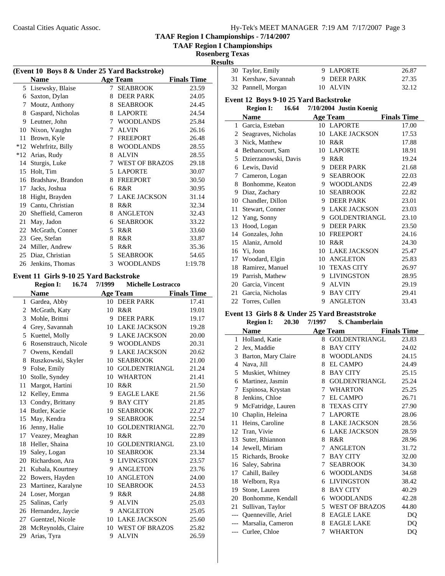| Hy-Tek's MEET MANAGER 7:19 AM 7/17/2007 Page 3 |  |  |  |
|------------------------------------------------|--|--|--|
|------------------------------------------------|--|--|--|

30 Taylor, Emily 9 LAPORTE 26.87 31 Kershaw, Savannah 9 DEER PARK 27.35 32 32.12 Pannell, Morgan 10 ALVIN

**TAAF Region I Championships - 7/14/2007**

**TAAF Region I Championships**

**Rosenberg Texas**

|    |                                              |        |                           |                    | <b>Results</b> |
|----|----------------------------------------------|--------|---------------------------|--------------------|----------------|
|    | (Event 10 Boys 8 & Under 25 Yard Backstroke) |        |                           |                    | 3              |
|    | <b>Name</b>                                  |        | Age Team Finals Time      |                    | 3              |
|    | 5 Lisewsky, Blaise                           |        | 7 SEABROOK                | 23.59              | 3              |
|    | 6 Saxton, Dylan                              |        | 8 DEER PARK               | 24.05              | $\mathbf{E}$ v |
|    | 7 Moutz, Anthony                             |        | 8 SEABROOK                | 24.45              |                |
|    | 8 Gaspard, Nicholas                          |        | 8 LAPORTE                 | 24.54              |                |
|    | 9 Leutner, John                              |        | 7 WOODLANDS               | 25.84              |                |
|    | 10 Nixon, Vaughn                             |        | 7 ALVIN                   | 26.16              |                |
|    | 11 Brown, Kyle                               |        | 7 FREEPORT                | 26.48              |                |
|    | *12 Wehrfritz, Billy                         |        | 8 WOODLANDS               | 28.55              |                |
|    | *12 Arias, Rudy                              |        | 8 ALVIN                   | 28.55              |                |
|    | 14 Sturgis, Luke                             |        | 7 WEST OF BRAZOS          | 29.18              |                |
|    | 15 Holt, Tim                                 |        | 5 LAPORTE                 | 30.07              |                |
|    | 16 Bradshaw, Brandon                         |        | 8 FREEPORT                | 30.50              |                |
|    | 17 Jacks, Joshua                             |        | 6 R&R                     | 30.95              |                |
|    | 18 Hight, Brayden                            |        | 7 LAKE JACKSON            | 31.14              |                |
|    | 19 Cantu, Christian                          |        | 8 R&R                     | 32.34              | 1              |
|    | 20 Sheffield, Cameron                        |        | 8 ANGLETON                | 32.43              | 1              |
| 21 | May, Jadon                                   |        | 6 SEABROOK                | 33.22              | 1              |
|    | 22 McGrath, Conner                           |        | 5 R&R                     | 33.60              | 1<br>1         |
|    | 23 Gee, Stefan                               |        | 8 R&R                     | 33.87              |                |
|    | 24 Miller, Andrew                            |        | 5 R&R                     | 35.36              | 1              |
|    | 25 Diaz, Christian                           |        | 5 SEABROOK                | 54.65              | 1              |
|    | 26 Jenkins, Thomas                           |        | 3 WOODLANDS               | 1:19.78            | 1<br>1         |
|    | Event 11 Girls 9-10 25 Yard Backstroke       |        |                           |                    | 1              |
|    | 16.74<br><b>Region I:</b>                    | 7/1999 | <b>Michelle Lostracco</b> |                    | $\overline{c}$ |
|    | <b>Name</b>                                  |        | <b>Age Team</b>           | <b>Finals Time</b> | $\overline{2}$ |
|    | 1 Gardea, Abby                               |        | 10 DEER PARK              | 17.41              | $\overline{2}$ |
|    | 2 McGrath, Katy                              |        | 10 R&R                    | 19.01              | ${\bf Ev}$     |
|    | 3 Mohle, Brittni                             |        | 9 DEER PARK               | 19.17              |                |
|    | 4 Grey, Savannah                             |        | 10 LAKE JACKSON           | 19.28              |                |
|    | 5 Kuettel, Molly                             |        | 9 LAKE JACKSON            | 20.00              |                |
|    | 6 Rosenstrauch, Nicole                       |        | 9 WOODLANDS               | 20.31              |                |
|    | 7 Owens, Kendall                             |        | 9 LAKE JACKSON            | 20.62              |                |
|    | 8 Ruszkowski, Skyler                         |        | 10 SEABROOK               | 21.00              |                |
|    | 9 Folse, Emily                               |        | 10 GOLDENTRIANGL          | 21.24              |                |
|    | 10 Stolle, Syndey                            |        | 10 WHARTON                | 21.41              |                |
|    | 11 Margot, Hartini                           |        | 10 R&R                    | 21.50              |                |
|    | 12 Kelley, Emma                              |        | 9 EAGLE LAKE              | 21.56              |                |
|    | 13 Condry, Brittany                          |        | 9 BAY CITY                | 21.85              |                |

14 Butler, Kacie 10 SEABROOK 22.27 15 May, Kendra 9 SEABROOK 22.54 16 Jenny, Halie 10 GOLDENTRIANGL 22.70 17 Veazey, Meaghan 10 R&R 22.89 18 Heller, Shaina 10 GOLDENTRIANGL 23.10 19 Saley, Logan 10 SEABROOK 23.34 20 Richardson, Ara 9 LIVINGSTON 23.57 21 Kubala, Kourtney 9 ANGLETON 23.76 22 Bowers, Hayden 10 ANGLETON 24.00 23 Martinez, Karalyne 10 SEABROOK 24.53 24 24.88 Loser, Morgan 9 R&R 25 25.03 Salinas, Carly 9 ALVIN 26 25.05 Hernandez, Jaycie 9 ANGLETON 27 Guentzel, Nicole 10 LAKE JACKSON 25.60 28 McReynolds, Claire 10 WEST OF BRAZOS 25.82 29 26.59 Arias, Tyra 9 ALVIN

| Event 12 Boys 9-10 25 Yard Backstroke |                           |    |                         |                    |
|---------------------------------------|---------------------------|----|-------------------------|--------------------|
|                                       | 16.64<br><b>Region I:</b> |    | 7/10/2004 Justin Koenig |                    |
|                                       | <b>Name</b>               |    | <b>Age Team</b>         | <b>Finals Time</b> |
| 1                                     | Garcia, Esteban           |    | 10 LAPORTE              | 17.00              |
| 2                                     | Seagraves, Nicholas       |    | 10 LAKE JACKSON         | 17.53              |
| 3                                     | Nick, Matthew             | 10 | R&R                     | 17.88              |
| $\overline{4}$                        | Bethancourt, Sam          | 10 | <b>LAPORTE</b>          | 18.91              |
| 5                                     | Dzierzanowski, Davis      | 9  | R&R                     | 19.24              |
| 6                                     | Lewis, David              | 9  | <b>DEER PARK</b>        | 21.68              |
| 7                                     | Cameron, Logan            | 9  | <b>SEABROOK</b>         | 22.03              |
| 8                                     | Bonhomme, Keaton          | 9  | <b>WOODLANDS</b>        | 22.49              |
| 9                                     | Diaz, Zachary             | 10 | <b>SEABROOK</b>         | 22.82              |
| 10                                    | Chandler, Dillon          | 9  | <b>DEER PARK</b>        | 23.01              |
| 11                                    | Stewart, Conner           | 9  | <b>LAKE JACKSON</b>     | 23.03              |
| 12                                    | Yang, Sonny               | 9  | <b>GOLDENTRIANGL</b>    | 23.10              |
| 13                                    | Hood, Logan               | 9  | <b>DEER PARK</b>        | 23.50              |
| 14                                    | Gonzales, John            | 10 | <b>FREEPORT</b>         | 24.16              |
| 15                                    | Alaniz, Arnold            | 10 | R&R                     | 24.30              |
| 16                                    | Yi, Joon                  | 10 | <b>LAKE JACKSON</b>     | 25.47              |
| 17                                    | Woodard, Elgin            | 10 | <b>ANGLETON</b>         | 25.83              |
| 18                                    | Ramirez, Manuel           | 10 | <b>TEXAS CITY</b>       | 26.97              |
| 19                                    | Parrish, Mathew           | 9  | <b>LIVINGSTON</b>       | 28.95              |
| 20                                    | Garcia, Vincent           | 9  | <b>ALVIN</b>            | 29.19              |
| 21                                    | Garcia, Nicholas          | 9  | <b>BAY CITY</b>         | 29.41              |
| 22                                    | Torres, Cullen            | 9  | <b>ANGLETON</b>         | 33.43              |

### **Event 13 Girls 8 & Under 25 Yard Breaststroke**

|                | <b>Region I:</b><br>20.30 | 7/1997 | S. Chamberlain        |                    |
|----------------|---------------------------|--------|-----------------------|--------------------|
|                | <b>Name</b>               |        | Age Team              | <b>Finals Time</b> |
| 1              | Holland, Katie            | 8.     | <b>GOLDENTRIANGL</b>  | 23.83              |
| $\overline{c}$ | Jex, Maddie               | 8      | <b>BAY CITY</b>       | 24.02              |
| 3              | Barton, Mary Claire       | 8      | <b>WOODLANDS</b>      | 24.15              |
| 4              | Nava, Jill                | 8      | <b>EL CAMPO</b>       | 24.49              |
| 5              | Muskiet, Whitney          | 8      | <b>BAY CITY</b>       | 25.15              |
| 6              | Martinez, Jasmin          | 8      | <b>GOLDENTRIANGL</b>  | 25.24              |
| 7              | Espinosa, Krystan         | 7      | <b>WHARTON</b>        | 25.25              |
| 8              | Jenkins, Chloe            | 7      | <b>EL CAMPO</b>       | 26.71              |
| 9              | McFatridge, Lauren        | 8      | <b>TEXAS CITY</b>     | 27.90              |
| 10             | Chaplin, Heleina          | 7      | <b>LAPORTE</b>        | 28.06              |
| 11             | Heins, Caroline           | 8      | <b>LAKE JACKSON</b>   | 28.56              |
| 12             | Tran, Vivie               | 6      | <b>LAKE JACKSON</b>   | 28.59              |
| 13             | Suter, Rhiannon           | 8      | R&R                   | 28.96              |
| 14             | Jewell, Miriam            | 7      | <b>ANGLETON</b>       | 31.72              |
| 15             | Richards, Brooke          | 7      | <b>BAY CITY</b>       | 32.00              |
| 16             | Saley, Sabrina            | 7      | <b>SEABROOK</b>       | 34.30              |
| 17             | Cahill, Bailey            | 6      | <b>WOODLANDS</b>      | 34.68              |
| 18             | Welborn, Rya              | 6      | <b>LIVINGSTON</b>     | 38.42              |
| 19             | Stone, Lauren             | 8      | <b>BAY CITY</b>       | 40.29              |
| 20             | Bonhomme, Kendall         | 6      | <b>WOODLANDS</b>      | 42.28              |
| 21             | Sullivan, Taylor          | 5.     | <b>WEST OF BRAZOS</b> | 44.80              |
| $---$          | Quenneville, Ariel        | 8      | <b>EAGLE LAKE</b>     | DQ                 |
|                | Marsalia, Cameron         | 8      | <b>EAGLE LAKE</b>     | DQ                 |
| $---$          | Curlee, Chloe             | 7      | <b>WHARTON</b>        | DQ                 |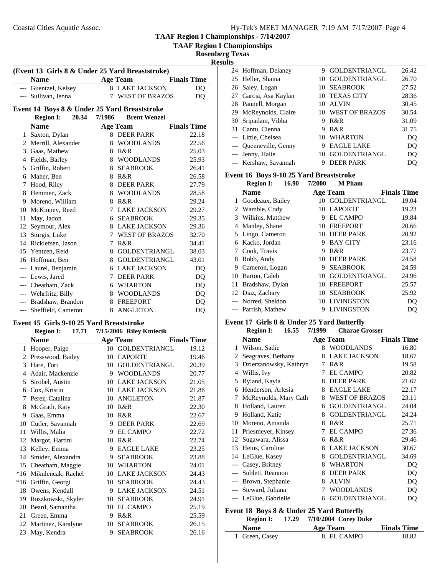**TAAF Region I Championships**

**Rosenberg Texas**

**Results**

| (Event 13 Girls 8 & Under 25 Yard Breaststroke) |                  |                    |  |
|-------------------------------------------------|------------------|--------------------|--|
| <b>Name</b>                                     | Age Team         | <b>Finals Time</b> |  |
| --- Guentzel, Kelsey                            | 8 LAKE JACKSON   | DO.                |  |
| --- Sullivan, Jenna                             | 7 WEST OF BRAZOS | DO.                |  |

### **Event 14 Boys 8 & Under 25 Yard Breaststroke Region I:** 20.34 7/1986 Brent Wenzel

|    | Name                   |   | <b>Age Team</b>       | <b>Finals Time</b> |
|----|------------------------|---|-----------------------|--------------------|
| 1  | Saxton, Dylan          | 8 | <b>DEER PARK</b>      | 22.18              |
| 2  | Merrill, Alexander     | 8 | <b>WOODLANDS</b>      | 22.56              |
| 3  | Gaas, Mathew           | 8 | R&R                   | 25.03              |
| 4  | Fields, Barley         | 8 | <b>WOODLANDS</b>      | 25.93              |
| 5  | Griffin, Robert        | 8 | <b>SEABROOK</b>       | 26.41              |
| 6  | Maher, Ben             | 8 | R&R                   | 26.58              |
| 7  | Hood, Riley            | 8 | <b>DEER PARK</b>      | 27.79              |
| 8  | Hemmen, Zack           | 8 | <b>WOODLANDS</b>      | 28.58              |
| 9  | Moreno, William        | 8 | R&R                   | 29.24              |
| 10 | McKinney, Reed         | 7 | <b>LAKE JACKSON</b>   | 29.27              |
| 11 | May, Jadon             | 6 | <b>SEABROOK</b>       | 29.35              |
| 12 | Seymour, Alex          | 8 | <b>LAKE JACKSON</b>   | 29.36              |
| 13 | Sturgis, Luke          | 7 | <b>WEST OF BRAZOS</b> | 32.70              |
| 14 | Ricklefsen, Jason      | 7 | R&R                   | 34.41              |
| 15 | Yentzen, Reid          | 8 | GOLDENTRIANGL         | 38.03              |
|    | 16 Hoffman, Ben        | 8 | <b>GOLDENTRIANGL</b>  | 43.01              |
|    | Laurel, Benjamin       | 6 | <b>LAKE JACKSON</b>   | DQ                 |
|    | --- Lewis, Jared       | 7 | <b>DEER PARK</b>      | DQ                 |
|    | --- Cheatham, Zack     | 6 | <b>WHARTON</b>        | DQ                 |
|    | --- Wehrfritz, Billy   | 8 | <b>WOODLANDS</b>      | DQ                 |
|    | --- Bradshaw, Brandon  | 8 | <b>FREEPORT</b>       | DQ                 |
|    | --- Sheffield, Cameron | 8 | <b>ANGLETON</b>       | DQ                 |

### **Event 15 Girls 9-10 25 Yard Breaststroke**

### **Region I:** 17.71 7/15/2006 Riley Kmiecik

|       | <b>Name</b>        |    | <b>Age Team</b>      | <b>Finals Time</b> |
|-------|--------------------|----|----------------------|--------------------|
| 1     | Hooper, Paige      | 10 | <b>GOLDENTRIANGL</b> | 19.12              |
| 2     | Presswood, Bailey  | 10 | <b>LAPORTE</b>       | 19.46              |
| 3     | Hare, Tori         | 10 | <b>GOLDENTRIANGL</b> | 20.39              |
| 4     | Adair, Mackenzie   | 9  | <b>WOODLANDS</b>     | 20.77              |
| 5     | Strobel, Austin    | 10 | <b>LAKE JACKSON</b>  | 21.05              |
| 6     | Cox, Kristin       | 10 | <b>LAKE JACKSON</b>  | 21.86              |
| 7     | Perez, Catalina    | 10 | <b>ANGLETON</b>      | 21.87              |
| 8     | McGrath, Katy      | 10 | R&R                  | 22.30              |
| 9     | Gaas, Emma         | 10 | R&R                  | 22.67              |
| 10    | Cutler, Savannah   | 9  | <b>DEER PARK</b>     | 22.69              |
| 11    | Willis, Malia      | 9  | <b>EL CAMPO</b>      | 22.72              |
| 12    | Margot, Hartini    | 10 | R&R                  | 22.74              |
| 13    | Kelley, Emma       | 9  | <b>EAGLE LAKE</b>    | 23.25              |
| 14    | Smider, Alexandra  | 9  | <b>SEABROOK</b>      | 23.88              |
| 15    | Cheatham, Maggie   | 10 | <b>WHARTON</b>       | 24.01              |
| $*16$ | Mikulencak, Rachel | 10 | <b>LAKE JACKSON</b>  | 24.43              |
| $*16$ | Griffin, Georgi    | 10 | <b>SEABROOK</b>      | 24.43              |
| 18    | Owens, Kendall     | 9  | <b>LAKE JACKSON</b>  | 24.51              |
| 19    | Ruszkowski, Skyler | 10 | <b>SEABROOK</b>      | 24.91              |
| 20    | Beard, Samantha    | 10 | <b>EL CAMPO</b>      | 25.19              |
| 21    | Green, Emma        | 9  | R&R                  | 25.59              |
| 22    | Martinez, Karalyne | 10 | <b>SEABROOK</b>      | 26.15              |
| 23    | May, Kendra        | 9  | <b>SEABROOK</b>      | 26.16              |

| ∼ |                        |    |                      |       |
|---|------------------------|----|----------------------|-------|
|   | 24 Hoffman, Delaney    | 9  | <b>GOLDENTRIANGL</b> | 26.42 |
|   | 25 Heller, Shaina      |    | 10 GOLDENTRIANGL     | 26.70 |
|   | 26 Saley, Logan        |    | 10 SEABROOK          | 27.52 |
|   | 27 Garcia, Asa Kaylan  |    | 10 TEXAS CITY        | 28.36 |
|   | 28 Pannell, Morgan     |    | 10 ALVIN             | 30.45 |
|   | 29 McReynolds, Claire  |    | 10 WEST OF BRAZOS    | 30.54 |
|   | 30 Sripadam, Vibha     | 9  | R&R                  | 31.09 |
|   | 31 Cantu, Cienna       | 9  | R&R                  | 31.75 |
|   | --- Little, Chelsea    |    | 10 WHARTON           | DQ    |
|   | --- Quenneville, Genny | 9  | <b>EAGLE LAKE</b>    | DO    |
|   | --- Jenny, Halie       | 10 | <b>GOLDENTRIANGL</b> | DQ    |
|   | --- Kershaw, Savannah  | 9  | <b>DEER PARK</b>     | DO    |

### **Event 16 Boys 9-10 25 Yard Breaststroke**

|    | 16.90<br><b>Region I:</b> | 7/2000 | M Pham               |                    |
|----|---------------------------|--------|----------------------|--------------------|
|    | <b>Name</b>               |        | <b>Age Team</b>      | <b>Finals Time</b> |
|    | 1 Goodeaux, Bailey        | 10     | <b>GOLDENTRIANGL</b> | 19.04              |
| 2  | Wamble, Cody              |        | 10 LAPORTE           | 19.23              |
|    | 3 Wilkins, Matthew        | 9      | EL CAMPO             | 19.84              |
|    | Manley, Shane             | 10     | <b>FREEPORT</b>      | 20.66              |
|    | 5 Lingo, Cameron          | 10     | <b>DEER PARK</b>     | 20.92              |
| 6  | Kacko, Jordan             | 9      | <b>BAY CITY</b>      | 23.16              |
|    | 7 Cook, Travis            | 9      | R&R                  | 23.77              |
| 8  | Robb, Andy                | 10     | <b>DEER PARK</b>     | 24.58              |
| 9  | Cameron, Logan            | 9      | <b>SEABROOK</b>      | 24.59              |
| 10 | Barton, Caleb             | 10     | <b>GOLDENTRIANGL</b> | 24.96              |
| 11 | Bradshaw, Dylan           | 10     | <b>FREEPORT</b>      | 25.57              |
|    | 12 Diaz, Zachary          | 10     | <b>SEABROOK</b>      | 25.92              |
|    | --- Norred, Sheldon       | 10     | <b>LIVINGSTON</b>    | DO                 |
|    | Parrish, Mathew           | 9      | <b>LIVINGSTON</b>    | DO                 |
|    |                           |        |                      |                    |

### **Event 17 Girls 8 & Under 25 Yard Butterfly**

|    | 16.55<br><b>Region I:</b> | 7/1999 | <b>Charae Grosser</b> |                    |
|----|---------------------------|--------|-----------------------|--------------------|
|    | <b>Name</b>               |        | <b>Age Team</b>       | <b>Finals Time</b> |
| 1  | Wilson, Sadie             |        | 8 WOODLANDS           | 16.80              |
| 2  | Seagraves, Bethany        | 8      | <b>LAKE JACKSON</b>   | 18.67              |
| 3  | Dzierzanowsky, Kathryn    | 7      | R&R                   | 19.58              |
| 4  | Willis, Ivy               | 7      | <b>EL CAMPO</b>       | 20.82              |
| 5  | Ryland, Kayla             | 8      | <b>DEER PARK</b>      | 21.67              |
| 6  | Henderson, Arlesia        | 8      | <b>EAGLE LAKE</b>     | 22.17              |
| 7  | McReynolds, Mary Cath     | 8      | <b>WEST OF BRAZOS</b> | 23.11              |
| 8  | Holland, Lauren           | 6      | <b>GOLDENTRIANGL</b>  | 24.04              |
| 9  | Holland, Katie            | 8      | GOLDENTRIANGL         | 24.24              |
| 10 | Moreno, Amanda            | 8      | R&R                   | 25.71              |
| 11 | Priesmeyer, Kinsey        | 7      | <b>EL CAMPO</b>       | 27.36              |
| 12 | Sugawara, Alissa          | 6      | R&R                   | 29.46              |
| 13 | Heins, Caroline           | 8      | <b>LAKE JACKSON</b>   | 30.67              |
|    | 14 LeGlue, Kasey          | 8      | <b>GOLDENTRIANGL</b>  | 34.69              |
|    | Casey, Britney            | 8      | <b>WHARTON</b>        | DQ                 |
|    | Sublett, Reannon          | 8      | <b>DEER PARK</b>      | DQ                 |
|    | --- Brown, Stephanie      | 8      | <b>ALVIN</b>          | DQ                 |
|    | --- Steward, Juliana      | 7      | <b>WOODLANDS</b>      | DQ                 |
|    | LeGlue, Gabrielle         | 6      | <b>GOLDENTRIANGL</b>  | DQ                 |
|    |                           |        |                       |                    |

### **Event 18 Boys 8 & Under 25 Yard Butterfly**

| <b>Region I:</b> | 17.29 | 7/10/2004 Corey Duke |                    |
|------------------|-------|----------------------|--------------------|
| <b>Name</b>      |       | Age Team             | <b>Finals Time</b> |
| 1 Green, Casey   |       | 8 EL CAMPO           | 18.82              |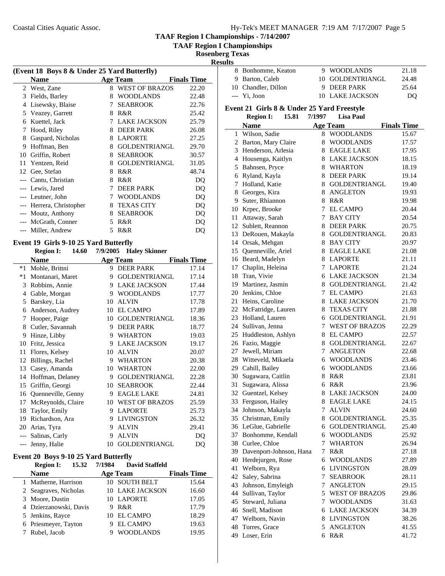| Hy-Tek's MEET MANAGER 7:19 AM 7/17/2007 Page 5 |  |  |  |  |  |  |
|------------------------------------------------|--|--|--|--|--|--|
|------------------------------------------------|--|--|--|--|--|--|

**TAAF Region I Championships**

**Rosenberg Texas**

| ?S11 11 |  |
|---------|--|
|         |  |

| (Event 18 Boys 8 & Under 25 Yard Butterfly) |                      |   |                       |                    |  |
|---------------------------------------------|----------------------|---|-----------------------|--------------------|--|
|                                             | <b>Name</b>          |   | Age Team              | <b>Finals Time</b> |  |
|                                             | 2 West, Zane         | 8 | <b>WEST OF BRAZOS</b> | 22.20              |  |
| 3                                           | Fields, Barley       | 8 | <b>WOODLANDS</b>      | 22.48              |  |
| 4                                           | Lisewsky, Blaise     | 7 | <b>SEABROOK</b>       | 22.76              |  |
| 5                                           | Veazey, Garrett      | 8 | R&R                   | 25.42              |  |
| 6                                           | Kuettel, Jack        | 7 | <b>LAKE JACKSON</b>   | 25.79              |  |
| 7                                           | Hood, Riley          | 8 | <b>DEER PARK</b>      | 26.08              |  |
| 8                                           | Gaspard, Nicholas    | 8 | <b>LAPORTE</b>        | 27.25              |  |
| 9                                           | Hoffman, Ben         | 8 | <b>GOLDENTRIANGL</b>  | 29.70              |  |
| 10                                          | Griffin, Robert      | 8 | <b>SEABROOK</b>       | 30.57              |  |
| 11                                          | Yentzen, Reid        | 8 | <b>GOLDENTRIANGL</b>  | 31.05              |  |
|                                             | 12 Gee, Stefan       | 8 | R&R                   | 48.74              |  |
|                                             | Cantu, Christian     | 8 | R&R                   | DO                 |  |
|                                             | --- Lewis, Jared     | 7 | <b>DEER PARK</b>      | DQ                 |  |
|                                             | --- Leutner, John    | 7 | <b>WOODLANDS</b>      | DQ                 |  |
|                                             | Herrera, Christopher | 8 | <b>TEXAS CITY</b>     | DQ                 |  |
|                                             | Moutz, Anthony       | 8 | <b>SEABROOK</b>       | DO                 |  |
|                                             | McGrath, Conner      | 5 | R&R                   | DO                 |  |
|                                             | Miller, Andrew       | 5 | R&R                   | DQ                 |  |
|                                             |                      |   |                       |                    |  |

### **Event 19 Girls 9-10 25 Yard Butterfly**

|       | 14.60<br><b>Region I:</b> | 7/9/2005 | <b>Haley Skinner</b>  |                    |
|-------|---------------------------|----------|-----------------------|--------------------|
|       | <b>Name</b>               |          | <b>Age Team</b>       | <b>Finals Time</b> |
| $*1$  | Mohle, Brittni            | 9        | <b>DEER PARK</b>      | 17.14              |
| $*1$  | Montanari, Maret          | 9        | <b>GOLDENTRIANGL</b>  | 17.14              |
| 3     | Robbins, Annie            | 9        | <b>LAKE JACKSON</b>   | 17.44              |
| 4     | Gable, Morgan             | 9        | <b>WOODLANDS</b>      | 17.77              |
| 5     | Barskey, Lia              | 10       | <b>ALVIN</b>          | 17.78              |
| 6     | Anderson, Audrey          | 10       | <b>EL CAMPO</b>       | 17.89              |
| 7     | Hooper, Paige             | 10       | <b>GOLDENTRIANGL</b>  | 18.36              |
| 8     | Cutler, Savannah          | 9        | <b>DEER PARK</b>      | 18.77              |
| 9     | Hinze, Libby              | 9        | <b>WHARTON</b>        | 19.03              |
| 10    | Fritz, Jessica            | 9        | <b>LAKE JACKSON</b>   | 19.17              |
| 11    | Flores, Kelsey            | 10       | <b>ALVIN</b>          | 20.07              |
| 12    | Billings, Rachel          | 9        | <b>WHARTON</b>        | 20.38              |
| 13    | Casey, Amanda             | 10       | <b>WHARTON</b>        | 22.00              |
| 14    | Hoffman, Delaney          | 9        | <b>GOLDENTRIANGL</b>  | 22.28              |
| 15    | Griffin, Georgi           | 10       | <b>SEABROOK</b>       | 22.44              |
| 16    | Quenneville, Genny        | 9        | <b>EAGLE LAKE</b>     | 24.81              |
| 17    | McReynolds, Claire        | 10       | <b>WEST OF BRAZOS</b> | 25.59              |
| 18    | Taylor, Emily             | 9        | <b>LAPORTE</b>        | 25.73              |
| 19    | Richardson, Ara           | 9        | <b>LIVINGSTON</b>     | 26.32              |
| 20    | Arias, Tyra               | 9        | <b>ALVIN</b>          | 29.41              |
|       | Salinas, Carly            | 9        | <b>ALVIN</b>          | DQ                 |
| $---$ | Jenny, Halie              | 10       | <b>GOLDENTRIANGL</b>  | DQ                 |

## **Event 20 Boys 9-10 25 Yard Butterfly**

|             | <b>Region I:</b>       | 15.32 | 7/1984 | <b>David Staffeld</b>  |                    |
|-------------|------------------------|-------|--------|------------------------|--------------------|
| <b>Name</b> |                        |       |        | <b>Age Team</b>        | <b>Finals Time</b> |
|             | 1 Matherne, Harrison   |       |        | 10 SOUTH BELT          | 15.64              |
|             | 2 Seagraves, Nicholas  |       |        | <b>10 LAKE JACKSON</b> | 16.60              |
|             | 3 Moore, Dustin        |       |        | 10 LAPORTE             | 17.05              |
|             | 4 Dzierzanowski, Davis |       | 9      | R&R                    | 17.79              |
|             | 5 Jenkins, Rayce       |       |        | 10 EL CAMPO            | 18.29              |
|             | 6 Priesmeyer, Tayton   |       |        | <b>EL CAMPO</b>        | 19.63              |
|             | Rubel, Jacob           |       |        | <b>WOODLANDS</b>       | 19.95              |

| ılts                                                                                     |                     |   |                  |       |  |
|------------------------------------------------------------------------------------------|---------------------|---|------------------|-------|--|
|                                                                                          | 8 Bonhomme, Keaton  |   | 9 WOODLANDS      | 21.18 |  |
|                                                                                          | 9 Barton, Caleb     |   | 10 GOLDENTRIANGL | 24.48 |  |
|                                                                                          | 10 Chandler, Dillon | 9 | DEER PARK        | 25.64 |  |
|                                                                                          | $--$ Yi, Joon       |   | 10 LAKE JACKSON  | DO    |  |
| Event 21 Girls 8 & Under 25 Yard Freestyle<br>Region I: 15.81 7/1997<br><b>Lisa Paul</b> |                     |   |                  |       |  |
|                                                                                          |                     |   |                  |       |  |

|    | <b>Region I:</b><br>15.81 | 7/1997      | Lisa Paul             |                    |
|----|---------------------------|-------------|-----------------------|--------------------|
|    | <b>Name</b>               |             | <b>Age Team</b>       | <b>Finals Time</b> |
| 1  | Wilson, Sadie             | 8           | <b>WOODLANDS</b>      | 15.67              |
|    | 2 Barton, Mary Claire     |             | 8 WOODLANDS           | 17.57              |
|    | 3 Henderson, Arlesia      |             | 8 EAGLE LAKE          | 17.95              |
|    | 4 Housenga, Kaitlyn       |             | 8 LAKE JACKSON        | 18.15              |
|    | 5 Bahnsen, Pryce          |             | 8 WHARTON             | 18.19              |
|    | 6 Ryland, Kayla           |             | 8 DEER PARK           | 19.14              |
|    | 7 Holland, Katie          |             | 8 GOLDENTRIANGL       | 19.40              |
|    | 8 Georges, Kira           |             | 8 ANGLETON            | 19.93              |
|    | 9 Suter, Rhiannon         |             | 8 R&R                 | 19.98              |
|    | 10 Krpec, Brooke          | $7^{\circ}$ | <b>EL CAMPO</b>       | 20.44              |
| 11 | Attaway, Sarah            | $7^{\circ}$ | <b>BAY CITY</b>       | 20.54              |
| 12 | Sublett, Reannon          |             | 8 DEER PARK           | 20.75              |
|    | 13 DeRouen, Makayla       | 8           | <b>GOLDENTRIANGL</b>  | 20.83              |
|    | 14 Orsak, Mehgan          |             | 8 BAY CITY            | 20.97              |
|    | 15 Quenneville, Ariel     |             | 8 EAGLE LAKE          | 21.08              |
|    | 16 Beard, Madelyn         |             | 8 LAPORTE             | 21.11              |
|    | 17 Chaplin, Heleina       |             | 7 LAPORTE             | 21.24              |
|    | 18 Tran, Vivie            |             | 6 LAKE JACKSON        | 21.34              |
|    | 19 Martinez, Jasmin       |             | 8 GOLDENTRIANGL       | 21.42              |
|    | 20 Jenkins, Chloe         |             | 7 EL CAMPO            | 21.63              |
|    | 21 Heins, Caroline        |             | 8 LAKE JACKSON        | 21.70              |
|    | 22 McFatridge, Lauren     |             | 8 TEXAS CITY          | 21.88              |
|    | 23 Holland, Lauren        |             | 6 GOLDENTRIANGL       | 21.91              |
|    | 24 Sullivan, Jenna        | $\tau$      | <b>WEST OF BRAZOS</b> | 22.29              |
|    | 25 Huddleston, Ashlyn     |             | 8 EL CAMPO            | 22.57              |
|    | 26 Fazio, Maggie          |             | 8 GOLDENTRIANGL       | 22.67              |
|    | 27 Jewell, Miriam         |             | 7 ANGLETON            | 22.68              |
|    | 28 Witteveld, Mikaela     |             | 6 WOODLANDS           | 23.46              |
|    | 29 Cahill, Bailey         |             | 6 WOODLANDS           | 23.66              |
| 30 | Sugawara, Caitlin         |             | 8 R&R                 | 23.81              |
| 31 | Sugawara, Alissa          |             | 6 R&R                 | 23.96              |
|    | 32 Guentzel, Kelsey       |             | 8 LAKE JACKSON        | 24.00              |
| 33 | Ferguson, Hailey          |             | 8 EAGLE LAKE          | 24.15              |
| 34 | Johnson, Makayla          | $7^{\circ}$ | <b>ALVIN</b>          | 24.60              |
|    | 35 Christman, Emily       | 8           | <b>GOLDENTRIANGL</b>  | 25.35              |
|    | 36 LeGlue, Gabrielle      | 6           | <b>GOLDENTRIANGL</b>  | 25.40              |
| 37 | Bonhomme, Kendall         | 6           | <b>WOODLANDS</b>      | 25.92              |
| 38 | Curlee, Chloe             | 7           | WHARTON               | 26.94              |
| 39 | Davenport-Johnson, Hana   | 7           | R&R                   | 27.18              |
| 40 | Herdejurgen, Rose         | 6           | <b>WOODLANDS</b>      | 27.89              |
| 41 | Welborn, Rya              |             | 6 LIVINGSTON          | 28.09              |
| 42 | Saley, Sabrina            | 7           | <b>SEABROOK</b>       | 28.11              |
| 43 | Johnson, Emyleigh         | 7           | <b>ANGLETON</b>       | 29.15              |
| 44 | Sullivan, Taylor          |             | 5 WEST OF BRAZOS      | 29.86              |
| 45 | Steward, Juliana          | 7           | <b>WOODLANDS</b>      | 31.63              |
| 46 | Snell, Madison            | 6           | <b>LAKE JACKSON</b>   | 34.39              |
| 47 | Welborn, Navin            |             | 8 LIVINGSTON          | 38.26              |
| 48 | Torres, Grace             | 5           | <b>ANGLETON</b>       | 41.55              |
| 49 | Loser, Erin               | 6           | R&R                   | 41.72              |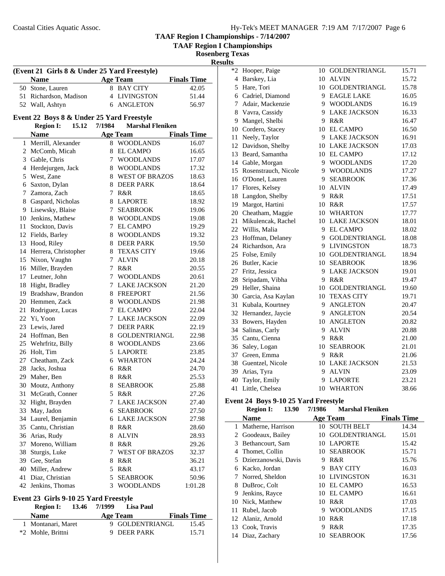**TAAF Region I Championships**

**Rosenberg Texas Results**

|    | (Event 21 Girls 8 & Under 25 Yard Freestyle) |        |                         |                    |  |  |  |
|----|----------------------------------------------|--------|-------------------------|--------------------|--|--|--|
|    | <b>Name</b>                                  |        | <b>Age Team</b>         | <b>Finals Time</b> |  |  |  |
|    | 50 Stone, Lauren                             |        | 8 BAY CITY              | 42.05              |  |  |  |
|    | 51 Richardson, Madison                       |        | 4 LIVINGSTON            | 51.44              |  |  |  |
|    | 52 Wall, Ashtyn                              |        | 6 ANGLETON              | 56.97              |  |  |  |
|    |                                              |        |                         |                    |  |  |  |
|    | Event 22 Boys 8 & Under 25 Yard Freestyle    |        |                         |                    |  |  |  |
|    | <b>Region I:</b><br>15.12                    | 7/1984 | <b>Marshal Fleniken</b> |                    |  |  |  |
|    | <b>Name</b>                                  |        | <b>Age Team</b>         | <b>Finals Time</b> |  |  |  |
| 1  | Merrill, Alexander                           | 8      | <b>WOODLANDS</b>        | 16.07              |  |  |  |
| 2  | McComb, Micah                                |        | 8 EL CAMPO              | 16.65              |  |  |  |
| 3  | Gable, Chris                                 |        | 7 WOODLANDS             | 17.07              |  |  |  |
|    | 4 Herdejurgen, Jack                          |        | 8 WOODLANDS             | 17.32              |  |  |  |
|    | 5 West, Zane                                 |        | 8 WEST OF BRAZOS        | 18.63              |  |  |  |
|    | 6 Saxton, Dylan                              |        | 8 DEER PARK             | 18.64              |  |  |  |
|    | 7 Zamora, Zach                               |        | 7 R&R                   | 18.65              |  |  |  |
|    | 8 Gaspard, Nicholas                          |        | 8 LAPORTE               | 18.92              |  |  |  |
|    | 9 Lisewsky, Blaise                           |        | 7 SEABROOK              | 19.06              |  |  |  |
|    | 10 Jenkins, Mathew                           |        | 8 WOODLANDS             | 19.08              |  |  |  |
| 11 | Stockton, Davis                              |        | 7 EL CAMPO              | 19.29              |  |  |  |
|    | 12 Fields, Barley                            | 8      | <b>WOODLANDS</b>        | 19.32              |  |  |  |
| 13 | Hood, Riley                                  |        | 8 DEER PARK             | 19.50              |  |  |  |
|    | 14 Herrera, Christopher                      | 8      | <b>TEXAS CITY</b>       | 19.66              |  |  |  |
|    | 15 Nixon, Vaughn                             |        | 7 ALVIN                 | 20.18              |  |  |  |
|    | 16 Miller, Brayden                           |        | 7 R&R                   | 20.55              |  |  |  |
|    | 17 Leutner, John                             |        | 7 WOODLANDS             | 20.61              |  |  |  |
| 18 | Hight, Bradley                               |        | 7 LAKE JACKSON          | 21.20              |  |  |  |
|    | 19 Bradshaw, Brandon                         |        | 8 FREEPORT              | 21.56              |  |  |  |
|    | 20 Hemmen, Zack                              |        | 8 WOODLANDS             | 21.98              |  |  |  |
| 21 | Rodriguez, Lucas                             |        | 7 EL CAMPO              | 22.04              |  |  |  |
|    | 22 Yi, Yoon                                  |        | 7 LAKE JACKSON          | 22.09              |  |  |  |
|    | 23 Lewis, Jared                              |        | 7 DEER PARK             | 22.19              |  |  |  |
|    | 24 Hoffman, Ben                              |        | 8 GOLDENTRIANGL         | 22.98              |  |  |  |
| 25 | Wehrfritz, Billy                             |        | 8 WOODLANDS             | 23.66              |  |  |  |
| 26 | Holt, Tim                                    |        | 5 LAPORTE               | 23.85              |  |  |  |
|    | 27 Cheatham, Zack                            |        | 6 WHARTON               | 24.24              |  |  |  |
|    | 28 Jacks, Joshua                             | 6      | R&R                     | 24.70              |  |  |  |
|    | 29 Maher, Ben                                | 8      | R&R                     | 25.53              |  |  |  |
| 30 | Moutz, Anthony                               | 8      | <b>SEABROOK</b>         | 25.88              |  |  |  |
| 31 | McGrath, Conner                              | 5      | R&R                     | 27.26              |  |  |  |
| 32 | Hight, Brayden                               | 7      | <b>LAKE JACKSON</b>     | 27.40              |  |  |  |
| 33 | May, Jadon                                   |        | 6 SEABROOK              | 27.50              |  |  |  |
|    | 34 Laurel, Benjamin                          |        | <b>6 LAKE JACKSON</b>   | 27.98              |  |  |  |
|    | 35 Cantu, Christian                          | 8      | R&R                     | 28.60              |  |  |  |
|    | 36 Arias, Rudy                               | 8      | <b>ALVIN</b>            | 28.93              |  |  |  |
| 37 | Moreno, William                              | 8      | R&R                     | 29.26              |  |  |  |
| 38 | Sturgis, Luke                                | 7      | <b>WEST OF BRAZOS</b>   | 32.37              |  |  |  |
|    | 39 Gee, Stefan                               | 8      | R&R                     | 36.21              |  |  |  |
|    | 40 Miller, Andrew                            |        | 5 R&R                   | 43.17              |  |  |  |
| 41 | Diaz, Christian                              | 5      | <b>SEABROOK</b>         | 50.96              |  |  |  |
|    | 42 Jenkins, Thomas                           | 3      | <b>WOODLANDS</b>        | 1:01.28            |  |  |  |
|    |                                              |        |                         |                    |  |  |  |

## **Event 23 Girls 9-10 25 Yard Freestyle**

| <b>Region I:</b>   | 13.46 | 7/1999 | Lisa Paul       |                    |       |
|--------------------|-------|--------|-----------------|--------------------|-------|
| <b>Name</b>        |       |        | Age Team        | <b>Finals Time</b> |       |
| 1 Montanari, Maret |       |        | 9 GOLDENTRIANGL |                    | 15.45 |
| *2 Mohle, Brittni  |       |        | 9 DEER PARK     |                    | 15.71 |

| $*2$ | Hooper, Paige         | 10 | <b>GOLDENTRIANGL</b>   | 15.71 |
|------|-----------------------|----|------------------------|-------|
|      | 4 Barskey, Lia        | 10 | <b>ALVIN</b>           | 15.72 |
| 5    | Hare, Tori            | 10 | <b>GOLDENTRIANGL</b>   | 15.78 |
| 6    | Cadriel, Diamond      | 9. | <b>EAGLE LAKE</b>      | 16.05 |
| 7    | Adair, Mackenzie      |    | 9 WOODLANDS            | 16.19 |
| 8    | Vavra, Cassidy        |    | 9 LAKE JACKSON         | 16.33 |
|      | 9 Mangel, Shelbi      | 9  | R&R                    | 16.47 |
|      | 10 Cordero, Stacey    |    | 10 EL CAMPO            | 16.50 |
| 11   | Neely, Taylor         |    | 9 LAKE JACKSON         | 16.91 |
| 12   | Davidson, Shelby      |    | 10 LAKE JACKSON        | 17.03 |
| 13   | Beard, Samantha       |    | 10 EL CAMPO            | 17.12 |
| 14   | Gable, Morgan         | 9  | <b>WOODLANDS</b>       | 17.20 |
| 15   | Rosenstrauch, Nicole  | 9. | <b>WOODLANDS</b>       | 17.27 |
| 16   | O'Donel, Lauren       | 9  | <b>SEABROOK</b>        | 17.36 |
| 17   | Flores, Kelsey        | 10 | <b>ALVIN</b>           | 17.49 |
|      | 18 Langdon, Shelby    | 9  | R&R                    | 17.51 |
| 19   | Margot, Hartini       |    | 10 R&R                 | 17.57 |
|      | 20 Cheatham, Maggie   |    | 10 WHARTON             | 17.77 |
| 21   | Mikulencak, Rachel    |    | <b>10 LAKE JACKSON</b> | 18.01 |
|      | 22 Willis, Malia      |    | 9 EL CAMPO             | 18.02 |
| 23   | Hoffman, Delaney      | 9  | <b>GOLDENTRIANGL</b>   | 18.08 |
|      | 24 Richardson, Ara    | 9  | <b>LIVINGSTON</b>      | 18.73 |
| 25   | Folse, Emily          | 10 | <b>GOLDENTRIANGL</b>   | 18.94 |
| 26   | Butler, Kacie         | 10 | <b>SEABROOK</b>        | 18.96 |
| 27   | Fritz, Jessica        | 9  | <b>LAKE JACKSON</b>    | 19.01 |
| 28   | Sripadam, Vibha       | 9  | R&R                    | 19.47 |
|      | 29 Heller, Shaina     |    | 10 GOLDENTRIANGL       | 19.60 |
|      | 30 Garcia, Asa Kaylan | 10 | <b>TEXAS CITY</b>      | 19.71 |
| 31   | Kubala, Kourtney      | 9  | <b>ANGLETON</b>        | 20.47 |
|      | 32 Hernandez, Jaycie  | 9  | <b>ANGLETON</b>        | 20.54 |
| 33   | Bowers, Hayden        |    | 10 ANGLETON            | 20.82 |
| 34   | Salinas, Carly        | 9  | <b>ALVIN</b>           | 20.88 |
| 35   | Cantu, Cienna         | 9  | R&R                    | 21.00 |
| 36   | Saley, Logan          | 10 | <b>SEABROOK</b>        | 21.01 |
| 37   | Green, Emma           | 9  | R&R                    | 21.06 |
| 38   | Guentzel, Nicole      |    | <b>10 LAKE JACKSON</b> | 21.53 |
| 39   | Arias, Tyra           | 9  | <b>ALVIN</b>           | 23.09 |
| 40   | Taylor, Emily         | 9  | <b>LAPORTE</b>         | 23.21 |
| 41   | Little, Chelsea       | 10 | <b>WHARTON</b>         | 38.66 |

### **Event 24 Boys 9-10 25 Yard Freestyle**

|                | 13.90<br><b>Region I:</b> | 7/1986 | <b>Marshal Fleniken</b> |                    |
|----------------|---------------------------|--------|-------------------------|--------------------|
|                | <b>Name</b>               |        | <b>Age Team</b>         | <b>Finals Time</b> |
|                | Matherne, Harrison        | 10     | <b>SOUTH BELT</b>       | 14.34              |
| $\overline{2}$ | Goodeaux, Bailey          | 10     | <b>GOLDENTRIANGL</b>    | 15.01              |
| 3              | Bethancourt, Sam          | 10     | <b>LAPORTE</b>          | 15.42              |
| 4              | Thomet, Collin            | 10     | <b>SEABROOK</b>         | 15.71              |
| 5.             | Dzierzanowski, Davis      | 9      | R&R                     | 15.76              |
| 6              | Kacko, Jordan             | 9      | <b>BAY CITY</b>         | 16.03              |
| 7              | Norred, Sheldon           | 10.    | LIVINGSTON              | 16.31              |
| 8              | DuBroc, Colt              | 10     | EL CAMPO                | 16.53              |
| 9              | Jenkins, Rayce            | 10     | EL CAMPO                | 16.61              |
|                | 10 Nick, Matthew          | 10     | R&R                     | 17.03              |
| 11             | Rubel, Jacob              | 9      | <b>WOODLANDS</b>        | 17.15              |
|                | 12 Alaniz, Arnold         | 10     | R&R                     | 17.18              |
| 13             | Cook, Travis              | 9      | R&R                     | 17.35              |
|                | 14 Diaz, Zachary          | 10     | <b>SEABROOK</b>         | 17.56              |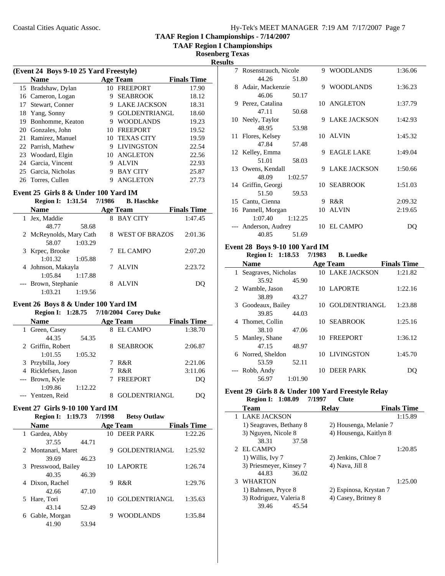**TAAF Region I Championships**

**Rosenberg Texas Results**

|    | (Event 24 Boys 9-10 25 Yard Freestyle) |    |                      |                    |  |  |
|----|----------------------------------------|----|----------------------|--------------------|--|--|
|    | <b>Name</b>                            |    | <b>Age Team</b>      | <b>Finals Time</b> |  |  |
|    | 15 Bradshaw, Dylan                     | 10 | <b>FREEPORT</b>      | 17.90              |  |  |
|    | 16 Cameron, Logan                      | 9  | <b>SEABROOK</b>      | 18.12              |  |  |
| 17 | Stewart, Conner                        | 9  | <b>LAKE JACKSON</b>  | 18.31              |  |  |
| 18 | Yang, Sonny                            | 9  | <b>GOLDENTRIANGL</b> | 18.60              |  |  |
| 19 | Bonhomme, Keaton                       | 9  | <b>WOODLANDS</b>     | 19.23              |  |  |
| 20 | Gonzales, John                         | 10 | <b>FREEPORT</b>      | 19.52              |  |  |
| 21 | Ramirez, Manuel                        | 10 | <b>TEXAS CITY</b>    | 19.59              |  |  |
|    | 22 Parrish, Mathew                     | 9  | <b>LIVINGSTON</b>    | 22.54              |  |  |
|    | 23 Woodard, Elgin                      | 10 | <b>ANGLETON</b>      | 22.56              |  |  |
|    | 24 Garcia, Vincent                     | 9  | <b>ALVIN</b>         | 22.93              |  |  |
|    | 25 Garcia, Nicholas                    | 9  | <b>BAY CITY</b>      | 25.87              |  |  |
|    | 26 Torres, Cullen                      |    | <b>ANGLETON</b>      | 27.73              |  |  |

### **Event 25 Girls 8 & Under 100 Yard IM**

### **Region I: 1:31.54 7/1986 B. Haschke**

|   | <b>Name</b>             |         |   | <b>Age Team</b>       | <b>Finals Time</b> |
|---|-------------------------|---------|---|-----------------------|--------------------|
| 1 | Jex, Maddie             |         | 8 | <b>BAY CITY</b>       | 1:47.45            |
|   | 48.77                   | 58.68   |   |                       |                    |
|   | 2 McReynolds, Mary Cath |         | 8 | <b>WEST OF BRAZOS</b> | 2:01.36            |
|   | 58.07                   | 1:03.29 |   |                       |                    |
|   | 3 Krpec, Brooke         |         |   | 7 EL CAMPO            | 2:07.20            |
|   | 1:01.32                 | 1:05.88 |   |                       |                    |
|   | 4 Johnson, Makayla      |         |   | ALVIN                 | 2:23.72            |
|   | 1:05.84                 | 1:17.88 |   |                       |                    |
|   | --- Brown, Stephanie    |         |   | <b>ALVIN</b>          | DO                 |
|   | 1:03.21                 | 1:19.56 |   |                       |                    |

## **Event 26 Boys 8 & Under 100 Yard IM**

| <b>Region I: 1:28.75</b> | 7/10/2004 Corey Duke |                    |
|--------------------------|----------------------|--------------------|
| <b>Name</b>              | <b>Age Team</b>      | <b>Finals Time</b> |
| 1 Green, Casey           | <b>EL CAMPO</b>      | 1:38.70            |
| 44.35<br>54.35           |                      |                    |
| 2 Griffin, Robert        | <b>SEABROOK</b>      | 2:06.87            |
| 1:05.32<br>1:01.55       |                      |                    |
| 3 Przybilla, Joey        | R&R                  | 2:21.06            |
| 4 Ricklefsen, Jason      | R&R                  | 3:11.06            |
| --- Brown, Kyle          | <b>FREEPORT</b>      | DO                 |
| 1:09.86<br>1:12.22       |                      |                    |
| --- Yentzen, Reid        | <b>GOLDENTRIANGL</b> |                    |

## **Event 27 Girls 9-10 100 Yard IM**

### **Region I: 1:19.73 7/1998 Betsy Outlaw**

| Name                |       |    | <b>Age Team</b>      | <b>Finals Time</b> |
|---------------------|-------|----|----------------------|--------------------|
| 1 Gardea, Abby      |       |    | 10 DEER PARK         | 1:22.26            |
| 37.55               | 44.71 |    |                      |                    |
| 2 Montanari, Maret  |       | 9  | <b>GOLDENTRIANGL</b> | 1:25.92            |
| 39.69               | 46.23 |    |                      |                    |
| 3 Presswood, Bailey |       | 10 | LAPORTE              | 1:26.74            |
| 40.35               | 46.39 |    |                      |                    |
| Dixon, Rachel<br>4  |       | 9  | R & R                | 1:29.76            |
| 42.66               | 47.10 |    |                      |                    |
| Hare, Tori<br>5.    |       | 10 | <b>GOLDENTRIANGL</b> | 1:35.63            |
| 43.14               | 52.49 |    |                      |                    |
| Gable, Morgan       |       | 9  | <b>WOODLANDS</b>     | 1:35.84            |
| 41.90               | 53.94 |    |                      |                    |

| 7 Rosenstrauch, Nicole |         | 9   | <b>WOODLANDS</b>    | 1:36.06 |
|------------------------|---------|-----|---------------------|---------|
| 44.26                  | 51.80   |     |                     |         |
| 8 Adair, Mackenzie     |         | 9   | <b>WOODLANDS</b>    | 1:36.23 |
| 46.06                  | 50.17   |     |                     |         |
| 9 Perez, Catalina      |         |     | 10 ANGLETON         | 1:37.79 |
| 47.11                  | 50.68   |     |                     |         |
| 10 Neely, Taylor       |         | 9   | <b>LAKE JACKSON</b> | 1:42.93 |
| 48.95                  | 53.98   |     |                     |         |
| 11 Flores, Kelsey      |         |     | 10 ALVIN            | 1:45.32 |
| 47.84                  | 57.48   |     |                     |         |
| 12 Kelley, Emma        |         | 9   | <b>EAGLE LAKE</b>   | 1:49.04 |
| 51.01                  | 58.03   |     |                     |         |
| 13 Owens, Kendall      |         | 9   | LAKE JACKSON        | 1:50.66 |
| 48.09                  | 1:02.57 |     |                     |         |
| 14 Griffin, Georgi     |         |     | 10 SEABROOK         | 1:51.03 |
| 51.50                  | 59.53   |     |                     |         |
| 15 Cantu, Cienna       |         | 9   | R&R                 | 2:09.32 |
| 16 Pannell, Morgan     |         | 10. | <b>ALVIN</b>        | 2:19.65 |
| 1:07.40                | 1:12.25 |     |                     |         |
| --- Anderson, Audrey   |         |     | 10 EL CAMPO         | DQ      |
| 40.85                  | 51.69   |     |                     |         |

### **Event 28 Boys 9-10 100 Yard IM**

## **Region I: 1:18.53 7/1983 B. Luedke**

|              | <b>Name</b>         |         |     | <b>Age Team</b>        | <b>Finals Time</b> |
|--------------|---------------------|---------|-----|------------------------|--------------------|
| $\mathbf{1}$ | Seagraves, Nicholas |         |     | <b>10 LAKE JACKSON</b> | 1:21.82            |
|              | 35.92               | 45.90   |     |                        |                    |
|              | 2 Wamble, Jason     |         |     | 10 LAPORTE             | 1:22.16            |
|              | 38.89               | 43.27   |     |                        |                    |
|              | 3 Goodeaux, Bailey  |         |     | 10 GOLDENTRIANGL       | 1:23.88            |
|              | 39.85               | 44.03   |     |                        |                    |
|              | 4 Thomet, Collin    |         |     | 10 SEABROOK            | 1:25.16            |
|              | 38.10               | 47.06   |     |                        |                    |
|              | 5 Manley, Shane     |         |     | 10 FREEPORT            | 1:36.12            |
|              | 47.15               | 48.97   |     |                        |                    |
|              | 6 Norred, Sheldon   |         |     | 10 LIVINGSTON          | 1:45.70            |
|              | 53.59               | 52.11   |     |                        |                    |
|              | --- Robb, Andy      |         | 10. | <b>DEER PARK</b>       |                    |
|              | 56.97               | 1:01.90 |     |                        |                    |

### **Event 29 Girls 8 & Under 100 Yard Freestyle Relay Region I:** 1:08.09 7/1997 Clute

| Team                    | <b>Finals Time</b><br>Relav |         |
|-------------------------|-----------------------------|---------|
| LAKE JACKSON            |                             | 1:15.89 |
| 1) Seagraves, Bethany 8 | 2) Housenga, Melanie 7      |         |
| 3) Nguyen, Nicole 8     | 4) Housenga, Kaitlyn 8      |         |
| 38.31<br>37.58          |                             |         |
| 2 EL CAMPO              |                             | 1:20.85 |
| 1) Willis, Ivy 7        | 2) Jenkins, Chloe 7         |         |
| 3) Priesmeyer, Kinsey 7 | 4) Nava, Jill 8             |         |
| 36.02<br>44.83          |                             |         |
| <b>WHARTON</b><br>3     |                             | 1:25.00 |
| 1) Bahnsen, Pryce 8     | 2) Espinosa, Krystan 7      |         |
| 3) Rodriguez, Valeria 8 | 4) Casey, Britney 8         |         |
| 39.46<br>45.54          |                             |         |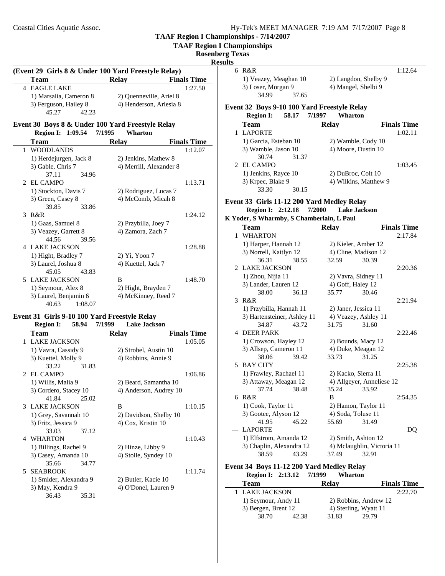**TAAF Region I Championships**

### **Rosenberg Texas**

### **Results**

| (Event 29 Girls 8 & Under 100 Yard Freestyle Relay) |                         |                    |  |  |
|-----------------------------------------------------|-------------------------|--------------------|--|--|
| <b>Team</b>                                         | Relav                   | <b>Finals Time</b> |  |  |
| 4 EAGLE LAKE                                        |                         | 1:27.50            |  |  |
| 1) Marsalia, Cameron 8                              | 2) Ouenneville, Ariel 8 |                    |  |  |
| 3) Ferguson, Hailey 8                               | 4) Henderson, Arlesia 8 |                    |  |  |
| 45 27                                               |                         |                    |  |  |

### **Event 30 Boys 8 & Under 100 Yard Freestyle Relay Region I: 1:09.54 Wharton 7/1995**

| Team                             | <b>Relay</b>            | <b>Finals Time</b> |
|----------------------------------|-------------------------|--------------------|
| <b>WOODLANDS</b><br>$\mathbf{1}$ |                         | 1:12.07            |
| 1) Herdejurgen, Jack 8           | 2) Jenkins, Mathew 8    |                    |
| 3) Gable, Chris 7                | 4) Merrill, Alexander 8 |                    |
| 37.11<br>34.96                   |                         |                    |
| 2 EL CAMPO                       |                         | 1:13.71            |
| 1) Stockton, Davis 7             | 2) Rodriguez, Lucas 7   |                    |
| 3) Green, Casey 8                | 4) McComb, Micah 8      |                    |
| 39.85<br>33.86                   |                         |                    |
| R&R<br>3                         |                         | 1:24.12            |
| 1) Gaas, Samuel 8                | 2) Przybilla, Joey 7    |                    |
| 3) Veazey, Garrett 8             | 4) Zamora, Zach 7       |                    |
| 39.56<br>44.56                   |                         |                    |
| 4 LAKE JACKSON                   |                         | 1:28.88            |
| 1) Hight, Bradley 7              | $2)$ Yi, Yoon 7         |                    |
| 3) Laurel, Joshua 8              | 4) Kuettel, Jack 7      |                    |
| 45.05<br>43.83                   |                         |                    |
| 5 LAKE JACKSON                   | B                       | 1:48.70            |
| 1) Seymour, Alex 8               | 2) Hight, Brayden 7     |                    |
| 3) Laurel, Benjamin 6            | 4) McKinney, Reed 7     |                    |
| 40.63<br>1:08.07                 |                         |                    |

### **Event 31 Girls 9-10 100 Yard Freestyle Relay Region I:** 58.94 7/1999 **Lake Jackson**

| Region 1.              | J0.74<br><i>11377</i> | L'ake Jackson          |
|------------------------|-----------------------|------------------------|
| Team                   | Relay                 | <b>Finals Time</b>     |
| 1 LAKE JACKSON         |                       | 1:05.05                |
| 1) Vavra, Cassidy 9    |                       | 2) Strobel, Austin 10  |
| 3) Kuettel, Molly 9    |                       | 4) Robbins, Annie 9    |
| 33.22                  | 31.83                 |                        |
| 2 EL CAMPO             |                       | 1:06.86                |
| 1) Willis, Malia 9     |                       | 2) Beard, Samantha 10  |
| 3) Cordero, Stacey 10  |                       | 4) Anderson, Audrey 10 |
| 41.84                  | 25.02                 |                        |
| 3 LAKE JACKSON         | B                     | 1:10.15                |
| 1) Grey, Savannah 10   |                       | 2) Davidson, Shelby 10 |
| 3) Fritz, Jessica 9    |                       | 4) Cox, Kristin 10     |
| 33.03                  | 37.12                 |                        |
| 4 WHARTON              |                       | 1:10.43                |
| 1) Billings, Rachel 9  |                       | 2) Hinze, Libby 9      |
| 3) Casey, Amanda 10    |                       | 4) Stolle, Syndey 10   |
| 35.66                  | 34.77                 |                        |
| <b>SEABROOK</b><br>5.  |                       | 1:11.74                |
| 1) Smider, Alexandra 9 |                       | 2) Butler, Kacie 10    |
| 3) May, Kendra 9       |                       | 4) O'Donel, Lauren 9   |
| 36.43                  | 35.31                 |                        |

| 6 R&R                 |       |                      | 1:12.64 |
|-----------------------|-------|----------------------|---------|
| 1) Veazey, Meaghan 10 |       | 2) Langdon, Shelby 9 |         |
| 3) Loser, Morgan 9    |       | 4) Mangel, Shelbi 9  |         |
| 34.99                 | 37.65 |                      |         |

#### **Event 32 Boys 9-10 100 Yard Freestyle Relay Region I:** 58.17 7/1997 **Whart**

| Region 1:             | 30.IT | 11 <b>199</b> 1 | vv narton             |                    |
|-----------------------|-------|-----------------|-----------------------|--------------------|
| <b>Team</b>           |       | <b>Relav</b>    |                       | <b>Finals Time</b> |
| 1 LAPORTE             |       |                 |                       | 1:02.11            |
| 1) Garcia, Esteban 10 |       |                 | 2) Wamble, Cody 10    |                    |
| 3) Wamble, Jason 10   |       |                 | 4) Moore, Dustin 10   |                    |
| 30.74                 | 31.37 |                 |                       |                    |
| 2 EL CAMPO            |       |                 |                       | 1:03.45            |
| 1) Jenkins, Rayce 10  |       |                 | 2) DuBroc, Colt 10    |                    |
| 3) Krpec, Blake 9     |       |                 | 4) Wilkins, Matthew 9 |                    |
| 33.30                 | 30.15 |                 |                       |                    |

# **Event 33 Girls 11-12 200 Yard Medley Relay**

### **Region I: 2:12.18 7/2000 K Yoder, S Wharmby, S Chamberlain, L Paul**

|                | Team                        | <b>Relay</b>               | <b>Finals Time</b> |
|----------------|-----------------------------|----------------------------|--------------------|
| 1              | <b>WHARTON</b>              |                            | 2:17.84            |
|                | 1) Harper, Hannah 12        | 2) Kieler, Amber 12        |                    |
|                | 3) Norrell, Kaitlyn 12      | 4) Cline, Madison 12       |                    |
|                | 36.31<br>38.55              | 32.59                      | 30.39              |
| $\mathfrak{D}$ | <b>LAKE JACKSON</b>         |                            | 2:20.36            |
|                | 1) Zhou, Nijia 11           | 2) Vavra, Sidney 11        |                    |
|                | 3) Lander, Lauren 12        | 4) Goff, Haley 12          |                    |
|                | 38.00<br>36.13              | 35.77                      | 30.46              |
| 3              | R&R                         |                            | 2:21.94            |
|                | 1) Przybilla, Hannah 11     | 2) Janer, Jessica 11       |                    |
|                | 3) Hartensteiner, Ashley 11 | 4) Veazey, Ashley 11       |                    |
|                | 34.87<br>43.72              | 31.75                      | 31.60              |
| 4              | <b>DEER PARK</b>            |                            | 2:22.46            |
|                | 1) Crowson, Hayley 12       | 2) Bounds, Macy 12         |                    |
|                | 3) Allsep, Cameron 11       | 4) Duke, Meagan 12         |                    |
|                | 38.06<br>39.42              | 33.73                      | 31.25              |
| 5              | <b>BAY CITY</b>             |                            | 2:25.38            |
|                | 1) Frawley, Rachael 11      | 2) Kacko, Sierra 11        |                    |
|                | 3) Attaway, Meagan 12       | 4) Allgeyer, Anneliese 12  |                    |
|                | 37.74<br>38.48              | 35.24                      | 33.92              |
| 6              | R&R                         | B                          | 2:54.35            |
|                | 1) Cook, Taylor 11          | 2) Hamon, Taylor 11        |                    |
|                | 3) Gootee, Alyson 12        | 4) Soda, Toluse 11         |                    |
|                | 41.95<br>45.22              | 55.69                      | 31.49              |
|                | <b>LAPORTE</b>              |                            | DO                 |
|                | 1) Elfstrom, Amanda 12      | 2) Smith, Ashton 12        |                    |
|                | 3) Chaplin, Alexandra 12    | 4) Mclaughlin, Victoria 11 |                    |
|                | 38.59<br>43.29              | 37.49                      | 32.91              |
|                |                             |                            |                    |

### **Event 34 Boys 11-12 200 Yard Medley Relay Region I: 2:13.12 Wharton 7/1999**

| <b>Team</b>         |       | Relav                 | <b>Finals Time</b>    |  |
|---------------------|-------|-----------------------|-----------------------|--|
| 1 LAKE JACKSON      |       |                       | 2:22.70               |  |
| 1) Seymour, Andy 11 |       | 2) Robbins, Andrew 12 |                       |  |
| 3) Bergen, Brent 12 |       |                       | 4) Sterling, Wyatt 11 |  |
| 38.70               | 42.38 | 31.83                 | 29.79                 |  |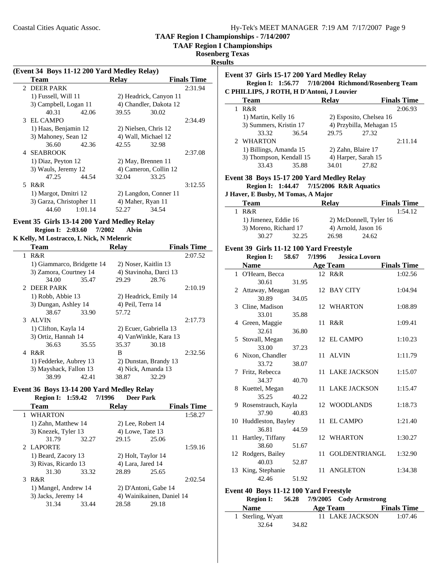**TAAF Region I Championships**

### **Rosenberg Texas**

**Results**

| (Event 34 Boys 11-12 200 Yard Medley Relay) |         |                   |                        |                    |  |  |  |
|---------------------------------------------|---------|-------------------|------------------------|--------------------|--|--|--|
| Team                                        |         | Relav             |                        | <b>Finals Time</b> |  |  |  |
| 2 DEER PARK                                 |         |                   |                        | 2:31.94            |  |  |  |
| 1) Fussell, Will 11                         |         |                   | 2) Headrick, Canyon 11 |                    |  |  |  |
| 3) Campbell, Logan 11                       |         |                   | 4) Chandler, Dakota 12 |                    |  |  |  |
| 40.31                                       | 42.06   | 39.55             | 30.02                  |                    |  |  |  |
| 3 EL CAMPO                                  |         |                   |                        | 2:34.49            |  |  |  |
| 1) Haas, Benjamin 12                        |         |                   | 2) Nielsen, Chris 12   |                    |  |  |  |
| 3) Mahoney, Sean 12                         |         |                   | 4) Wall, Michael 12    |                    |  |  |  |
| 36.60                                       | 42.36   | 42.55             | 32.98                  |                    |  |  |  |
| 4 SEABROOK                                  |         |                   |                        | 2:37.08            |  |  |  |
| 1) Diaz, Peyton 12                          |         |                   | 2) May, Brennen 11     |                    |  |  |  |
| 3) Wauls, Jeremy 12                         |         |                   | 4) Cameron, Collin 12  |                    |  |  |  |
| 47.25                                       | 44.54   | 32.04             | 33.25                  |                    |  |  |  |
| 5 R&R                                       |         |                   |                        | 3:12.55            |  |  |  |
| 1) Margot, Dmitri 12                        |         |                   | 2) Langdon, Conner 11  |                    |  |  |  |
| 3) Garza, Christopher 11                    |         | 4) Maher, Ryan 11 |                        |                    |  |  |  |
| 44.60                                       | 1:01.14 | 52.27             | 34.54                  |                    |  |  |  |

# **Event 35 Girls 13-14 200 Yard Medley Relay**

### **Region I: 2:03.60 7/2002 Alvin K Kelly, M Lostracco, L Nick, N Melenric**

 $\overline{a}$ 

|              | $\mathbf{r}$ increased and $\mathbf{r}$ is a set of $\mathbf{r}$ in $\mathbf{r}$ is a set of $\mathbf{r}$ |       |                   |                        |                    |
|--------------|-----------------------------------------------------------------------------------------------------------|-------|-------------------|------------------------|--------------------|
|              | <b>Team</b>                                                                                               |       | <b>Relav</b>      |                        | <b>Finals Time</b> |
| $\mathbf{1}$ | R&R                                                                                                       |       |                   |                        | 2:07.52            |
|              | 1) Giammarco, Bridgette 14                                                                                |       |                   | 2) Noser, Kaitlin 13   |                    |
|              | 3) Zamora, Courtney 14                                                                                    |       |                   | 4) Stavinoha, Darci 13 |                    |
|              | 34.00                                                                                                     | 35.47 | 29.29             | 28.76                  |                    |
|              | 2 DEER PARK                                                                                               |       |                   |                        | 2:10.19            |
|              | 1) Robb, Abbie 13                                                                                         |       |                   | 2) Headrick, Emily 14  |                    |
|              | 3) Dungan, Ashley 14                                                                                      |       | 4) Peil, Terra 14 |                        |                    |
|              | 38.67 33.90                                                                                               |       | 57.72             |                        |                    |
|              | 3 ALVIN                                                                                                   |       |                   |                        | 2:17.73            |
|              | 1) Clifton, Kayla 14                                                                                      |       |                   | 2) Ecuer, Gabriella 13 |                    |
|              | 3) Ortiz, Hannah 14                                                                                       |       |                   | 4) VanWinkle, Kara 13  |                    |
|              | 36.63                                                                                                     | 35.55 | 35.37             | 30.18                  |                    |
| 4            | R&R                                                                                                       |       | B                 |                        | 2:32.56            |
|              | 1) Fedderke, Aubrey 13                                                                                    |       |                   | 2) Dunstan, Brandy 13  |                    |
|              | 3) Mayshack, Fallon 13                                                                                    |       |                   | 4) Nick, Amanda 13     |                    |
|              | 38.99                                                                                                     | 42.41 | 38.87             | 32.29                  |                    |

#### **Event 36 Boys 13-14 200 Yard Medley Relay Region I:** 1:59.42 7/1996 De

| Region 1: 1:59.42    |       | 771996       | Deer Park                 |                    |
|----------------------|-------|--------------|---------------------------|--------------------|
| Team                 |       | <b>Relav</b> |                           | <b>Finals Time</b> |
| 1 WHARTON            |       |              |                           | 1:58.27            |
| 1) Zahn, Matthew 14  |       |              | 2) Lee, Robert 14         |                    |
| 3) Knezek, Tyler 13  |       |              | $4)$ Lowe, Tate 13        |                    |
| 31.79                | 32.27 |              | 29.15<br>25.06            |                    |
| 2 LAPORTE            |       |              |                           | 1:59.16            |
| 1) Beard, Zacory 13  |       |              | 2) Holt, Taylor 14        |                    |
| 3) Rivas, Ricardo 13 |       |              | 4) Lara, Jared 14         |                    |
| 31.30                | 33.32 |              | 28.89<br>25.65            |                    |
| 3 R&R                |       |              |                           | 2:02.54            |
| 1) Mangel, Andrew 14 |       |              | 2) D'Antoni, Gabe 14      |                    |
| 3) Jacks, Jeremy 14  |       |              | 4) Wainikainen, Daniel 14 |                    |
| 31.34                | 33.44 | 28.58        | 29.18                     |                    |
|                      |       |              |                           |                    |

## **Event 37 Girls 15-17 200 Yard Medley Relay Region I: 1:56.77 7/10/2004 Richmond/Rosenberg Team**

### **C PHILLIPS, J ROTH, H D'Antoni, J Louvier Team Relay Finals Time** 1 2:06.93 R&R 1) Martin, Kelly 16 2) Esposito, Chelsea 16 3) Summers, Kristin 17 4) Przybilla, Mehagan 15 33.32 36.54 29.75 27.32 2 WHARTON 2:11.14 1) Billings, Amanda 15 2) Zahn, Blaire 17 3) Thompson, Kendall 15 4) Harper, Sarah 15 33.43 35.88 34.01 27.82

### **Event 38 Boys 15-17 200 Yard Medley Relay**

**Region I: 1:44.47 7/15/2006 R&R** Aquatics

### **J Haver, E Busby, M Tomas, A Major**

| Team                  |       | Relav                  | <b>Finals Time</b>  |  |  |
|-----------------------|-------|------------------------|---------------------|--|--|
| $R\&R$                |       |                        | 1:54.12             |  |  |
| 1) Jimenez, Eddie 16  |       | 2) McDonnell, Tyler 16 |                     |  |  |
| 3) Moreno, Richard 17 |       |                        | 4) Arnold, Jason 16 |  |  |
| 30.27                 | 32.25 | 26.98                  | 24.62               |  |  |

### **Event 39 Girls 11-12 100 Yard Freestyle**

| <b>Region I:</b> 58.67      |       | 7/1996 | <b>Jessica Lovorn</b> |                    |
|-----------------------------|-------|--------|-----------------------|--------------------|
| <b>Name</b>                 |       |        | <b>Age Team</b>       | <b>Finals Time</b> |
| 1 O'Hearn, Becca            |       |        | 12 R&R                | 1:02.56            |
| 30.61                       | 31.95 |        |                       |                    |
| 2 Attaway, Meagan           |       |        | 12 BAY CITY           | 1:04.94            |
| 30.89                       | 34.05 |        |                       |                    |
| 3 Cline, Madison            |       |        | 12 WHARTON            | 1:08.89            |
| 33.01                       | 35.88 |        |                       |                    |
| 4 Green, Maggie             |       |        | 11 R&R                | 1:09.41            |
| 32.61                       | 36.80 |        |                       |                    |
| 5 Stovall, Megan            |       |        | 12 EL CAMPO           | 1:10.23            |
| 33.00                       | 37.23 |        |                       |                    |
| 6 Nixon, Chandler           |       |        | 11 ALVIN              | 1:11.79            |
| 33.72                       | 38.07 |        |                       |                    |
| 7 Fritz, Rebecca            |       |        | 11 LAKE JACKSON       | 1:15.07            |
| 34.37                       | 40.70 |        |                       |                    |
| 8 Kuettel, Megan            |       |        | 11 LAKE JACKSON       | 1:15.47            |
| 35.25                       | 40.22 |        |                       |                    |
| 9 Rosenstrauch, Kayla       |       |        | 12 WOODLANDS          | 1:18.73            |
| 37.90                       | 40.83 |        |                       |                    |
| 10 Huddleston, Bayley       |       |        | 11 EL CAMPO           | 1:21.40            |
| 36.81                       | 44.59 |        |                       |                    |
| 11 Hartley, Tiffany         |       |        | 12 WHARTON            | 1:30.27            |
| 38.60                       | 51.67 |        |                       |                    |
| 12 Rodgers, Bailey          |       |        | 11 GOLDENTRIANGL      | 1:32.90            |
| 40.03                       | 52.87 |        |                       |                    |
| 13 King, Stephanie<br>42.46 |       |        | 11 ANGLETON           | 1:34.38            |
|                             | 51.92 |        |                       |                    |

## **Event 40 Boys 11-12 100 Yard Freestyle**

| <b>Region I:</b>  | 56.28 |          | 7/9/2005 Cody Armstrong |                    |
|-------------------|-------|----------|-------------------------|--------------------|
| <b>Name</b>       |       | Age Team |                         | <b>Finals Time</b> |
| 1 Sterling, Wyatt |       |          | 11 LAKE JACKSON         | 1:07.46            |
| 32.64             | 34.82 |          |                         |                    |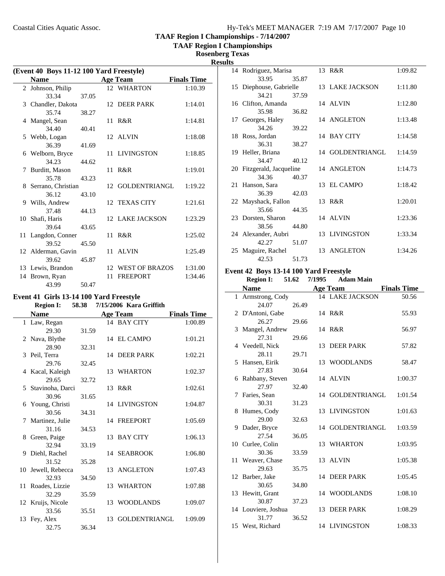**TAAF Region I Championships**

## **Rosenberg Texas Results**

|   | (Event 40 Boys 11-12 100 Yard Freestyle) |                           |    |                   |                    |  |  |
|---|------------------------------------------|---------------------------|----|-------------------|--------------------|--|--|
|   | <b>Name</b>                              | <b>Example 2</b> Age Team |    |                   | <b>Finals Time</b> |  |  |
|   | 2 Johnson, Philip                        |                           |    | 12 WHARTON        | 1:10.39            |  |  |
|   | 33.34                                    | 37.05                     |    |                   |                    |  |  |
|   | 3 Chandler, Dakota                       |                           |    | 12 DEER PARK      | 1:14.01            |  |  |
|   | 35.74                                    | 38.27                     |    |                   |                    |  |  |
|   | 4 Mangel, Sean                           |                           |    | 11 R&R            | 1:14.81            |  |  |
|   | 34.40                                    | 40.41                     |    |                   |                    |  |  |
|   | 5 Webb, Logan                            |                           |    | 12 ALVIN          | 1:18.08            |  |  |
|   | 36.39                                    | 41.69                     |    |                   |                    |  |  |
|   | 6 Welborn, Bryce                         |                           |    | 11 LIVINGSTON     | 1:18.85            |  |  |
|   | 34.23                                    | 44.62                     |    |                   |                    |  |  |
| 7 | Burditt, Mason                           |                           |    | 11 R&R            | 1:19.01            |  |  |
|   | 35.78                                    | 43.23                     |    |                   |                    |  |  |
|   | 8 Serrano, Christian                     |                           |    | 12 GOLDENTRIANGL  | 1:19.22            |  |  |
|   | 36.12                                    | 43.10                     |    |                   |                    |  |  |
|   | 9 Wills, Andrew                          |                           |    | 12 TEXAS CITY     | 1:21.61            |  |  |
|   | 37.48                                    | 44.13                     |    |                   |                    |  |  |
|   | 10 Shafi, Haris                          |                           |    | 12 LAKE JACKSON   | 1:23.29            |  |  |
|   | 39.64                                    | 43.65                     |    |                   |                    |  |  |
|   | 11 Langdon, Conner                       |                           |    | 11 R&R            | 1:25.02            |  |  |
|   | 39.52                                    | 45.50                     |    |                   |                    |  |  |
|   | 12 Alderman, Gavin                       |                           |    | 11 ALVIN          | 1:25.49            |  |  |
|   | 39.62                                    | 45.87                     |    |                   |                    |  |  |
|   | 13 Lewis, Brandon                        |                           |    | 12 WEST OF BRAZOS | 1:31.00            |  |  |
|   | 14 Brown, Ryan                           |                           | 11 | <b>FREEPORT</b>   | 1:34.46            |  |  |
|   | 43.99                                    | 50.47                     |    |                   |                    |  |  |

## **Event 41 Girls 13-14 100 Yard Freestyle**

# **Region I:** 58.38 7/15/2006 Kara Griffith

| <b>Name</b>                |       |                 | <b>Age Team</b>      | <b>Finals Time</b> |
|----------------------------|-------|-----------------|----------------------|--------------------|
| 1 Law, Regan               |       |                 | 14 BAY CITY          | 1:00.89            |
| 29.30                      | 31.59 |                 |                      |                    |
| 2 Nava, Blythe             |       |                 | 14 EL CAMPO          | 1:01.21            |
| 28.90                      | 32.31 |                 |                      |                    |
| 3 Peil, Terra              |       |                 | 14 DEER PARK         | 1:02.21            |
| 29.76                      | 32.45 |                 |                      |                    |
| 4 Kacal, Kaleigh           |       |                 | 13 WHARTON           | 1:02.37            |
| 29.65                      | 32.72 |                 |                      |                    |
| 5 Stavinoha, Darci         |       |                 | 13 R&R               | 1:02.61            |
| 30.96                      | 31.65 |                 |                      |                    |
| 6 Young, Christi           |       |                 | 14 LIVINGSTON        | 1:04.87            |
| 30.56                      | 34.31 |                 |                      |                    |
| 7 Martinez, Julie          |       |                 | 14 FREEPORT          | 1:05.69            |
| 31.16                      | 34.53 |                 |                      |                    |
| 8 Green, Paige             |       |                 | 13 BAY CITY          | 1:06.13            |
| 32.94                      | 33.19 |                 |                      |                    |
| 9 Diehl, Rachel            |       |                 | 14 SEABROOK          | 1:06.80            |
| 31.52                      | 35.28 |                 |                      |                    |
| 10 Jewell, Rebecca         |       |                 | 13 ANGLETON          | 1:07.43            |
| 32.93                      | 34.50 |                 |                      |                    |
| 11 Roades, Lizzie          |       |                 | 13 WHARTON           | 1:07.88            |
| 32.29                      | 35.59 |                 | 13 WOODLANDS         | 1:09.07            |
| 12 Kruijs, Nicole<br>33.56 | 35.51 |                 |                      |                    |
| 13 Fey, Alex               |       | 13 <sup>7</sup> | <b>GOLDENTRIANGL</b> | 1:09.09            |
| 32.75                      | 36.34 |                 |                      |                    |
|                            |       |                 |                      |                    |

| 14 Rodriguez, Marisa      |       | 13 R&R           | 1:09.82 |
|---------------------------|-------|------------------|---------|
| 33.95                     | 35.87 |                  |         |
| 15 Diephouse, Gabrielle   |       | 13 LAKE JACKSON  | 1:11.80 |
| 34.21                     | 37.59 |                  |         |
| 16 Clifton, Amanda        |       | 14 ALVIN         | 1:12.80 |
| 35.98                     | 36.82 |                  |         |
| 17 Georges, Haley         |       | 14 ANGLETON      | 1:13.48 |
| 34.26                     | 39.22 |                  |         |
| 18 Ross, Jordan           |       | 14 BAY CITY      | 1:14.58 |
| 36.31                     | 38.27 |                  |         |
| 19 Heller, Briana         |       | 14 GOLDENTRIANGL | 1:14.59 |
| 34.47                     | 40.12 |                  |         |
| 20 Fitzgerald, Jacqueline |       | 14 ANGLETON      | 1:14.73 |
| 34.36                     | 40.37 |                  |         |
| 21 Hanson, Sara           |       | 13 EL CAMPO      | 1:18.42 |
| 36.39                     | 42.03 |                  |         |
| 22 Mayshack, Fallon       |       | 13 R&R           | 1:20.01 |
| 35.66                     | 44.35 |                  |         |
| 23 Dorsten, Sharon        |       | 14 ALVIN         | 1:23.36 |
| 38.56                     | 44.80 |                  |         |
| 24 Alexander, Aubri       |       | 13 LIVINGSTON    | 1:33.34 |
| 42.27                     | 51.07 |                  |         |
| 25 Maguire, Rachel        |       | 13 ANGLETON      | 1:34.26 |
| 42.53                     | 51.73 |                  |         |

### **Event 42 Boys 13-14 100 Yard Freestyle<br>Region I: 51.62 7/1995 Adam Main Region I:** 51.62 7/1995

|   | <b>Name</b>               |       |    | Age Team               | <b>Finals Time</b> |
|---|---------------------------|-------|----|------------------------|--------------------|
|   | 1 Armstrong, Cody         |       |    | <b>14 LAKE JACKSON</b> | 50.56              |
|   | 24.07                     | 26.49 |    |                        |                    |
|   | 2 D'Antoni, Gabe          |       |    | 14 R&R                 | 55.93              |
|   | 26.27                     | 29.66 |    |                        |                    |
| 3 | Mangel, Andrew            |       |    | 14 R&R                 | 56.97              |
|   | 27.31                     | 29.66 |    |                        |                    |
|   | 4 Veedell, Nick           |       |    | 13 DEER PARK           | 57.82              |
|   | 28.11                     | 29.71 |    |                        |                    |
| 5 | Hansen, Eirik             |       |    | 13 WOODLANDS           | 58.47              |
|   | 27.83                     | 30.64 |    |                        |                    |
|   | 6 Rahbany, Steven         |       |    | 14 ALVIN               | 1:00.37            |
|   | 27.97                     | 32.40 |    |                        |                    |
|   | 7 Faries, Sean            |       |    | 14 GOLDENTRIANGL       | 1:01.54            |
|   | 30.31                     | 31.23 |    |                        |                    |
|   | 8 Humes, Cody             |       |    | 13 LIVINGSTON          | 1:01.63            |
|   | 29.00                     | 32.63 |    |                        |                    |
|   | 9 Dader, Bryce            |       |    | 14 GOLDENTRIANGL       | 1:03.59            |
|   | 27.54                     | 36.05 |    |                        |                    |
|   | 10 Curlee, Colin          |       |    | 13 WHARTON             | 1:03.95            |
|   | 30.36                     | 33.59 |    |                        |                    |
|   | 11 Weaver, Chase          |       |    | 13 ALVIN               | 1:05.38            |
|   | 29.63                     | 35.75 |    | 14 DEER PARK           | 1:05.45            |
|   | 12 Barber, Jake<br>30.65  |       |    |                        |                    |
|   |                           | 34.80 |    | 14 WOODLANDS           | 1:08.10            |
|   | 13 Hewitt, Grant<br>30.87 | 37.23 |    |                        |                    |
|   | 14 Louviere, Joshua       |       | 13 | <b>DEER PARK</b>       | 1:08.29            |
|   | 31.77                     | 36.52 |    |                        |                    |
|   | 15 West, Richard          |       |    | 14 LIVINGSTON          | 1:08.33            |
|   |                           |       |    |                        |                    |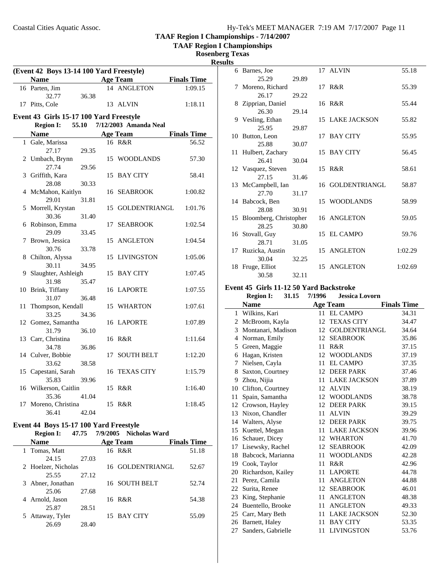**TAAF Region I Championships**

# **Rosenberg Texas**

**Results**

| (Event 42 Boys 13-14 100 Yard Freestyle) |                                         |       |    |                       |                    |
|------------------------------------------|-----------------------------------------|-------|----|-----------------------|--------------------|
|                                          | <b>Name</b>                             |       |    | <b>Age Team</b>       | <b>Finals Time</b> |
|                                          | 16 Parten, Jim                          |       |    | 14 ANGLETON           | 1:09.15            |
|                                          | 32.77                                   | 36.38 |    |                       |                    |
| 17                                       | Pitts, Cole                             |       |    | 13 ALVIN              | 1:18.11            |
|                                          | Event 43 Girls 15-17 100 Yard Freestyle |       |    |                       |                    |
|                                          | <b>Region I:</b>                        | 55.10 |    | 7/12/2003 Amanda Neal |                    |
|                                          | <b>Name</b>                             |       |    | <b>Age Team</b>       | <b>Finals Time</b> |
|                                          | 1 Gale, Marissa                         |       |    | 16 R&R                | 56.52              |
|                                          | 27.17                                   | 29.35 |    |                       |                    |
|                                          | 2 Umbach, Brynn                         |       |    | 15 WOODLANDS          | 57.30              |
|                                          | 27.74                                   | 29.56 |    |                       |                    |
| $\overline{3}$                           | Griffith, Kara                          |       |    | 15 BAY CITY           | 58.41              |
|                                          | 28.08                                   | 30.33 |    |                       |                    |
|                                          | 4 McMahon, Kaitlyn                      |       |    | 16 SEABROOK           | 1:00.82            |
|                                          | 29.01                                   | 31.81 |    |                       |                    |
| 5                                        | Morrell, Krystan                        |       |    | 15 GOLDENTRIANGL      | 1:01.76            |
|                                          | 30.36                                   | 31.40 |    |                       |                    |
|                                          | 6 Robinson, Emma                        |       | 17 | <b>SEABROOK</b>       | 1:02.54            |
|                                          | 29.09                                   | 33.45 |    |                       |                    |
| 7                                        | Brown, Jessica                          |       |    | 15 ANGLETON           | 1:04.54            |
|                                          | 30.76                                   | 33.78 |    |                       |                    |
|                                          | 8 Chilton, Alyssa                       |       |    | 15 LIVINGSTON         | 1:05.06            |
|                                          | 30.11                                   | 34.95 |    |                       |                    |
| 9                                        | Slaughter, Ashleigh                     |       |    | 15 BAY CITY           | 1:07.45            |
|                                          | 31.98                                   | 35.47 |    |                       |                    |
|                                          | 10 Brink, Tiffany<br>31.07              |       |    | 16 LAPORTE            | 1:07.55            |
| 11                                       | Thompson, Kendall                       | 36.48 |    | 15 WHARTON            | 1:07.61            |
|                                          | 33.25                                   | 34.36 |    |                       |                    |
|                                          | 12 Gomez, Samantha                      |       |    | 16 LAPORTE            | 1:07.89            |
|                                          | 31.79                                   | 36.10 |    |                       |                    |
|                                          | 13 Carr, Christina                      |       |    | 16 R&R                | 1:11.64            |
|                                          | 34.78                                   | 36.86 |    |                       |                    |
|                                          | 14 Culver, Bobbie                       |       |    | 17 SOUTH BELT         | 1:12.20            |
|                                          | 33.62                                   | 38.58 |    |                       |                    |
|                                          | 15 Capestani, Sarah                     |       |    | 16 TEXAS CITY         | 1:15.79            |
|                                          | 35.83                                   | 39.96 |    |                       |                    |
|                                          | 16 Wilkerson, Caitlin                   |       |    | 15 R&R                | 1:16.40            |
|                                          | 35.36                                   | 41.04 |    |                       |                    |
| 17                                       | Moreno, Christina                       |       |    | 15 R&R                | 1:18.45            |
|                                          | 36.41                                   | 42.04 |    |                       |                    |
|                                          |                                         |       |    |                       |                    |

### **Event 44 Boys 15-17 100 Yard Freestyle Region I:** 47.75 7/9/2005 **Nicholas Ward**

| <b>INCERTHE</b> .   | 77.73 | 7774003 | - Fulloids Wafu  |                    |       |
|---------------------|-------|---------|------------------|--------------------|-------|
| <b>Name</b>         |       |         | <b>Age Team</b>  | <b>Finals Time</b> |       |
| 1 Tomas, Matt       |       |         | 16 R&R           |                    | 51.18 |
| 24.15               | 27.03 |         |                  |                    |       |
| 2 Hoelzer, Nicholas |       |         | 16 GOLDENTRIANGL |                    | 52.67 |
| 25.55               | 27.12 |         |                  |                    |       |
| 3 Abner, Jonathan   |       |         | 16 SOUTH BELT    |                    | 52.74 |
| 25.06               | 27.68 |         |                  |                    |       |
| 4 Arnold, Jason     |       |         | 16 R&R           |                    | 54.38 |
| 25.87               | 28.51 |         |                  |                    |       |
| 5 Attaway, Tyler    |       |         | 15 BAY CITY      |                    | 55.09 |
| 26.69               | 28.40 |         |                  |                    |       |

| ய  |                           |       |                  |         |
|----|---------------------------|-------|------------------|---------|
|    | 6 Barnes, Joe             |       | 17 ALVIN         | 55.18   |
|    | 25.29                     | 29.89 |                  |         |
|    | 7 Moreno, Richard         |       | 17 R&R           | 55.39   |
|    | 26.17                     | 29.22 |                  |         |
|    | 8 Zipprian, Daniel        |       | 16 R&R           | 55.44   |
|    | 26.30                     | 29.14 |                  |         |
|    | 9 Vesling, Ethan          |       | 15 LAKE JACKSON  | 55.82   |
|    | 25.95                     | 29.87 |                  |         |
|    | 10 Button, Leon           |       | 17 BAY CITY      | 55.95   |
|    | 25.88                     | 30.07 |                  |         |
|    | 11 Hulbert, Zachary       |       | 15 BAY CITY      | 56.45   |
|    | 26.41                     | 30.04 |                  |         |
|    | 12 Vasquez, Steven        |       | 15 R&R           | 58.61   |
|    | 27.15                     | 31.46 |                  |         |
|    | 13 McCampbell, Ian        |       | 16 GOLDENTRIANGL | 58.87   |
|    | 27.70                     | 31.17 |                  |         |
|    | 14 Babcock, Ben           |       | 15 WOODLANDS     | 58.99   |
|    | 28.08                     | 30.91 |                  |         |
|    | 15 Bloomberg, Christopher |       | 16 ANGLETON      | 59.05   |
|    | 28.25                     | 30.80 |                  |         |
|    | 16 Stovall, Guy           |       | 15 EL CAMPO      | 59.76   |
|    | 28.71                     | 31.05 |                  |         |
|    | 17 Ruzicka, Austin        |       | 15 ANGLETON      | 1:02.29 |
|    | 30.04                     | 32.25 |                  |         |
| 18 | Fruge, Elliot             |       | 15 ANGLETON      | 1:02.69 |
|    | 30.58                     | 32.11 |                  |         |

# **Event 45 Girls 11-12 50 Yard Backstroke**<br>**Pagin L. 31.15 7/1996** Lessica

|              | <b>Region I:</b><br>31.15 | 7/1996 | <b>Jessica Lovorn</b> |                    |
|--------------|---------------------------|--------|-----------------------|--------------------|
|              | <b>Name</b>               |        | <b>Age Team</b>       | <b>Finals Time</b> |
| $\mathbf{1}$ | Wilkins, Kari             | 11     | <b>EL CAMPO</b>       | 34.31              |
| 2            | McBroom, Kayla            | 12     | <b>TEXAS CITY</b>     | 34.47              |
| 3            | Montanari, Madison        | 12     | <b>GOLDENTRIANGL</b>  | 34.64              |
| 4            | Norman, Emily             | 12     | <b>SEABROOK</b>       | 35.86              |
| 5            | Green, Maggie             | 11     | R&R                   | 37.15              |
| 6            | Hagan, Kristen            | 12     | <b>WOODLANDS</b>      | 37.19              |
| 7            | Nielsen, Cayla            | 11     | <b>EL CAMPO</b>       | 37.35              |
| 8            | Saxton, Courtney          | 12     | <b>DEER PARK</b>      | 37.46              |
| 9            | Zhou, Nijia               | 11     | <b>LAKE JACKSON</b>   | 37.89              |
| 10           | Clifton, Courtney         | 12     | <b>ALVIN</b>          | 38.19              |
| 11           | Spain, Samantha           | 12     | <b>WOODLANDS</b>      | 38.78              |
| 12           | Crowson, Hayley           | 12     | <b>DEER PARK</b>      | 39.15              |
| 13           | Nixon, Chandler           | 11     | <b>ALVIN</b>          | 39.29              |
| 14           | Walters, Alyse            | 12     | <b>DEER PARK</b>      | 39.75              |
| 15           | Kuettel, Megan            | 11     | <b>LAKE JACKSON</b>   | 39.96              |
| 16           | Schauer, Dicey            |        | 12 WHARTON            | 41.70              |
| 17           | Lisewsky, Rachel          | 12     | <b>SEABROOK</b>       | 42.09              |
| 18           | Babcock, Marianna         | 11     | <b>WOODLANDS</b>      | 42.28              |
| 19           | Cook, Taylor              | 11     | R&R                   | 42.96              |
| 20           | Richardson, Kailey        | 11     | <b>LAPORTE</b>        | 44.78              |
| 21           | Perez, Camila             | 11     | <b>ANGLETON</b>       | 44.88              |
| 22           | Surita, Renee             | 12     | <b>SEABROOK</b>       | 46.01              |
| 23           | King, Stephanie           | 11     | <b>ANGLETON</b>       | 48.38              |
| 24           | Buentello, Brooke         | 11     | <b>ANGLETON</b>       | 49.33              |
| 25           | Carr, Mary Beth           | 11     | <b>LAKE JACKSON</b>   | 52.30              |
| 26           | Barnett, Haley            | 11     | <b>BAY CITY</b>       | 53.35              |
| 27           | Sanders, Gabrielle        | 11     | <b>LIVINGSTON</b>     | 53.76              |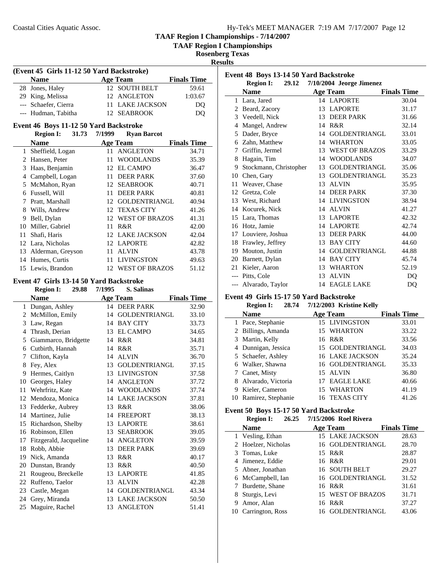**(Event 45 Girls 11-12 50 Yard Backstroke)**

## **TAAF Region I Championships - 7/14/2007**

**TAAF Region I Championships**

**Rosenberg Texas**

**Results**

|      | <b>Name</b>                              |        | <b>Age Team</b>                   | <b>Finals Time</b> |
|------|------------------------------------------|--------|-----------------------------------|--------------------|
| 28   | Jones, Haley                             |        | 12 SOUTH BELT                     | 59.61              |
|      | 29 King, Melissa                         |        | 12 ANGLETON                       | 1:03.67            |
|      | --- Schaefer, Cierra                     | 11     | <b>LAKE JACKSON</b>               | DQ                 |
|      | --- Hudman, Tabitha                      |        | 12 SEABROOK                       | DQ                 |
|      |                                          |        |                                   |                    |
|      | Event 46 Boys 11-12 50 Yard Backstroke   |        |                                   |                    |
|      | <b>Region I:</b><br>31.73                | 7/1999 | <b>Ryan Barcot</b>                |                    |
|      | <b>Name</b>                              |        | <b>Age Team</b>                   | <b>Finals Time</b> |
| 1    | Sheffield, Logan                         | 11     | <b>ANGLETON</b>                   | 34.71              |
|      | 2 Hansen, Peter                          | 11     | <b>WOODLANDS</b>                  | 35.39              |
|      | 3 Haas, Benjamin                         | 12     | <b>EL CAMPO</b>                   | 36.47              |
|      | 4 Campbell, Logan                        |        | 11 DEER PARK                      | 37.60              |
|      | 5 McMahon, Ryan                          |        | 12 SEABROOK                       | 40.71              |
|      | 6 Fussell, Will                          |        | 11 DEER PARK                      | 40.81              |
|      | 7 Pratt, Marshall                        |        | 12 GOLDENTRIANGL                  | 40.94              |
| 8    | Wills, Andrew                            |        | 12 TEXAS CITY                     | 41.26              |
|      | 9 Bell, Dylan                            |        | 12 WEST OF BRAZOS                 | 41.31              |
|      | 10 Miller, Gabriel                       |        | 11 R&R                            | 42.00              |
| 11 - | Shafi, Haris                             |        | 12 LAKE JACKSON                   | 42.04              |
|      | 12 Lara, Nicholas                        | 12     | <b>LAPORTE</b>                    | 42.82              |
|      | 13 Alderman, Greyson                     | 11     | <b>ALVIN</b>                      | 43.78              |
|      | 14 Humes, Curtis                         | 11     | <b>LIVINGSTON</b>                 | 49.63              |
|      | 15 Lewis, Brandon                        | 12     | <b>WEST OF BRAZOS</b>             | 51.12              |
|      | Event 47 Girls 13-14 50 Yard Backstroke  |        |                                   |                    |
|      | <b>Region I:</b><br>29.88                | 7/1995 | <b>S. Salinas</b>                 |                    |
|      | <b>Name</b>                              |        | <b>Age Team</b>                   | <b>Finals Time</b> |
|      | 1 Dungan, Ashley                         |        | 14 DEER PARK                      | 32.90              |
|      | 2 McMillon, Emily                        |        | 14 GOLDENTRIANGL                  | 33.10              |
|      | 3 Law, Regan                             |        | 14 BAY CITY                       | 33.73              |
|      | 4 Thrash, Derian                         |        | 13 EL CAMPO                       | 34.65              |
|      | 5 Giammarco, Bridgette                   |        | 14 R&R                            | 34.81              |
|      |                                          |        |                                   |                    |
|      |                                          |        | 14 R&R                            | 35.71              |
|      | 6 Cutbirth, Hannah                       |        | 14 ALVIN                          | 36.70              |
| 8    | 7 Clifton, Kayla                         |        |                                   | 37.15              |
| 9    | Fey, Alex                                |        | 13 GOLDENTRIANGL<br>13 LIVINGSTON | 37.58              |
|      | Hermes, Caitlyn<br>10 Georges, Haley     |        | 14 ANGLETON                       | 37.72              |
| 11   | Wehrfritz, Kate                          |        | 14 WOODLANDS                      | 37.74              |
| 12   | Mendoza, Monica                          |        | 14 LAKE JACKSON                   | 37.81              |
| 13   | Fedderke, Aubrey                         |        | 13 R&R                            | 38.06              |
| 14   | Martinez, Julie                          | 14     | <b>FREEPORT</b>                   | 38.13              |
| 15   | Richardson, Shelby                       | 13     | <b>LAPORTE</b>                    | 38.61              |
|      | 16 Robinson, Ellen                       | 13     | <b>SEABROOK</b>                   | 39.05              |
| 17   | Fitzgerald, Jacqueline                   |        | 14 ANGLETON                       | 39.59              |
| 18   | Robb, Abbie                              | 13     | <b>DEER PARK</b>                  | 39.69              |
| 19   | Nick, Amanda                             | 13     | R&R                               | 40.17              |
| 20   | Dunstan, Brandy                          | 13     | R&R                               | 40.50              |
| 21   |                                          | 13     | <b>LAPORTE</b>                    | 41.85              |
|      | Rougeou, Breckelle<br>22 Ruffeno, Taelor | 13     | <b>ALVIN</b>                      | 42.28              |
| 23   | Castle, Megan                            | 14     | <b>GOLDENTRIANGL</b>              | 43.34              |
| 24   | Grey, Miranda                            | 13     | <b>LAKE JACKSON</b>               | 50.50              |

| Event 48 Boys 13-14 50 Yard Backstroke |                           |    |                          |                    |
|----------------------------------------|---------------------------|----|--------------------------|--------------------|
|                                        | <b>Region I:</b><br>29.12 |    | 7/10/2004 Jeorge Jimenez |                    |
|                                        | <b>Name</b>               |    | <b>Age Team</b>          | <b>Finals Time</b> |
| 1                                      | Lara, Jared               |    | 14 LAPORTE               | 30.04              |
| 2                                      | Beard, Zacory             | 13 | <b>LAPORTE</b>           | 31.17              |
|                                        | 3 Veedell, Nick           | 13 | <b>DEER PARK</b>         | 31.66              |
| 4                                      | Mangel, Andrew            | 14 | R&R                      | 32.14              |
| 5                                      | Dader, Bryce              | 14 | <b>GOLDENTRIANGL</b>     | 33.01              |
| 6                                      | Zahn, Matthew             | 14 | <b>WHARTON</b>           | 33.05              |
| 7                                      | Griffin, Jermel           | 13 | <b>WEST OF BRAZOS</b>    | 33.29              |
| 8                                      | Hagain, Tim               |    | 14 WOODLANDS             | 34.07              |
| 9                                      | Stockmann, Christopher    | 13 | <b>GOLDENTRIANGL</b>     | 35.06              |
| 10                                     | Chen, Gary                | 13 | <b>GOLDENTRIANGL</b>     | 35.23              |
| 11                                     | Weaver, Chase             | 13 | <b>ALVIN</b>             | 35.95              |
| 12                                     | Gretza, Cole              | 14 | <b>DEER PARK</b>         | 37.30              |
|                                        | 13 West, Richard          | 14 | <b>LIVINGSTON</b>        | 38.94              |
|                                        | 14 Kocurek, Nick          |    | 14 ALVIN                 | 41.27              |
| 15                                     | Lara, Thomas              | 13 | LAPORTE                  | 42.32              |
| 16                                     | Hotz, Jamie               | 14 | <b>LAPORTE</b>           | 42.74              |
| 17                                     | Louviere, Joshua          | 13 | <b>DEER PARK</b>         | 44.00              |
| 18                                     | Frawley, Jeffrey          | 13 | <b>BAY CITY</b>          | 44.60              |
| 19                                     | Mouton, Justin            | 14 | <b>GOLDENTRIANGL</b>     | 44.88              |
| 20                                     | Barnett, Dylan            | 14 | <b>BAY CITY</b>          | 45.74              |
| 21                                     | Kieler, Aaron             | 13 | <b>WHARTON</b>           | 52.19              |
|                                        | --- Pitts, Cole           | 13 | <b>ALVIN</b>             | DO                 |
|                                        | --- Alvarado, Taylor      | 14 | <b>EAGLE LAKE</b>        | DO                 |

## **Event 49 Girls 15-17 50 Yard Backstroke**

|   | <b>Region I:</b><br>28.74 | 7/12/2003 Kristine Kelly |                    |
|---|---------------------------|--------------------------|--------------------|
|   | <b>Name</b>               | Age Team                 | <b>Finals Time</b> |
|   | 1 Pace, Stephanie         | 15 LIVINGSTON            | 33.01              |
|   | 2 Billings, Amanda        | 15 WHARTON               | 33.22              |
|   | 3 Martin, Kelly           | 16 R&R                   | 33.56              |
|   | 4 Dunnigan, Jessica       | 15 GOLDENTRIANGL         | 34.03              |
|   | 5 Schaefer, Ashley        | <b>16 LAKE JACKSON</b>   | 35.24              |
|   | 6 Walker, Shawna          | 16 GOLDENTRIANGL         | 35.33              |
|   | 7 Canet, Misty            | 15 ALVIN                 | 36.80              |
|   | 8 Alvarado, Victoria      | 17 EAGLE LAKE            | 40.66              |
| 9 | Kieler, Cameron           | 15 WHARTON               | 41.19              |
|   | 10 Ramirez, Stephanie     | 16 TEXAS CITY            | 41.26              |

## **Event 50 Boys 15-17 50 Yard Backstroke**

|    | <b>Region I:</b><br>26.25 | 7/15/2006 Roel Rivera |                    |
|----|---------------------------|-----------------------|--------------------|
|    | <b>Name</b>               | <b>Age Team</b>       | <b>Finals Time</b> |
|    | 1 Vesling, Ethan          | 15 LAKE JACKSON       | 28.63              |
|    | 2 Hoelzer, Nicholas       | 16 GOLDENTRIANGL      | 28.70              |
|    | 3 Tomas, Luke             | 15 R&R                | 28.87              |
|    | 4 Jimenez, Eddie          | 16 R&R                | 29.01              |
|    | 5 Abner, Jonathan         | 16 SOUTH BELT         | 29.27              |
|    | 6 McCampbell, Ian         | 16 GOLDENTRIANGL      | 31.52              |
|    | 7 Burdette, Shane         | 16 R&R                | 31.61              |
|    | Sturgis, Levi             | 15 WEST OF BRAZOS     | 31.71              |
| 9  | Amor, Alan                | 16 R&R                | 37.27              |
| 10 | Carrington, Ross          | <b>GOLDENTRIANGL</b>  | 43.06              |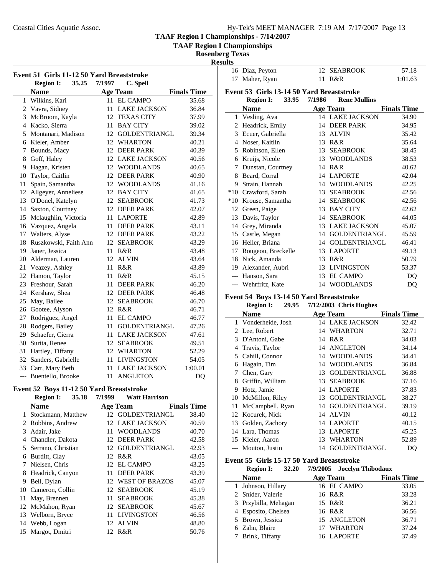**TAAF Region I Championships**

# **Rosenberg Texas**

 $\overline{\phantom{a}}$ 

**Results**

| Event 51 Girls 11-12 50 Yard Breaststroke<br>35.25<br>7/1997<br>C. Spell |                                 |      |                      |                    |
|--------------------------------------------------------------------------|---------------------------------|------|----------------------|--------------------|
|                                                                          | <b>Region I:</b><br><b>Name</b> |      | <b>Age Team</b>      | <b>Finals Time</b> |
|                                                                          | 1 Wilkins, Kari                 |      | 11 EL CAMPO          | 35.68              |
|                                                                          | 2 Vavra, Sidney                 | 11   | <b>LAKE JACKSON</b>  | 36.84              |
| 3                                                                        | McBroom, Kayla                  |      | 12 TEXAS CITY        | 37.99              |
|                                                                          | 4 Kacko, Sierra                 | 11-  | <b>BAY CITY</b>      | 39.02              |
| 5.                                                                       | Montanari, Madison              | 12   | <b>GOLDENTRIANGL</b> | 39.34              |
|                                                                          | 6 Kieler, Amber                 |      | 12 WHARTON           | 40.21              |
| 7                                                                        | Bounds, Macy                    |      | 12 DEER PARK         | 40.39              |
| 8                                                                        | Goff, Haley                     |      | 12 LAKE JACKSON      | 40.56              |
| 9                                                                        | Hagan, Kristen                  |      | 12 WOODLANDS         | 40.65              |
| 10                                                                       | Taylor, Caitlin                 | 12   | <b>DEER PARK</b>     | 40.90              |
| 11                                                                       | Spain, Samantha                 | 12   | <b>WOODLANDS</b>     | 41.16              |
| 12                                                                       | Allgeyer, Anneliese             |      | 12 BAY CITY          | 41.65              |
|                                                                          | 13 O'Donel, Katelyn             | 12   | <b>SEABROOK</b>      | 41.73              |
|                                                                          | 14 Saxton, Courtney             |      | 12 DEER PARK         | 42.07              |
|                                                                          | 15 Mclaughlin, Victoria         | 11 - | <b>LAPORTE</b>       | 42.89              |
|                                                                          | 16 Vazquez, Angela              | 11   | <b>DEER PARK</b>     | 43.11              |
|                                                                          | 17 Walters, Alyse               |      | 12 DEER PARK         | 43.22              |
|                                                                          | 18 Ruszkowski, Faith Ann        |      | 12 SEABROOK          | 43.29              |
|                                                                          | 19 Janer, Jessica               |      | 11 R&R               | 43.48              |
|                                                                          | 20 Alderman, Lauren             |      | 12 ALVIN             | 43.64              |
|                                                                          | 21 Veazey, Ashley               | 11   | R&R                  | 43.89              |
|                                                                          | 22 Hamon, Taylor                | 11   | R&R                  | 45.15              |
| 23                                                                       | Freshour, Sarah                 | 11   | <b>DEER PARK</b>     | 46.20              |
|                                                                          | 24 Kershaw, Shea                |      | 12 DEER PARK         | 46.48              |
| 25                                                                       | May, Bailee                     |      | 12 SEABROOK          | 46.70              |
|                                                                          | 26 Gootee, Alyson               |      | 12 R&R               | 46.71              |
| 27                                                                       | Rodriguez, Angel                |      | 11 EL CAMPO          | 46.77              |
| 28                                                                       | Rodgers, Bailey                 |      | 11 GOLDENTRIANGL     | 47.26              |
| 29                                                                       | Schaefer, Cierra                |      | 11 LAKE JACKSON      | 47.61              |
|                                                                          | 30 Surita, Renee                |      | 12 SEABROOK          | 49.51              |
|                                                                          | 31 Hartley, Tiffany             |      | 12 WHARTON           | 52.29              |
|                                                                          | 32 Sanders, Gabrielle           |      | 11 LIVINGSTON        | 54.05              |
|                                                                          | 33 Carr, Mary Beth              | 11   | <b>LAKE JACKSON</b>  | 1:00.01            |
|                                                                          | --- Buentello, Brooke           | 11   | <b>ANGLETON</b>      | DQ                 |

## **Event 52 Boys 11-12 50 Yard Breaststroke**

| <b>Region I:</b><br>35.18          | 7/1999 | <b>Watt Harrison</b> |                                                                                                                            |
|------------------------------------|--------|----------------------|----------------------------------------------------------------------------------------------------------------------------|
| Name                               |        |                      | <b>Finals Time</b>                                                                                                         |
| Stockmann, Matthew<br>$\mathbf{1}$ |        |                      | 38.40                                                                                                                      |
| Robbins, Andrew                    |        |                      | 40.59                                                                                                                      |
| Adair, Jake                        | 11     | <b>WOODLANDS</b>     | 40.70                                                                                                                      |
| Chandler, Dakota                   | 12.    | <b>DEER PARK</b>     | 42.58                                                                                                                      |
| Serrano, Christian                 | 12     | <b>GOLDENTRIANGL</b> | 42.93                                                                                                                      |
| Burditt, Clay                      | 12.    | R&R                  | 43.05                                                                                                                      |
| Nielsen, Chris                     |        |                      | 43.25                                                                                                                      |
| Headrick, Canyon                   | 11     | <b>DEER PARK</b>     | 43.39                                                                                                                      |
| Bell, Dylan                        | 12     |                      | 45.07                                                                                                                      |
| Cameron, Collin                    | 12     | <b>SEABROOK</b>      | 45.19                                                                                                                      |
| May, Brennen                       | 11     | <b>SEABROOK</b>      | 45.38                                                                                                                      |
| 12 McMahon, Ryan                   |        |                      | 45.67                                                                                                                      |
| Welborn, Bryce                     | 11     | <b>LIVINGSTON</b>    | 46.56                                                                                                                      |
| Webb, Logan                        |        | <b>ALVIN</b>         | 48.80                                                                                                                      |
| Margot, Dmitri                     |        |                      | 50.76                                                                                                                      |
|                                    |        |                      | Age Team<br>12 GOLDENTRIANGL<br>12 LAKE JACKSON<br><b>EL CAMPO</b><br>12.<br>WEST OF BRAZOS<br>12 SEABROOK<br>12<br>12 R&R |

| 16 Diaz, Peyton | 12 SEABROOK | 57.18   |
|-----------------|-------------|---------|
| 17 Maher, Ryan  | 11 R&R      | 1:01.63 |

### **Event 53 Girls 13-14 50 Yard Breaststroke**

|              | 33.95<br><b>Region I:</b> | 7/1986 | <b>Rene Mullins</b>    |                    |
|--------------|---------------------------|--------|------------------------|--------------------|
|              | <b>Name</b>               |        | Age Team               | <b>Finals Time</b> |
| $\mathbf{1}$ | Vesling, Ava              |        | <b>14 LAKE JACKSON</b> | 34.90              |
| 2            | Headrick, Emily           | 14     | <b>DEER PARK</b>       | 34.95              |
| 3            | Ecuer, Gabriella          | 13     | <b>ALVIN</b>           | 35.42              |
| 4            | Noser, Kaitlin            | 13     | R&R                    | 35.64              |
| 5            | Robinson, Ellen           | 13     | <b>SEABROOK</b>        | 38.45              |
| 6            | Kruijs, Nicole            | 13     | <b>WOODLANDS</b>       | 38.53              |
| 7            | Dunstan, Courtney         | 14     | R&R                    | 40.62              |
| 8            | Beard, Corral             | 14     | <b>LAPORTE</b>         | 42.04              |
| 9            | Strain, Hannah            | 14     | <b>WOODLANDS</b>       | 42.25              |
| $*10$        | Crawford, Sarah           | 13     | <b>SEABROOK</b>        | 42.56              |
| $*10$        | Krouse, Samantha          | 14     | <b>SEABROOK</b>        | 42.56              |
| 12           | Green, Paige              | 13     | <b>BAY CITY</b>        | 42.62              |
| 13           | Davis, Taylor             | 14     | <b>SEABROOK</b>        | 44.05              |
| 14           | Grey, Miranda             | 13     | <b>LAKE JACKSON</b>    | 45.07              |
| 15           | Castle, Megan             | 14     | <b>GOLDENTRIANGL</b>   | 45.59              |
| 16           | Heller, Briana            | 14     | <b>GOLDENTRIANGL</b>   | 46.41              |
| 17           | Rougeou, Breckelle        | 13     | <b>LAPORTE</b>         | 49.13              |
| 18           | Nick, Amanda              | 13     | R&R                    | 50.79              |
| 19           | Alexander, Aubri          | 13     | <b>LIVINGSTON</b>      | 53.37              |
|              | Hanson, Sara              | 13     | <b>EL CAMPO</b>        | DQ                 |
|              | --- Wehrfritz, Kate       |        | 14 WOODLANDS           | DQ                 |

## **Event 54 Boys 13-14 50 Yard Breaststroke**

|   | <b>Region I:</b>    | 29.95 7/12/2003 Chris Hughes |                    |
|---|---------------------|------------------------------|--------------------|
|   | <b>Name</b>         | Age Team                     | <b>Finals Time</b> |
|   | 1 Vonderheide, Josh | 14 LAKE JACKSON              | 32.42              |
|   | 2 Lee, Robert       | 14 WHARTON                   | 32.71              |
|   | 3 D'Antoni, Gabe    | 14 R&R                       | 34.03              |
|   | 4 Travis, Taylor    | 14 ANGLETON                  | 34.14              |
|   | 5 Cahill, Connor    | 14 WOODLANDS                 | 34.41              |
| 6 | Hagain, Tim         | 14 WOODLANDS                 | 36.84              |
|   | 7 Chen, Gary        | <b>GOLDENTRIANGL</b><br>13   | 36.88              |
| 8 | Griffin, William    | 13 SEABROOK                  | 37.16              |
| 9 | Hotz, Jamie         | 14 LAPORTE                   | 37.83              |
|   | 10 McMillon, Riley  | 13 GOLDENTRIANGL             | 38.27              |
|   | 11 McCampbell, Ryan | 14 GOLDENTRIANGL             | 39.19              |
|   | 12 Kocurek, Nick    | 14 ALVIN                     | 40.12              |
|   | 13 Golden, Zachory  | 14 LAPORTE                   | 40.15              |
|   | 14 Lara, Thomas     | 13 LAPORTE                   | 45.25              |
|   | 15 Kieler, Aaron    | WHARTON<br>13                | 52.89              |
|   | --- Mouton, Justin  | <b>GOLDENTRIANGL</b><br>14   | DQ                 |

### **Event 55 Girls 15-17 50 Yard Breaststroke**

| <b>Region I:</b>     | 32.20 | 7/9/2005 Jocelyn Thibodaux |                    |
|----------------------|-------|----------------------------|--------------------|
| <b>Name</b>          |       | <b>Age Team</b>            | <b>Finals Time</b> |
| 1 Johnson, Hillary   |       | 16 EL CAMPO                | 33.05              |
| 2 Snider, Valerie    |       | 16 R&R                     | 33.28              |
| 3 Przybilla, Mehagan |       | 15 R&R                     | 36.21              |
| 4 Esposito, Chelsea  |       | 16 R&R                     | 36.56              |
| 5 Brown, Jessica     |       | 15 ANGLETON                | 36.71              |
| 6 Zahn, Blaire       |       | <b>WHARTON</b>             | 37.24              |
| 7 Brink, Tiffany     |       | 16 LAPORTE                 | 37.49              |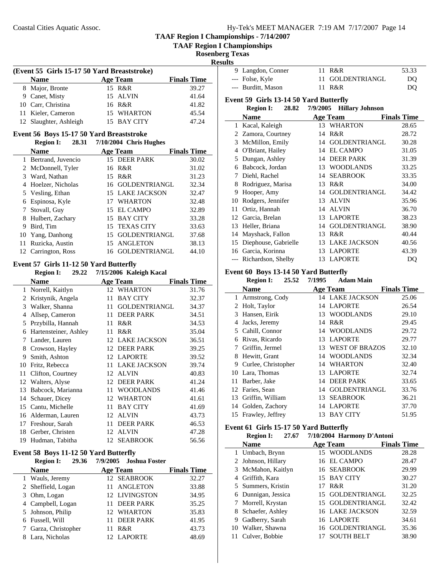**TAAF Region I Championships**

## **Rosenberg Texas**

 $\overline{a}$ 

| (Event 55 Girls 15-17 50 Yard Breaststroke) |                 |                    |
|---------------------------------------------|-----------------|--------------------|
| <b>Name</b>                                 | <b>Age Team</b> | <b>Finals Time</b> |
| 8 Major, Bronte                             | 15 R&R          | 39.27              |
| 9 Canet, Misty                              | 15 ALVIN        | 41.64              |
| 10 Carr, Christina                          | 16 R&R          | 41.82              |
| 11 Kieler, Cameron                          | 15 WHARTON      | 45.54              |
| 12 Slaughter, Ashleigh                      | 15 BAY CITY     | 47 24              |

## **Event 56 Boys 15-17 50 Yard Breaststroke**

### **Region I: 28.31 7/10/2004 Chris Hughes**

|   | Name                 |     | <b>Age Team</b>      | <b>Finals Time</b> |
|---|----------------------|-----|----------------------|--------------------|
|   | 1 Bertrand, Juvencio |     | 15 DEER PARK         | 30.02              |
|   | 2 McDonnell, Tyler   |     | 16 R&R               | 31.02              |
|   | 3 Ward, Nathan       |     | 15 R&R               | 31.23              |
|   | 4 Hoelzer, Nicholas  |     | 16 GOLDENTRIANGL     | 32.34              |
|   | 5 Vesling, Ethan     |     | 15 LAKE JACKSON      | 32.47              |
|   | 6 Espinosa, Kyle     |     | 17 WHARTON           | 32.48              |
|   | 7 Stovall, Guy       |     | 15 EL CAMPO          | 32.89              |
|   | 8 Hulbert, Zachary   |     | 15 BAY CITY          | 33.28              |
| 9 | Bird, Tim            |     | 15 TEXAS CITY        | 33.63              |
|   | 10 Yang, Danhong     | 15  | <b>GOLDENTRIANGL</b> | 37.68              |
|   | 11 Ruzicka, Austin   |     | 15 ANGLETON          | 38.13              |
|   | 12 Carrington, Ross  | 16. | <b>GOLDENTRIANGL</b> | 44.10              |

### **Event 57 Girls 11-12 50 Yard Butterfly**

## **Region I: 29.22 7/15/2006** Kaleigh Kacal **Name Age Team Finals Time**

|    | 1 Norrell, Kaitlyn    |    | 12 WHARTON       | 31.76 |
|----|-----------------------|----|------------------|-------|
|    | 2 Kristynik, Angela   | 11 | <b>BAY CITY</b>  | 32.37 |
|    | 3 Walker, Shanna      | 11 | GOLDENTRIANGL    | 34.37 |
| 4  | Allsep, Cameron       | 11 | <b>DEER PARK</b> | 34.51 |
| 5  | Przybilla, Hannah     | 11 | R&R              | 34.53 |
| 6  | Hartensteiner, Ashley | 11 | R&R              | 35.04 |
| 7  | Lander, Lauren        |    | 12 LAKE JACKSON  | 36.51 |
| 8  | Crowson, Hayley       |    | 12 DEER PARK     | 39.25 |
| 9  | Smith, Ashton         |    | 12 LAPORTE       | 39.52 |
| 10 | Fritz, Rebecca        |    | 11 LAKE JACKSON  | 39.74 |
|    | 11 Clifton, Courtney  |    | 12 ALVIN         | 40.83 |
|    | 12 Walters, Alyse     |    | 12 DEER PARK     | 41.24 |
| 13 | Babcock, Marianna     | 11 | <b>WOODLANDS</b> | 41.46 |
|    | 14 Schauer, Dicey     |    | 12 WHARTON       | 41.61 |
|    | 15 Cantu, Michelle    | 11 | <b>BAY CITY</b>  | 41.69 |
|    | 16 Alderman, Lauren   |    | 12 ALVIN         | 43.73 |
| 17 | Freshour, Sarah       | 11 | <b>DEER PARK</b> | 46.53 |
|    | 18 Gerber, Christen   |    | 12 ALVIN         | 47.28 |
|    | 19 Hudman, Tabitha    |    | 12 SEABROOK      | 56.56 |

### **Event 58 Boys 11-12 50 Yard Butterfly**

| <b>Region I:</b><br>29.36 | 7/9/2005 Joshua Foster |                    |
|---------------------------|------------------------|--------------------|
| <b>Name</b>               | <b>Age Team</b>        | <b>Finals Time</b> |
| 1 Wauls, Jeremy           | 12 SEABROOK            | 32.27              |
| 2 Sheffield, Logan        | 11 ANGLETON            | 33.88              |
| 3 Ohm, Logan              | 12 LIVINGSTON          | 34.95              |
| 4 Campbell, Logan         | 11 DEER PARK           | 35.25              |
| 5 Johnson, Philip         | 12 WHARTON             | 35.83              |
| 6 Fussell, Will           | 11 DEER PARK           | 41.95              |
| 7 Garza, Christopher      | R&R<br>11              | 43.73              |
| Lara, Nicholas            | 12 LAPORTE             | 48.69              |

| Langdon, Conner           | 11 | R&R                    | 53.33                                                                                                                                          |
|---------------------------|----|------------------------|------------------------------------------------------------------------------------------------------------------------------------------------|
| Folse, Kyle               | 11 | <b>GOLDENTRIANGL</b>   | DO                                                                                                                                             |
| Burditt, Mason            | 11 | R&R                    | DQ                                                                                                                                             |
|                           |    |                        |                                                                                                                                                |
| <b>Region I:</b><br>28.82 |    | <b>Hillary Johnson</b> |                                                                                                                                                |
| <b>Name</b>               |    |                        | <b>Finals Time</b>                                                                                                                             |
| Kacal, Kaleigh            |    |                        | 28.65                                                                                                                                          |
| Zamora, Courtney          | 14 | R&R                    | 28.72                                                                                                                                          |
| McMillon, Emily           | 14 | <b>GOLDENTRIANGL</b>   | 30.28                                                                                                                                          |
| O'Briant, Hailey          | 14 | <b>EL CAMPO</b>        | 31.05                                                                                                                                          |
| Dungan, Ashley            | 14 |                        | 31.39                                                                                                                                          |
| Babcock, Jordan           | 13 |                        | 33.25                                                                                                                                          |
| Diehl, Rachel             | 14 | <b>SEABROOK</b>        | 33.35                                                                                                                                          |
| Rodriguez, Marisa         | 13 | R&R                    | 34.00                                                                                                                                          |
| Hooper, Amy               | 14 | <b>GOLDENTRIANGL</b>   | 34.42                                                                                                                                          |
| Rodgers, Jennifer         | 13 | <b>ALVIN</b>           | 35.96                                                                                                                                          |
| Ortiz, Hannah             | 14 | <b>ALVIN</b>           | 36.70                                                                                                                                          |
| Garcia, Brelan            | 13 | <b>LAPORTE</b>         | 38.23                                                                                                                                          |
| Heller, Briana            | 14 | <b>GOLDENTRIANGL</b>   | 38.90                                                                                                                                          |
| Mayshack, Fallon          | 13 | R&R                    | 40.44                                                                                                                                          |
| Diephouse, Gabrielle      |    |                        | 40.56                                                                                                                                          |
|                           |    |                        | Event 59 Girls 13-14 50 Yard Butterfly<br>7/9/2005<br><b>Age Team</b><br>13 WHARTON<br><b>DEER PARK</b><br><b>WOODLANDS</b><br>13 LAKE JACKSON |

16 43.39 Garcia, Korinna 13 LAPORTE --- Richardson, Shelby 13 LAPORTE DQ

## **Event 60 Boys 13-14 50 Yard Butterfly**

|              | <b>Region I:</b><br>25.52 | 7/1995 | <b>Adam Main</b>      |                    |
|--------------|---------------------------|--------|-----------------------|--------------------|
|              | <b>Name</b>               |        | <b>Age Team</b>       | <b>Finals Time</b> |
| $\mathbf{1}$ | Armstrong, Cody           |        | 14 LAKE JACKSON       | 25.06              |
| 2            | Holt, Taylor              |        | 14 LAPORTE            | 26.54              |
| 3            | Hansen, Eirik             | 13     | <b>WOODLANDS</b>      | 29.10              |
| 4            | Jacks, Jeremy             | 14     | R&R                   | 29.45              |
| 5.           | Cahill, Connor            |        | 14 WOODLANDS          | 29.72              |
| 6            | Rivas, Ricardo            | 13     | <b>LAPORTE</b>        | 29.77              |
| 7            | Griffin, Jermel           | 13     | <b>WEST OF BRAZOS</b> | 32.10              |
| 8            | Hewitt, Grant             | 14     | <b>WOODLANDS</b>      | 32.34              |
| 9            | Curlee, Christopher       |        | 14 WHARTON            | 32.40              |
|              | 10 Lara, Thomas           |        | 13 LAPORTE            | 32.74              |
| 11           | Barber, Jake              | 14     | <b>DEER PARK</b>      | 33.65              |
| 12           | Faries, Sean              | 14     | <b>GOLDENTRIANGL</b>  | 33.76              |
| 13           | Griffin, William          | 13     | <b>SEABROOK</b>       | 36.21              |
| 14           | Golden, Zachory           | 14     | <b>LAPORTE</b>        | 37.70              |
| 15           | Frawley, Jeffrey          | 13     | BAY CITY              | 51.95              |

### **Event 61 Girls 15-17 50 Yard Butterfly**

**Region I: 27.67 7/10/2004 Harmony D'Antoni** 

|    | <b>Name</b>         |     | <b>Age Team</b>        | <b>Finals Time</b> |
|----|---------------------|-----|------------------------|--------------------|
|    | 1 Umbach, Brynn     |     | 15 WOODLANDS           | 28.28              |
|    | 2 Johnson, Hillary  |     | 16 EL CAMPO            | 28.47              |
|    | 3 McMahon, Kaitlyn  |     | 16 SEABROOK            | 29.99              |
|    | 4 Griffith, Kara    |     | 15 BAY CITY            | 30.27              |
|    | 5 Summers, Kristin  | 17. | R&R                    | 31.20              |
|    | 6 Dunnigan, Jessica |     | 15 GOLDENTRIANGL       | 32.25              |
| 7  | Morrell, Krystan    |     | 15 GOLDENTRIANGL       | 32.42              |
|    | 8 Schaefer, Ashley  |     | <b>16 LAKE JACKSON</b> | 32.59              |
| 9  | Gadberry, Sarah     |     | 16 LAPORTE             | 34.61              |
| 10 | Walker, Shawna      |     | 16 GOLDENTRIANGL       | 35.36              |
|    | Culver, Bobbie      |     | <b>SOUTH BELT</b>      | 38.90              |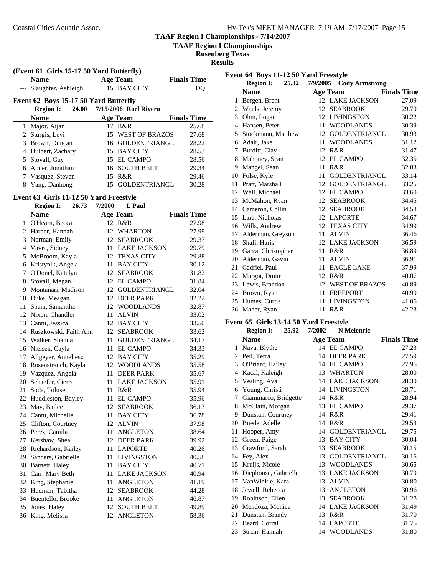**TAAF Region I Championships**

**Rosenberg Texas**

**Results**

| <b>Name</b><br><b>Age Team</b><br><b>Finals Time</b><br>Slaughter, Ashleigh<br>15 BAY CITY<br>DQ<br>Event 62 Boys 15-17 50 Yard Butterfly<br>24.00<br>7/15/2006 Roel Rivera<br><b>Region I:</b><br><b>Age Team</b><br><b>Finals Time</b><br><b>Name</b><br>Major, Aijan<br>17 R&R<br>25.68<br>1<br>2 Sturgis, Levi<br>15 WEST OF BRAZOS<br>27.68<br>3 Brown, Duncan<br>16 GOLDENTRIANGL<br>28.22<br>4 Hulbert, Zachary<br>15 BAY CITY<br>28.53<br>5 Stovall, Guy<br>15 EL CAMPO<br>28.56<br>6 Abner, Jonathan<br>16 SOUTH BELT<br>29.34<br>Vasquez, Steven<br>7<br>15 R&R<br>29.46<br>8 Yang, Danhong<br><b>GOLDENTRIANGL</b><br>30.28<br>15<br>Event 63 Girls 11-12 50 Yard Freestyle<br>26.73<br>7/2000<br><b>Region I:</b><br>L Paul<br><b>Name</b><br><b>Age Team</b><br><b>Finals Time</b><br>1 O'Hearn, Becca<br>12 R&R<br>27.98<br>2 Harper, Hannah<br>12 WHARTON<br>27.99<br>3 Norman, Emily<br>12 SEABROOK<br>29.37<br>4 Vavra, Sidney<br>11 LAKE JACKSON<br>29.79<br>McBroom, Kayla<br>5<br>12 TEXAS CITY<br>29.88<br>Kristynik, Angela<br>11 BAY CITY<br>30.12<br>6<br>7<br>O'Donel, Katelyn<br>12 SEABROOK<br>31.82<br>8<br>Stovall, Megan<br>12 EL CAMPO<br>31.84<br>Montanari, Madison<br>12<br>GOLDENTRIANGL<br>32.04<br>9<br>10 Duke, Meagan<br>12 DEER PARK<br>32.22<br>Spain, Samantha<br>12 WOODLANDS<br>11<br>32.87<br>12 Nixon, Chandler<br>11<br><b>ALVIN</b><br>33.02<br>13 Cantu, Jessica<br>12 BAY CITY<br>33.50<br>12 SEABROOK<br>14 Ruszkowski, Faith Ann<br>33.62<br>15 Walker, Shanna<br>11 GOLDENTRIANGL<br>34.17<br>11 EL CAMPO<br>34.33<br>16 Nielsen, Cayla<br>Allgeyer, Anneliese<br>12 BAY CITY<br>35.29<br>17<br>Rosenstrauch, Kayla<br>18<br>12 WOODLANDS<br>35.58<br>19 Vazquez, Angela<br><b>DEER PARK</b><br>11<br>35.67<br>20 Schaefer, Cierra<br><b>LAKE JACKSON</b><br>11<br>35.91<br>35.94<br>R&R<br>21<br>Soda, Toluse<br>11<br><b>EL CAMPO</b><br>Huddleston, Bayley<br>11<br>35.96<br>22<br>May, Bailee<br>12<br><b>SEABROOK</b><br>23<br>36.13<br>24<br>Cantu, Michelle<br>11<br><b>BAY CITY</b><br>36.78<br>25<br>Clifton, Courtney<br>12<br><b>ALVIN</b><br>37.98<br>26 Perez, Camila<br>11<br><b>ANGLETON</b><br>38.64<br>27<br>Kershaw, Shea<br>12<br><b>DEER PARK</b><br>39.92<br>Richardson, Kailey<br>28<br><b>LAPORTE</b><br>40.26<br>11<br>29<br>Sanders, Gabrielle<br>11<br><b>LIVINGSTON</b><br>40.58<br>30<br>Barnett, Haley<br><b>BAY CITY</b><br>40.71<br>11<br>31<br>Carr, Mary Beth<br><b>LAKE JACKSON</b><br>40.94<br>11<br>King, Stephanie<br>32<br>11<br><b>ANGLETON</b><br>41.19<br>33<br>Hudman, Tabitha<br>12<br><b>SEABROOK</b><br>44.28<br>34<br>Buentello, Brooke<br>11<br>ANGLETON<br>46.87<br>35<br>Jones, Haley<br>12<br><b>SOUTH BELT</b><br>49.89<br>King, Melissa<br>36<br>12<br><b>ANGLETON</b><br>58.36 | (Event 61 Girls 15-17 50 Yard Butterfly) |  |  |  |  |  |  |
|------------------------------------------------------------------------------------------------------------------------------------------------------------------------------------------------------------------------------------------------------------------------------------------------------------------------------------------------------------------------------------------------------------------------------------------------------------------------------------------------------------------------------------------------------------------------------------------------------------------------------------------------------------------------------------------------------------------------------------------------------------------------------------------------------------------------------------------------------------------------------------------------------------------------------------------------------------------------------------------------------------------------------------------------------------------------------------------------------------------------------------------------------------------------------------------------------------------------------------------------------------------------------------------------------------------------------------------------------------------------------------------------------------------------------------------------------------------------------------------------------------------------------------------------------------------------------------------------------------------------------------------------------------------------------------------------------------------------------------------------------------------------------------------------------------------------------------------------------------------------------------------------------------------------------------------------------------------------------------------------------------------------------------------------------------------------------------------------------------------------------------------------------------------------------------------------------------------------------------------------------------------------------------------------------------------------------------------------------------------------------------------------------------------------------------------------------------------------------------------------------------------------------------------------------------------------------------------------------------------------------------------------------------------------------------------------------------------------------------------------------------------------------------------|------------------------------------------|--|--|--|--|--|--|
|                                                                                                                                                                                                                                                                                                                                                                                                                                                                                                                                                                                                                                                                                                                                                                                                                                                                                                                                                                                                                                                                                                                                                                                                                                                                                                                                                                                                                                                                                                                                                                                                                                                                                                                                                                                                                                                                                                                                                                                                                                                                                                                                                                                                                                                                                                                                                                                                                                                                                                                                                                                                                                                                                                                                                                                          |                                          |  |  |  |  |  |  |
|                                                                                                                                                                                                                                                                                                                                                                                                                                                                                                                                                                                                                                                                                                                                                                                                                                                                                                                                                                                                                                                                                                                                                                                                                                                                                                                                                                                                                                                                                                                                                                                                                                                                                                                                                                                                                                                                                                                                                                                                                                                                                                                                                                                                                                                                                                                                                                                                                                                                                                                                                                                                                                                                                                                                                                                          |                                          |  |  |  |  |  |  |
|                                                                                                                                                                                                                                                                                                                                                                                                                                                                                                                                                                                                                                                                                                                                                                                                                                                                                                                                                                                                                                                                                                                                                                                                                                                                                                                                                                                                                                                                                                                                                                                                                                                                                                                                                                                                                                                                                                                                                                                                                                                                                                                                                                                                                                                                                                                                                                                                                                                                                                                                                                                                                                                                                                                                                                                          |                                          |  |  |  |  |  |  |
|                                                                                                                                                                                                                                                                                                                                                                                                                                                                                                                                                                                                                                                                                                                                                                                                                                                                                                                                                                                                                                                                                                                                                                                                                                                                                                                                                                                                                                                                                                                                                                                                                                                                                                                                                                                                                                                                                                                                                                                                                                                                                                                                                                                                                                                                                                                                                                                                                                                                                                                                                                                                                                                                                                                                                                                          |                                          |  |  |  |  |  |  |
|                                                                                                                                                                                                                                                                                                                                                                                                                                                                                                                                                                                                                                                                                                                                                                                                                                                                                                                                                                                                                                                                                                                                                                                                                                                                                                                                                                                                                                                                                                                                                                                                                                                                                                                                                                                                                                                                                                                                                                                                                                                                                                                                                                                                                                                                                                                                                                                                                                                                                                                                                                                                                                                                                                                                                                                          |                                          |  |  |  |  |  |  |
|                                                                                                                                                                                                                                                                                                                                                                                                                                                                                                                                                                                                                                                                                                                                                                                                                                                                                                                                                                                                                                                                                                                                                                                                                                                                                                                                                                                                                                                                                                                                                                                                                                                                                                                                                                                                                                                                                                                                                                                                                                                                                                                                                                                                                                                                                                                                                                                                                                                                                                                                                                                                                                                                                                                                                                                          |                                          |  |  |  |  |  |  |
|                                                                                                                                                                                                                                                                                                                                                                                                                                                                                                                                                                                                                                                                                                                                                                                                                                                                                                                                                                                                                                                                                                                                                                                                                                                                                                                                                                                                                                                                                                                                                                                                                                                                                                                                                                                                                                                                                                                                                                                                                                                                                                                                                                                                                                                                                                                                                                                                                                                                                                                                                                                                                                                                                                                                                                                          |                                          |  |  |  |  |  |  |
|                                                                                                                                                                                                                                                                                                                                                                                                                                                                                                                                                                                                                                                                                                                                                                                                                                                                                                                                                                                                                                                                                                                                                                                                                                                                                                                                                                                                                                                                                                                                                                                                                                                                                                                                                                                                                                                                                                                                                                                                                                                                                                                                                                                                                                                                                                                                                                                                                                                                                                                                                                                                                                                                                                                                                                                          |                                          |  |  |  |  |  |  |
|                                                                                                                                                                                                                                                                                                                                                                                                                                                                                                                                                                                                                                                                                                                                                                                                                                                                                                                                                                                                                                                                                                                                                                                                                                                                                                                                                                                                                                                                                                                                                                                                                                                                                                                                                                                                                                                                                                                                                                                                                                                                                                                                                                                                                                                                                                                                                                                                                                                                                                                                                                                                                                                                                                                                                                                          |                                          |  |  |  |  |  |  |
|                                                                                                                                                                                                                                                                                                                                                                                                                                                                                                                                                                                                                                                                                                                                                                                                                                                                                                                                                                                                                                                                                                                                                                                                                                                                                                                                                                                                                                                                                                                                                                                                                                                                                                                                                                                                                                                                                                                                                                                                                                                                                                                                                                                                                                                                                                                                                                                                                                                                                                                                                                                                                                                                                                                                                                                          |                                          |  |  |  |  |  |  |
|                                                                                                                                                                                                                                                                                                                                                                                                                                                                                                                                                                                                                                                                                                                                                                                                                                                                                                                                                                                                                                                                                                                                                                                                                                                                                                                                                                                                                                                                                                                                                                                                                                                                                                                                                                                                                                                                                                                                                                                                                                                                                                                                                                                                                                                                                                                                                                                                                                                                                                                                                                                                                                                                                                                                                                                          |                                          |  |  |  |  |  |  |
|                                                                                                                                                                                                                                                                                                                                                                                                                                                                                                                                                                                                                                                                                                                                                                                                                                                                                                                                                                                                                                                                                                                                                                                                                                                                                                                                                                                                                                                                                                                                                                                                                                                                                                                                                                                                                                                                                                                                                                                                                                                                                                                                                                                                                                                                                                                                                                                                                                                                                                                                                                                                                                                                                                                                                                                          |                                          |  |  |  |  |  |  |
|                                                                                                                                                                                                                                                                                                                                                                                                                                                                                                                                                                                                                                                                                                                                                                                                                                                                                                                                                                                                                                                                                                                                                                                                                                                                                                                                                                                                                                                                                                                                                                                                                                                                                                                                                                                                                                                                                                                                                                                                                                                                                                                                                                                                                                                                                                                                                                                                                                                                                                                                                                                                                                                                                                                                                                                          |                                          |  |  |  |  |  |  |
|                                                                                                                                                                                                                                                                                                                                                                                                                                                                                                                                                                                                                                                                                                                                                                                                                                                                                                                                                                                                                                                                                                                                                                                                                                                                                                                                                                                                                                                                                                                                                                                                                                                                                                                                                                                                                                                                                                                                                                                                                                                                                                                                                                                                                                                                                                                                                                                                                                                                                                                                                                                                                                                                                                                                                                                          |                                          |  |  |  |  |  |  |
|                                                                                                                                                                                                                                                                                                                                                                                                                                                                                                                                                                                                                                                                                                                                                                                                                                                                                                                                                                                                                                                                                                                                                                                                                                                                                                                                                                                                                                                                                                                                                                                                                                                                                                                                                                                                                                                                                                                                                                                                                                                                                                                                                                                                                                                                                                                                                                                                                                                                                                                                                                                                                                                                                                                                                                                          |                                          |  |  |  |  |  |  |
|                                                                                                                                                                                                                                                                                                                                                                                                                                                                                                                                                                                                                                                                                                                                                                                                                                                                                                                                                                                                                                                                                                                                                                                                                                                                                                                                                                                                                                                                                                                                                                                                                                                                                                                                                                                                                                                                                                                                                                                                                                                                                                                                                                                                                                                                                                                                                                                                                                                                                                                                                                                                                                                                                                                                                                                          |                                          |  |  |  |  |  |  |
|                                                                                                                                                                                                                                                                                                                                                                                                                                                                                                                                                                                                                                                                                                                                                                                                                                                                                                                                                                                                                                                                                                                                                                                                                                                                                                                                                                                                                                                                                                                                                                                                                                                                                                                                                                                                                                                                                                                                                                                                                                                                                                                                                                                                                                                                                                                                                                                                                                                                                                                                                                                                                                                                                                                                                                                          |                                          |  |  |  |  |  |  |
|                                                                                                                                                                                                                                                                                                                                                                                                                                                                                                                                                                                                                                                                                                                                                                                                                                                                                                                                                                                                                                                                                                                                                                                                                                                                                                                                                                                                                                                                                                                                                                                                                                                                                                                                                                                                                                                                                                                                                                                                                                                                                                                                                                                                                                                                                                                                                                                                                                                                                                                                                                                                                                                                                                                                                                                          |                                          |  |  |  |  |  |  |
|                                                                                                                                                                                                                                                                                                                                                                                                                                                                                                                                                                                                                                                                                                                                                                                                                                                                                                                                                                                                                                                                                                                                                                                                                                                                                                                                                                                                                                                                                                                                                                                                                                                                                                                                                                                                                                                                                                                                                                                                                                                                                                                                                                                                                                                                                                                                                                                                                                                                                                                                                                                                                                                                                                                                                                                          |                                          |  |  |  |  |  |  |
|                                                                                                                                                                                                                                                                                                                                                                                                                                                                                                                                                                                                                                                                                                                                                                                                                                                                                                                                                                                                                                                                                                                                                                                                                                                                                                                                                                                                                                                                                                                                                                                                                                                                                                                                                                                                                                                                                                                                                                                                                                                                                                                                                                                                                                                                                                                                                                                                                                                                                                                                                                                                                                                                                                                                                                                          |                                          |  |  |  |  |  |  |
|                                                                                                                                                                                                                                                                                                                                                                                                                                                                                                                                                                                                                                                                                                                                                                                                                                                                                                                                                                                                                                                                                                                                                                                                                                                                                                                                                                                                                                                                                                                                                                                                                                                                                                                                                                                                                                                                                                                                                                                                                                                                                                                                                                                                                                                                                                                                                                                                                                                                                                                                                                                                                                                                                                                                                                                          |                                          |  |  |  |  |  |  |
|                                                                                                                                                                                                                                                                                                                                                                                                                                                                                                                                                                                                                                                                                                                                                                                                                                                                                                                                                                                                                                                                                                                                                                                                                                                                                                                                                                                                                                                                                                                                                                                                                                                                                                                                                                                                                                                                                                                                                                                                                                                                                                                                                                                                                                                                                                                                                                                                                                                                                                                                                                                                                                                                                                                                                                                          |                                          |  |  |  |  |  |  |
|                                                                                                                                                                                                                                                                                                                                                                                                                                                                                                                                                                                                                                                                                                                                                                                                                                                                                                                                                                                                                                                                                                                                                                                                                                                                                                                                                                                                                                                                                                                                                                                                                                                                                                                                                                                                                                                                                                                                                                                                                                                                                                                                                                                                                                                                                                                                                                                                                                                                                                                                                                                                                                                                                                                                                                                          |                                          |  |  |  |  |  |  |
|                                                                                                                                                                                                                                                                                                                                                                                                                                                                                                                                                                                                                                                                                                                                                                                                                                                                                                                                                                                                                                                                                                                                                                                                                                                                                                                                                                                                                                                                                                                                                                                                                                                                                                                                                                                                                                                                                                                                                                                                                                                                                                                                                                                                                                                                                                                                                                                                                                                                                                                                                                                                                                                                                                                                                                                          |                                          |  |  |  |  |  |  |
|                                                                                                                                                                                                                                                                                                                                                                                                                                                                                                                                                                                                                                                                                                                                                                                                                                                                                                                                                                                                                                                                                                                                                                                                                                                                                                                                                                                                                                                                                                                                                                                                                                                                                                                                                                                                                                                                                                                                                                                                                                                                                                                                                                                                                                                                                                                                                                                                                                                                                                                                                                                                                                                                                                                                                                                          |                                          |  |  |  |  |  |  |
|                                                                                                                                                                                                                                                                                                                                                                                                                                                                                                                                                                                                                                                                                                                                                                                                                                                                                                                                                                                                                                                                                                                                                                                                                                                                                                                                                                                                                                                                                                                                                                                                                                                                                                                                                                                                                                                                                                                                                                                                                                                                                                                                                                                                                                                                                                                                                                                                                                                                                                                                                                                                                                                                                                                                                                                          |                                          |  |  |  |  |  |  |
|                                                                                                                                                                                                                                                                                                                                                                                                                                                                                                                                                                                                                                                                                                                                                                                                                                                                                                                                                                                                                                                                                                                                                                                                                                                                                                                                                                                                                                                                                                                                                                                                                                                                                                                                                                                                                                                                                                                                                                                                                                                                                                                                                                                                                                                                                                                                                                                                                                                                                                                                                                                                                                                                                                                                                                                          |                                          |  |  |  |  |  |  |
|                                                                                                                                                                                                                                                                                                                                                                                                                                                                                                                                                                                                                                                                                                                                                                                                                                                                                                                                                                                                                                                                                                                                                                                                                                                                                                                                                                                                                                                                                                                                                                                                                                                                                                                                                                                                                                                                                                                                                                                                                                                                                                                                                                                                                                                                                                                                                                                                                                                                                                                                                                                                                                                                                                                                                                                          |                                          |  |  |  |  |  |  |
|                                                                                                                                                                                                                                                                                                                                                                                                                                                                                                                                                                                                                                                                                                                                                                                                                                                                                                                                                                                                                                                                                                                                                                                                                                                                                                                                                                                                                                                                                                                                                                                                                                                                                                                                                                                                                                                                                                                                                                                                                                                                                                                                                                                                                                                                                                                                                                                                                                                                                                                                                                                                                                                                                                                                                                                          |                                          |  |  |  |  |  |  |
|                                                                                                                                                                                                                                                                                                                                                                                                                                                                                                                                                                                                                                                                                                                                                                                                                                                                                                                                                                                                                                                                                                                                                                                                                                                                                                                                                                                                                                                                                                                                                                                                                                                                                                                                                                                                                                                                                                                                                                                                                                                                                                                                                                                                                                                                                                                                                                                                                                                                                                                                                                                                                                                                                                                                                                                          |                                          |  |  |  |  |  |  |
|                                                                                                                                                                                                                                                                                                                                                                                                                                                                                                                                                                                                                                                                                                                                                                                                                                                                                                                                                                                                                                                                                                                                                                                                                                                                                                                                                                                                                                                                                                                                                                                                                                                                                                                                                                                                                                                                                                                                                                                                                                                                                                                                                                                                                                                                                                                                                                                                                                                                                                                                                                                                                                                                                                                                                                                          |                                          |  |  |  |  |  |  |
|                                                                                                                                                                                                                                                                                                                                                                                                                                                                                                                                                                                                                                                                                                                                                                                                                                                                                                                                                                                                                                                                                                                                                                                                                                                                                                                                                                                                                                                                                                                                                                                                                                                                                                                                                                                                                                                                                                                                                                                                                                                                                                                                                                                                                                                                                                                                                                                                                                                                                                                                                                                                                                                                                                                                                                                          |                                          |  |  |  |  |  |  |
|                                                                                                                                                                                                                                                                                                                                                                                                                                                                                                                                                                                                                                                                                                                                                                                                                                                                                                                                                                                                                                                                                                                                                                                                                                                                                                                                                                                                                                                                                                                                                                                                                                                                                                                                                                                                                                                                                                                                                                                                                                                                                                                                                                                                                                                                                                                                                                                                                                                                                                                                                                                                                                                                                                                                                                                          |                                          |  |  |  |  |  |  |
|                                                                                                                                                                                                                                                                                                                                                                                                                                                                                                                                                                                                                                                                                                                                                                                                                                                                                                                                                                                                                                                                                                                                                                                                                                                                                                                                                                                                                                                                                                                                                                                                                                                                                                                                                                                                                                                                                                                                                                                                                                                                                                                                                                                                                                                                                                                                                                                                                                                                                                                                                                                                                                                                                                                                                                                          |                                          |  |  |  |  |  |  |
|                                                                                                                                                                                                                                                                                                                                                                                                                                                                                                                                                                                                                                                                                                                                                                                                                                                                                                                                                                                                                                                                                                                                                                                                                                                                                                                                                                                                                                                                                                                                                                                                                                                                                                                                                                                                                                                                                                                                                                                                                                                                                                                                                                                                                                                                                                                                                                                                                                                                                                                                                                                                                                                                                                                                                                                          |                                          |  |  |  |  |  |  |
|                                                                                                                                                                                                                                                                                                                                                                                                                                                                                                                                                                                                                                                                                                                                                                                                                                                                                                                                                                                                                                                                                                                                                                                                                                                                                                                                                                                                                                                                                                                                                                                                                                                                                                                                                                                                                                                                                                                                                                                                                                                                                                                                                                                                                                                                                                                                                                                                                                                                                                                                                                                                                                                                                                                                                                                          |                                          |  |  |  |  |  |  |
|                                                                                                                                                                                                                                                                                                                                                                                                                                                                                                                                                                                                                                                                                                                                                                                                                                                                                                                                                                                                                                                                                                                                                                                                                                                                                                                                                                                                                                                                                                                                                                                                                                                                                                                                                                                                                                                                                                                                                                                                                                                                                                                                                                                                                                                                                                                                                                                                                                                                                                                                                                                                                                                                                                                                                                                          |                                          |  |  |  |  |  |  |
|                                                                                                                                                                                                                                                                                                                                                                                                                                                                                                                                                                                                                                                                                                                                                                                                                                                                                                                                                                                                                                                                                                                                                                                                                                                                                                                                                                                                                                                                                                                                                                                                                                                                                                                                                                                                                                                                                                                                                                                                                                                                                                                                                                                                                                                                                                                                                                                                                                                                                                                                                                                                                                                                                                                                                                                          |                                          |  |  |  |  |  |  |
|                                                                                                                                                                                                                                                                                                                                                                                                                                                                                                                                                                                                                                                                                                                                                                                                                                                                                                                                                                                                                                                                                                                                                                                                                                                                                                                                                                                                                                                                                                                                                                                                                                                                                                                                                                                                                                                                                                                                                                                                                                                                                                                                                                                                                                                                                                                                                                                                                                                                                                                                                                                                                                                                                                                                                                                          |                                          |  |  |  |  |  |  |
|                                                                                                                                                                                                                                                                                                                                                                                                                                                                                                                                                                                                                                                                                                                                                                                                                                                                                                                                                                                                                                                                                                                                                                                                                                                                                                                                                                                                                                                                                                                                                                                                                                                                                                                                                                                                                                                                                                                                                                                                                                                                                                                                                                                                                                                                                                                                                                                                                                                                                                                                                                                                                                                                                                                                                                                          |                                          |  |  |  |  |  |  |
|                                                                                                                                                                                                                                                                                                                                                                                                                                                                                                                                                                                                                                                                                                                                                                                                                                                                                                                                                                                                                                                                                                                                                                                                                                                                                                                                                                                                                                                                                                                                                                                                                                                                                                                                                                                                                                                                                                                                                                                                                                                                                                                                                                                                                                                                                                                                                                                                                                                                                                                                                                                                                                                                                                                                                                                          |                                          |  |  |  |  |  |  |
|                                                                                                                                                                                                                                                                                                                                                                                                                                                                                                                                                                                                                                                                                                                                                                                                                                                                                                                                                                                                                                                                                                                                                                                                                                                                                                                                                                                                                                                                                                                                                                                                                                                                                                                                                                                                                                                                                                                                                                                                                                                                                                                                                                                                                                                                                                                                                                                                                                                                                                                                                                                                                                                                                                                                                                                          |                                          |  |  |  |  |  |  |
|                                                                                                                                                                                                                                                                                                                                                                                                                                                                                                                                                                                                                                                                                                                                                                                                                                                                                                                                                                                                                                                                                                                                                                                                                                                                                                                                                                                                                                                                                                                                                                                                                                                                                                                                                                                                                                                                                                                                                                                                                                                                                                                                                                                                                                                                                                                                                                                                                                                                                                                                                                                                                                                                                                                                                                                          |                                          |  |  |  |  |  |  |
|                                                                                                                                                                                                                                                                                                                                                                                                                                                                                                                                                                                                                                                                                                                                                                                                                                                                                                                                                                                                                                                                                                                                                                                                                                                                                                                                                                                                                                                                                                                                                                                                                                                                                                                                                                                                                                                                                                                                                                                                                                                                                                                                                                                                                                                                                                                                                                                                                                                                                                                                                                                                                                                                                                                                                                                          |                                          |  |  |  |  |  |  |
|                                                                                                                                                                                                                                                                                                                                                                                                                                                                                                                                                                                                                                                                                                                                                                                                                                                                                                                                                                                                                                                                                                                                                                                                                                                                                                                                                                                                                                                                                                                                                                                                                                                                                                                                                                                                                                                                                                                                                                                                                                                                                                                                                                                                                                                                                                                                                                                                                                                                                                                                                                                                                                                                                                                                                                                          |                                          |  |  |  |  |  |  |
|                                                                                                                                                                                                                                                                                                                                                                                                                                                                                                                                                                                                                                                                                                                                                                                                                                                                                                                                                                                                                                                                                                                                                                                                                                                                                                                                                                                                                                                                                                                                                                                                                                                                                                                                                                                                                                                                                                                                                                                                                                                                                                                                                                                                                                                                                                                                                                                                                                                                                                                                                                                                                                                                                                                                                                                          |                                          |  |  |  |  |  |  |
|                                                                                                                                                                                                                                                                                                                                                                                                                                                                                                                                                                                                                                                                                                                                                                                                                                                                                                                                                                                                                                                                                                                                                                                                                                                                                                                                                                                                                                                                                                                                                                                                                                                                                                                                                                                                                                                                                                                                                                                                                                                                                                                                                                                                                                                                                                                                                                                                                                                                                                                                                                                                                                                                                                                                                                                          |                                          |  |  |  |  |  |  |
|                                                                                                                                                                                                                                                                                                                                                                                                                                                                                                                                                                                                                                                                                                                                                                                                                                                                                                                                                                                                                                                                                                                                                                                                                                                                                                                                                                                                                                                                                                                                                                                                                                                                                                                                                                                                                                                                                                                                                                                                                                                                                                                                                                                                                                                                                                                                                                                                                                                                                                                                                                                                                                                                                                                                                                                          |                                          |  |  |  |  |  |  |
|                                                                                                                                                                                                                                                                                                                                                                                                                                                                                                                                                                                                                                                                                                                                                                                                                                                                                                                                                                                                                                                                                                                                                                                                                                                                                                                                                                                                                                                                                                                                                                                                                                                                                                                                                                                                                                                                                                                                                                                                                                                                                                                                                                                                                                                                                                                                                                                                                                                                                                                                                                                                                                                                                                                                                                                          |                                          |  |  |  |  |  |  |
|                                                                                                                                                                                                                                                                                                                                                                                                                                                                                                                                                                                                                                                                                                                                                                                                                                                                                                                                                                                                                                                                                                                                                                                                                                                                                                                                                                                                                                                                                                                                                                                                                                                                                                                                                                                                                                                                                                                                                                                                                                                                                                                                                                                                                                                                                                                                                                                                                                                                                                                                                                                                                                                                                                                                                                                          |                                          |  |  |  |  |  |  |
|                                                                                                                                                                                                                                                                                                                                                                                                                                                                                                                                                                                                                                                                                                                                                                                                                                                                                                                                                                                                                                                                                                                                                                                                                                                                                                                                                                                                                                                                                                                                                                                                                                                                                                                                                                                                                                                                                                                                                                                                                                                                                                                                                                                                                                                                                                                                                                                                                                                                                                                                                                                                                                                                                                                                                                                          |                                          |  |  |  |  |  |  |

|    | Event 64 Boys 11-12 50 Yard Freestyle |          |                        |                    |  |  |
|----|---------------------------------------|----------|------------------------|--------------------|--|--|
|    | <b>Region I:</b><br>25.32             | 7/9/2005 | <b>Cody Armstrong</b>  |                    |  |  |
|    | <b>Name</b>                           |          | <b>Age Team</b>        | <b>Finals Time</b> |  |  |
| 1  | Bergen, Brent                         |          | <b>12 LAKE JACKSON</b> | 27.09              |  |  |
| 2  | Wauls, Jeremy                         | 12       | <b>SEABROOK</b>        | 29.70              |  |  |
| 3  | Ohm, Logan                            | 12       | <b>LIVINGSTON</b>      | 30.22              |  |  |
| 4  | Hansen, Peter                         | 11       | <b>WOODLANDS</b>       | 30.39              |  |  |
| 5  | Stockmann, Matthew                    | 12       | <b>GOLDENTRIANGL</b>   | 30.93              |  |  |
| 6  | Adair, Jake                           | 11       | <b>WOODLANDS</b>       | 31.12              |  |  |
| 7  | Burditt, Clay                         | 12       | R&R                    | 31.47              |  |  |
| 8  | Mahoney, Sean                         | 12       | EL CAMPO               | 32.35              |  |  |
| 9  | Mangel, Sean                          | 11       | R&R                    | 32.83              |  |  |
| 10 | Folse, Kyle                           | 11       | <b>GOLDENTRIANGL</b>   | 33.14              |  |  |
| 11 | Pratt, Marshall                       | 12       | <b>GOLDENTRIANGL</b>   | 33.25              |  |  |
|    | 12 Wall, Michael                      | 12       | <b>EL CAMPO</b>        | 33.60              |  |  |
| 13 | McMahon, Ryan                         | 12       | <b>SEABROOK</b>        | 34.45              |  |  |
|    | 14 Cameron, Collin                    | 12       | <b>SEABROOK</b>        | 34.58              |  |  |
|    | 15 Lara, Nicholas                     | 12       | <b>LAPORTE</b>         | 34.67              |  |  |
|    | 16 Wills, Andrew                      | 12       | <b>TEXAS CITY</b>      | 34.99              |  |  |
| 17 | Alderman, Greyson                     | 11       | <b>ALVIN</b>           | 36.46              |  |  |
|    | 18 Shafi, Haris                       | 12       | LAKE JACKSON           | 36.59              |  |  |
|    | 19 Garza, Christopher                 | 11       | R&R                    | 36.89              |  |  |
| 20 | Alderman, Gavin                       | 11       | <b>ALVIN</b>           | 36.91              |  |  |
| 21 | Cadriel, Paul                         | 11       | <b>EAGLE LAKE</b>      | 37.99              |  |  |
| 22 | Margot, Dmitri                        | 12       | R&R                    | 40.07              |  |  |
|    | 23 Lewis, Brandon                     | 12       | <b>WEST OF BRAZOS</b>  | 40.89              |  |  |
|    | 24 Brown, Ryan                        | 11       | <b>FREEPORT</b>        | 40.90              |  |  |
| 25 | Humes, Curtis                         | 11       | <b>LIVINGSTON</b>      | 41.06              |  |  |
|    | 26 Maher, Ryan                        | 11       | R&R                    | 42.23              |  |  |

### **Event 65 Girls 13-14 50 Yard Freestyle**

|    | <b>Region I:</b><br>25.92 | 7/2002 | N Melenric           |                    |
|----|---------------------------|--------|----------------------|--------------------|
|    | <b>Name</b>               |        | <b>Age Team</b>      | <b>Finals Time</b> |
| 1  | Nava, Blythe              |        | 14 EL CAMPO          | 27.23              |
| 2  | Peil, Terra               |        | 14 DEER PARK         | 27.59              |
|    | 3 O'Briant, Hailey        |        | 14 EL CAMPO          | 27.96              |
| 4  | Kacal, Kaleigh            |        | 13 WHARTON           | 28.00              |
| 5  | Vesling, Ava              |        | 14 LAKE JACKSON      | 28.30              |
| 6  | Young, Christi            |        | 14 LIVINGSTON        | 28.71              |
| 7  | Giammarco, Bridgette      |        | 14 R&R               | 28.94              |
| 8  | McClain, Morgan           | 13     | <b>EL CAMPO</b>      | 29.37              |
| 9  | Dunstan, Courtney         | 14     | R&R                  | 29.41              |
| 10 | Buede, Adelle             | 14     | R&R                  | 29.53              |
| 11 | Hooper, Amy               | 14     | <b>GOLDENTRIANGL</b> | 29.75              |
| 12 | Green, Paige              | 13     | <b>BAY CITY</b>      | 30.04              |
| 13 | Crawford, Sarah           | 13     | <b>SEABROOK</b>      | 30.15              |
| 14 | Fey, Alex                 | 13     | <b>GOLDENTRIANGL</b> | 30.16              |
| 15 | Kruijs, Nicole            | 13     | <b>WOODLANDS</b>     | 30.65              |
| 16 | Diephouse, Gabrielle      |        | 13 LAKE JACKSON      | 30.79              |
|    | 17 VanWinkle, Kara        | 13     | <b>ALVIN</b>         | 30.80              |
| 18 | Jewell, Rebecca           | 13     | <b>ANGLETON</b>      | 30.96              |
| 19 | Robinson, Ellen           | 13     | <b>SEABROOK</b>      | 31.28              |
| 20 | Mendoza, Monica           |        | 14 LAKE JACKSON      | 31.49              |
| 21 | Dunstan, Brandy           | 13     | R&R                  | 31.70              |
| 22 | Beard, Corral             | 14     | <b>LAPORTE</b>       | 31.75              |
| 23 | Strain, Hannah            |        | 14 WOODLANDS         | 31.80              |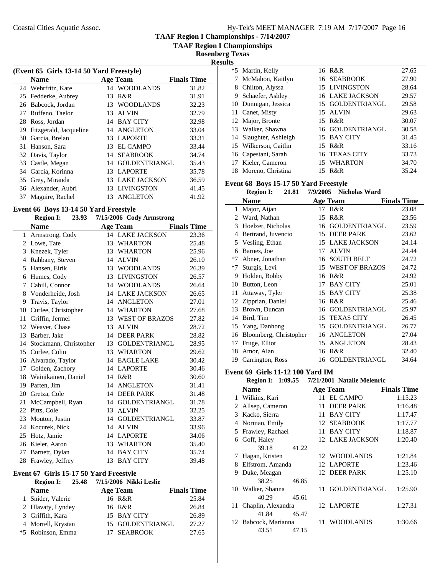**TAAF Region I Championships**

**Rosenberg Texas**

| Results |
|---------|
|---------|

| (Event 65 Girls 13-14 50 Yard Freestyle) |                        |     |                      |                    |  |  |
|------------------------------------------|------------------------|-----|----------------------|--------------------|--|--|
|                                          | <b>Name</b>            |     | <b>Age Team</b>      | <b>Finals Time</b> |  |  |
|                                          | 24 Wehrfritz, Kate     | 14  | <b>WOODLANDS</b>     | 31.82              |  |  |
| 25                                       | Fedderke, Aubrey       | 13  | R&R                  | 31.91              |  |  |
| 26                                       | Babcock, Jordan        | 13  | <b>WOODLANDS</b>     | 32.23              |  |  |
| 27                                       | Ruffeno, Taelor        | 13  | <b>ALVIN</b>         | 32.79              |  |  |
| 28                                       | Ross, Jordan           | 14  | <b>BAY CITY</b>      | 32.98              |  |  |
| 29                                       | Fitzgerald, Jacqueline |     | 14 ANGLETON          | 33.04              |  |  |
| 30                                       | Garcia, Brelan         | 13. | <b>LAPORTE</b>       | 33.31              |  |  |
| 31                                       | Hanson, Sara           | 13  | <b>EL CAMPO</b>      | 33.44              |  |  |
|                                          | 32 Davis, Taylor       | 14  | <b>SEABROOK</b>      | 34.74              |  |  |
|                                          | 33 Castle, Megan       | 14  | <b>GOLDENTRIANGL</b> | 35.43              |  |  |
|                                          | 34 Garcia, Korinna     |     | 13 LAPORTE           | 35.78              |  |  |
|                                          | 35 Grey, Miranda       | 13  | <b>LAKE JACKSON</b>  | 36.59              |  |  |
| 36                                       | Alexander, Aubri       | 13  | <b>LIVINGSTON</b>    | 41.45              |  |  |
| 37                                       | Maguire, Rachel        | 13  | ANGLETON             | 41.92              |  |  |

## **Event 66 Boys 13-14 50 Yard Freestyle**

|    | 7/15/2006 Cody Armstrong<br><b>Region I:</b><br>23.93 |    |                       |                    |  |  |  |
|----|-------------------------------------------------------|----|-----------------------|--------------------|--|--|--|
|    | <b>Name</b>                                           |    | <b>Age Team</b>       | <b>Finals Time</b> |  |  |  |
| 1  | Armstrong, Cody                                       |    | 14 LAKE JACKSON       | 23.36              |  |  |  |
| 2  | Lowe, Tate                                            | 13 | <b>WHARTON</b>        | 25.48              |  |  |  |
| 3  | Knezek, Tyler                                         | 13 | <b>WHARTON</b>        | 25.96              |  |  |  |
| 4  | Rahbany, Steven                                       | 14 | <b>ALVIN</b>          | 26.10              |  |  |  |
| 5  | Hansen, Eirik                                         | 13 | <b>WOODLANDS</b>      | 26.39              |  |  |  |
| 6  | Humes, Cody                                           | 13 | <b>LIVINGSTON</b>     | 26.57              |  |  |  |
| 7  | Cahill, Connor                                        | 14 | <b>WOODLANDS</b>      | 26.64              |  |  |  |
| 8  | Vonderheide, Josh                                     | 14 | <b>LAKE JACKSON</b>   | 26.65              |  |  |  |
| 9  | Travis, Taylor                                        | 14 | <b>ANGLETON</b>       | 27.01              |  |  |  |
| 10 | Curlee, Christopher                                   | 14 | <b>WHARTON</b>        | 27.68              |  |  |  |
| 11 | Griffin, Jermel                                       | 13 | <b>WEST OF BRAZOS</b> | 27.82              |  |  |  |
| 12 | Weaver, Chase                                         | 13 | <b>ALVIN</b>          | 28.72              |  |  |  |
| 13 | Barber, Jake                                          | 14 | <b>DEER PARK</b>      | 28.82              |  |  |  |
| 14 | Stockmann, Christopher                                | 13 | <b>GOLDENTRIANGL</b>  | 28.95              |  |  |  |
| 15 | Curlee, Colin                                         | 13 | <b>WHARTON</b>        | 29.62              |  |  |  |
| 16 | Alvarado, Taylor                                      | 14 | <b>EAGLE LAKE</b>     | 30.42              |  |  |  |
| 17 | Golden, Zachory                                       | 14 | <b>LAPORTE</b>        | 30.46              |  |  |  |
| 18 | Wainikainen, Daniel                                   | 14 | R&R                   | 30.60              |  |  |  |
| 19 | Parten, Jim                                           | 14 | <b>ANGLETON</b>       | 31.41              |  |  |  |
| 20 | Gretza, Cole                                          | 14 | <b>DEER PARK</b>      | 31.48              |  |  |  |
| 21 | McCampbell, Ryan                                      | 14 | <b>GOLDENTRIANGL</b>  | 31.78              |  |  |  |
| 22 | Pitts, Cole                                           | 13 | <b>ALVIN</b>          | 32.25              |  |  |  |
| 23 | Mouton, Justin                                        | 14 | <b>GOLDENTRIANGL</b>  | 33.87              |  |  |  |
| 24 | Kocurek, Nick                                         | 14 | <b>ALVIN</b>          | 33.96              |  |  |  |
| 25 | Hotz, Jamie                                           | 14 | <b>LAPORTE</b>        | 34.06              |  |  |  |
| 26 | Kieler, Aaron                                         | 13 | <b>WHARTON</b>        | 35.40              |  |  |  |
| 27 | Barnett, Dylan                                        | 14 | <b>BAY CITY</b>       | 35.74              |  |  |  |
| 28 | Frawley, Jeffrey                                      |    | 13 BAY CITY           | 39.48              |  |  |  |
|    |                                                       |    |                       |                    |  |  |  |

## **Event 67 Girls 15-17 50 Yard Freestyle**

| <b>Region I:</b><br>25.48 | 7/15/2006 Nikki Leslie |                    |
|---------------------------|------------------------|--------------------|
| <b>Name</b>               | <b>Age Team</b>        | <b>Finals Time</b> |
| 1 Snider, Valerie         | 16 R&R                 | 25.84              |
| 2 Hlavaty, Lyndey         | 16 R&R                 | 26.84              |
| 3 Griffith, Kara          | 15 BAY CITY            | 26.89              |
| 4 Morrell, Krystan        | 15 GOLDENTRIANGL       | 27.27              |
| *5 Robinson, Emma         | 17 SEABROOK            | 27.65              |

|    | *5 Martin, Kelly       | 16 R&R                 | 27.65 |
|----|------------------------|------------------------|-------|
|    | 7 McMahon, Kaitlyn     | 16 SEABROOK            | 27.90 |
| 8  | Chilton, Alyssa        | 15 LIVINGSTON          | 28.64 |
| 9. | Schaefer, Ashley       | <b>16 LAKE JACKSON</b> | 29.57 |
|    | 10 Dunnigan, Jessica   | 15 GOLDENTRIANGL       | 29.58 |
|    | 11 Canet, Misty        | 15 ALVIN               | 29.63 |
|    | 12 Major, Bronte       | 15 R&R                 | 30.07 |
|    | 13 Walker, Shawna      | 16 GOLDENTRIANGL       | 30.58 |
|    | 14 Slaughter, Ashleigh | 15 BAY CITY            | 31.45 |
|    | 15 Wilkerson, Caitlin  | 15 R&R                 | 33.16 |
|    | 16 Capestani, Sarah    | 16 TEXAS CITY          | 33.73 |
|    | 17 Kieler, Cameron     | 15 WHARTON             | 34.70 |
|    | 18 Moreno, Christina   | 15 R&R                 | 35.24 |

## **Event 68 Boys 15-17 50 Yard Freestyle**

|      | 21.81<br><b>Region I:</b> | 7/9/2005 | <b>Nicholas Ward</b>  |                    |
|------|---------------------------|----------|-----------------------|--------------------|
|      | <b>Name</b>               |          | <b>Age Team</b>       | <b>Finals Time</b> |
| 1    | Major, Aijan              | 17       | R&R                   | 23.08              |
| 2    | Ward, Nathan              | 15       | R&R                   | 23.56              |
| 3    | Hoelzer, Nicholas         | 16       | <b>GOLDENTRIANGL</b>  | 23.59              |
| 4    | Bertrand, Juvencio        | 15       | <b>DEER PARK</b>      | 23.62              |
| 5    | Vesling, Ethan            | 15       | <b>LAKE JACKSON</b>   | 24.14              |
| 6    | Barnes, Joe               | 17       | <b>ALVIN</b>          | 24.44              |
| $*7$ | Abner, Jonathan           | 16       | <b>SOUTH BELT</b>     | 24.72              |
| $*7$ | Sturgis, Levi             | 15       | <b>WEST OF BRAZOS</b> | 24.72              |
| 9    | Holden, Bobby             | 16       | R&R                   | 24.92              |
| 10   | Button, Leon              | 17       | <b>BAY CITY</b>       | 25.01              |
| 11   | Attaway, Tyler            | 15       | <b>BAY CITY</b>       | 25.38              |
|      | 12 Zipprian, Daniel       | 16       | R&R                   | 25.46              |
| 13   | Brown, Duncan             | 16       | <b>GOLDENTRIANGL</b>  | 25.97              |
| 14   | Bird, Tim                 | 15       | <b>TEXAS CITY</b>     | 26.45              |
| 15   | Yang, Danhong             | 15       | <b>GOLDENTRIANGL</b>  | 26.77              |
| 16   | Bloomberg, Christopher    | 16       | <b>ANGLETON</b>       | 27.04              |
| 17   | Fruge, Elliot             | 15       | <b>ANGLETON</b>       | 28.43              |
| 18   | Amor, Alan                | 16       | R&R                   | 32.40              |
| 19   | Carrington, Ross          | 16       | <b>GOLDENTRIANGL</b>  | 34.64              |

#### **Event 69 Girls 11-12 100 Yard IM Region I:** 1:00.55 7/21/2001 Notelie Melenric

|   | Region 1: 1:09.55<br>772172001 Natalie Melenric |       |    |                      |                    |  |  |
|---|-------------------------------------------------|-------|----|----------------------|--------------------|--|--|
|   | Name                                            |       |    | Age Team             | <b>Finals Time</b> |  |  |
|   | 1 Wilkins, Kari                                 |       | 11 | <b>EL CAMPO</b>      | 1:15.23            |  |  |
| 2 | Allsep, Cameron                                 |       | 11 | <b>DEER PARK</b>     | 1:16.48            |  |  |
| 3 | Kacko, Sierra                                   |       | 11 | <b>BAY CITY</b>      | 1:17.47            |  |  |
| 4 | Norman, Emily                                   |       |    | 12 SEABROOK          | 1:17.77            |  |  |
| 5 | Frawley, Rachael                                |       | 11 | <b>BAY CITY</b>      | 1:18.87            |  |  |
| 6 | Goff, Haley                                     |       |    | 12 LAKE JACKSON      | 1:20.40            |  |  |
|   | 39.18                                           | 41.22 |    |                      |                    |  |  |
| 7 | Hagan, Kristen                                  |       |    | 12 WOODLANDS         | 1:21.84            |  |  |
| 8 | Elfstrom, Amanda                                |       |    | 12 LAPORTE           | 1:23.46            |  |  |
| 9 | Duke, Meagan                                    |       |    | 12 DEER PARK         | 1:25.10            |  |  |
|   | 38.25                                           | 46.85 |    |                      |                    |  |  |
|   | 10 Walker, Shanna                               |       | 11 | <b>GOLDENTRIANGL</b> | 1:25.90            |  |  |
|   | 40.29                                           | 45.61 |    |                      |                    |  |  |
|   | 11 Chaplin, Alexandra                           |       |    | 12 LAPORTE           | 1:27.31            |  |  |
|   | 41.84                                           | 45.47 |    |                      |                    |  |  |
|   | 12 Babcock, Marianna                            |       | 11 | <b>WOODLANDS</b>     | 1:30.66            |  |  |
|   | 43.51                                           | 47.15 |    |                      |                    |  |  |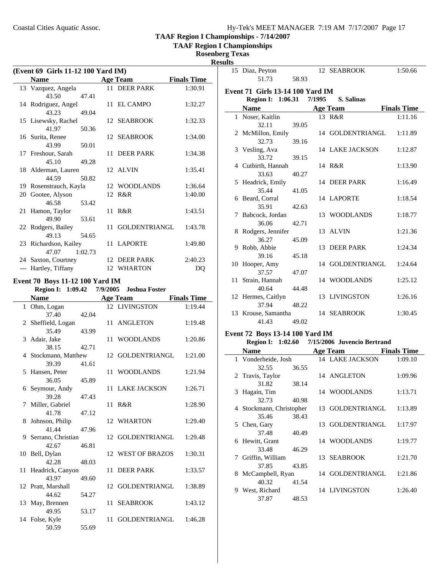**TAAF Region I Championships**

# **Rosenberg Texas**

**Results**

| (Event 69 Girls 11-12 100 Yard IM) |                        |                           |    |                  |                    |
|------------------------------------|------------------------|---------------------------|----|------------------|--------------------|
|                                    | <b>Name</b>            | <b>Example 2</b> Age Team |    |                  | <b>Finals Time</b> |
|                                    | 13 Vazquez, Angela     |                           |    | 11 DEER PARK     | 1:30.91            |
|                                    | 43.50                  | 47.41                     |    |                  |                    |
|                                    | 14 Rodriguez, Angel    |                           |    | 11 EL CAMPO      | 1:32.27            |
|                                    | 43.23                  | 49.04                     |    |                  |                    |
|                                    | 15 Lisewsky, Rachel    |                           |    | 12 SEABROOK      | 1:32.33            |
|                                    | 41.97                  | 50.36                     |    |                  |                    |
|                                    | 16 Surita, Renee       |                           |    | 12 SEABROOK      | 1:34.00            |
|                                    | 43.99 50.01            |                           |    |                  |                    |
|                                    | 17 Freshour, Sarah     |                           |    | 11 DEER PARK     | 1:34.38            |
|                                    | 45.10 49.28            |                           |    |                  |                    |
|                                    | 18 Alderman, Lauren    |                           |    | 12 ALVIN         | 1:35.41            |
|                                    | 44.59                  | 50.82                     |    |                  |                    |
|                                    | 19 Rosenstrauch, Kayla |                           |    | 12 WOODLANDS     | 1:36.64            |
|                                    | 20 Gootee, Alyson      |                           |    | 12 R&R           | 1:40.00            |
|                                    | 46.58 53.42            |                           |    |                  |                    |
|                                    | 21 Hamon, Taylor       |                           |    | 11 R&R           | 1:43.51            |
|                                    | 49.90                  | 53.61                     |    |                  |                    |
|                                    | 22 Rodgers, Bailey     |                           |    | 11 GOLDENTRIANGL | 1:43.78            |
|                                    | 49.13                  | 54.65                     |    |                  |                    |
|                                    | 23 Richardson, Kailey  |                           |    | 11 LAPORTE       | 1:49.80            |
|                                    | 47.07                  | 1:02.73                   |    |                  |                    |
|                                    | 24 Saxton, Courtney    |                           |    | 12 DEER PARK     | 2:40.23            |
|                                    | Hartley, Tiffany       |                           | 12 | <b>WHARTON</b>   | DQ                 |
|                                    |                        |                           |    |                  |                    |

## **Event 70 Boys 11-12 100 Yard IM**

|                    |                                                                                                                                                                                                                                                     |                                                                                          | <b>Joshua Foster</b>                                                                                                                               |                                                                                                                                                                                                                                                                                     |
|--------------------|-----------------------------------------------------------------------------------------------------------------------------------------------------------------------------------------------------------------------------------------------------|------------------------------------------------------------------------------------------|----------------------------------------------------------------------------------------------------------------------------------------------------|-------------------------------------------------------------------------------------------------------------------------------------------------------------------------------------------------------------------------------------------------------------------------------------|
| <b>Name</b>        |                                                                                                                                                                                                                                                     |                                                                                          |                                                                                                                                                    | <b>Finals Time</b>                                                                                                                                                                                                                                                                  |
| 1 Ohm, Logan       |                                                                                                                                                                                                                                                     |                                                                                          |                                                                                                                                                    | 1:19.44                                                                                                                                                                                                                                                                             |
| 37.40              |                                                                                                                                                                                                                                                     |                                                                                          |                                                                                                                                                    |                                                                                                                                                                                                                                                                                     |
| 2 Sheffield, Logan |                                                                                                                                                                                                                                                     |                                                                                          |                                                                                                                                                    | 1:19.48                                                                                                                                                                                                                                                                             |
| 35.49              |                                                                                                                                                                                                                                                     |                                                                                          |                                                                                                                                                    |                                                                                                                                                                                                                                                                                     |
| 3 Adair, Jake      |                                                                                                                                                                                                                                                     |                                                                                          |                                                                                                                                                    | 1:20.86                                                                                                                                                                                                                                                                             |
| 38.15              |                                                                                                                                                                                                                                                     |                                                                                          |                                                                                                                                                    |                                                                                                                                                                                                                                                                                     |
|                    |                                                                                                                                                                                                                                                     |                                                                                          |                                                                                                                                                    | 1:21.00                                                                                                                                                                                                                                                                             |
|                    |                                                                                                                                                                                                                                                     |                                                                                          |                                                                                                                                                    |                                                                                                                                                                                                                                                                                     |
|                    |                                                                                                                                                                                                                                                     |                                                                                          |                                                                                                                                                    | 1:21.94                                                                                                                                                                                                                                                                             |
|                    |                                                                                                                                                                                                                                                     |                                                                                          |                                                                                                                                                    |                                                                                                                                                                                                                                                                                     |
|                    |                                                                                                                                                                                                                                                     |                                                                                          |                                                                                                                                                    | 1:26.71                                                                                                                                                                                                                                                                             |
|                    |                                                                                                                                                                                                                                                     |                                                                                          |                                                                                                                                                    |                                                                                                                                                                                                                                                                                     |
|                    |                                                                                                                                                                                                                                                     |                                                                                          |                                                                                                                                                    | 1:28.90                                                                                                                                                                                                                                                                             |
|                    |                                                                                                                                                                                                                                                     |                                                                                          |                                                                                                                                                    |                                                                                                                                                                                                                                                                                     |
|                    |                                                                                                                                                                                                                                                     |                                                                                          |                                                                                                                                                    | 1:29.40                                                                                                                                                                                                                                                                             |
|                    |                                                                                                                                                                                                                                                     |                                                                                          |                                                                                                                                                    |                                                                                                                                                                                                                                                                                     |
|                    |                                                                                                                                                                                                                                                     |                                                                                          |                                                                                                                                                    | 1:29.48                                                                                                                                                                                                                                                                             |
|                    |                                                                                                                                                                                                                                                     |                                                                                          |                                                                                                                                                    |                                                                                                                                                                                                                                                                                     |
|                    |                                                                                                                                                                                                                                                     |                                                                                          |                                                                                                                                                    | 1:30.31                                                                                                                                                                                                                                                                             |
|                    |                                                                                                                                                                                                                                                     |                                                                                          |                                                                                                                                                    | 1:33.57                                                                                                                                                                                                                                                                             |
|                    |                                                                                                                                                                                                                                                     |                                                                                          |                                                                                                                                                    |                                                                                                                                                                                                                                                                                     |
|                    |                                                                                                                                                                                                                                                     |                                                                                          |                                                                                                                                                    | 1:38.89                                                                                                                                                                                                                                                                             |
|                    |                                                                                                                                                                                                                                                     |                                                                                          |                                                                                                                                                    |                                                                                                                                                                                                                                                                                     |
|                    |                                                                                                                                                                                                                                                     |                                                                                          |                                                                                                                                                    | 1:43.12                                                                                                                                                                                                                                                                             |
|                    |                                                                                                                                                                                                                                                     |                                                                                          |                                                                                                                                                    |                                                                                                                                                                                                                                                                                     |
|                    |                                                                                                                                                                                                                                                     |                                                                                          |                                                                                                                                                    | 1:46.28                                                                                                                                                                                                                                                                             |
| 50.59              |                                                                                                                                                                                                                                                     |                                                                                          |                                                                                                                                                    |                                                                                                                                                                                                                                                                                     |
|                    | 39.39<br>5 Hansen, Peter<br>36.05<br>6 Seymour, Andy<br>39.28<br>7 Miller, Gabriel<br>41.78<br>8 Johnson, Philip<br>41.44<br>42.67<br>10 Bell, Dylan<br>42.28<br>43.97<br>12 Pratt, Marshall<br>44.62<br>13 May, Brennen<br>49.95<br>14 Folse, Kyle | Region I: 1:09.42<br>4 Stockmann, Matthew<br>9 Serrano, Christian<br>11 Headrick, Canyon | 42.04<br>43.99<br>42.71<br>41.61<br>45.89<br>47.43<br>11<br>47.12<br>47.96<br>46.81<br>48.03<br>11<br>49.60<br>54.27<br>11<br>53.17<br>11<br>55.69 | 7/9/2005<br><b>Age Team</b><br>12 LIVINGSTON<br>11 ANGLETON<br>11 WOODLANDS<br>12 GOLDENTRIANGL<br>11 WOODLANDS<br>11 LAKE JACKSON<br>R&R<br>12 WHARTON<br>12 GOLDENTRIANGL<br>12 WEST OF BRAZOS<br><b>DEER PARK</b><br>12 GOLDENTRIANGL<br><b>SEABROOK</b><br><b>GOLDENTRIANGL</b> |

| ults |                                         |       |        |                  |                    |
|------|-----------------------------------------|-------|--------|------------------|--------------------|
|      | 15 Diaz, Peyton                         |       |        | 12 SEABROOK      | 1:50.66            |
|      | 51.73                                   | 58.93 |        |                  |                    |
|      | <b>Event 71 Girls 13-14 100 Yard IM</b> |       |        |                  |                    |
|      | <b>Region I: 1:06.31</b>                |       | 7/1995 | S. Salinas       |                    |
|      | <b>Name</b>                             |       |        | <b>Age Team</b>  | <b>Finals Time</b> |
|      | 1 Noser, Kaitlin                        |       |        | 13 R&R           | 1:11.16            |
|      | 32.11                                   | 39.05 |        |                  |                    |
|      | 2 McMillon, Emily                       |       |        | 14 GOLDENTRIANGL | 1:11.89            |
|      | 32.73                                   | 39.16 |        |                  |                    |
|      | 3 Vesling, Ava                          |       |        | 14 LAKE JACKSON  | 1:12.87            |
|      | 33.72                                   | 39.15 |        |                  |                    |
|      | 4 Cutbirth, Hannah                      |       |        | 14 R&R           | 1:13.90            |
|      | 33.63                                   | 40.27 |        |                  |                    |
|      | 5 Headrick, Emily                       |       |        | 14 DEER PARK     | 1:16.49            |
|      | 35.44                                   | 41.05 |        |                  |                    |
|      | 6 Beard, Corral                         |       |        | 14 LAPORTE       | 1:18.54            |
|      | 35.91                                   | 42.63 |        |                  |                    |
|      | 7 Babcock, Jordan                       |       |        | 13 WOODLANDS     | 1:18.77            |
|      | 36.06                                   | 42.71 |        |                  |                    |
|      | 8 Rodgers, Jennifer                     |       |        | 13 ALVIN         | 1:21.36            |
|      | 36.27                                   | 45.09 |        |                  |                    |
|      | 9 Robb, Abbie                           |       |        | 13 DEER PARK     | 1:24.34            |
|      | 39.16                                   | 45.18 |        |                  |                    |
|      | 10 Hooper, Amy                          |       |        | 14 GOLDENTRIANGL | 1:24.64            |
|      | 37.57                                   | 47.07 |        |                  |                    |
| 11   | Strain, Hannah                          |       |        | 14 WOODLANDS     | 1:25.12            |
|      | 40.64                                   | 44.48 |        |                  |                    |
|      | 12 Hermes, Caitlyn                      |       |        | 13 LIVINGSTON    | 1:26.16            |
|      | 37.94                                   | 48.22 |        |                  |                    |
|      | 13 Krouse, Samantha                     |       |        | 14 SEABROOK      | 1:30.45            |
|      | 41.43                                   | 49.02 |        |                  |                    |

### **Event 72 Boys 13-14 100 Yard IM**

÷

### **Region I: 1:02.60 7/15/2006** Juvencio Bertrand

|    | <b>Name</b>            |       |    | <b>Age Team</b>  | <b>Finals Time</b> |
|----|------------------------|-------|----|------------------|--------------------|
|    | 1 Vonderheide, Josh    |       |    | 14 LAKE JACKSON  | 1:09.10            |
|    | 32.55                  | 36.55 |    |                  |                    |
|    | 2 Travis, Taylor       |       |    | 14 ANGLETON      | 1:09.96            |
|    | 31.82                  | 38.14 |    |                  |                    |
| 3  | Hagain, Tim            |       |    | 14 WOODLANDS     | 1:13.71            |
|    | 32.73                  | 40.98 |    |                  |                    |
|    | Stockmann, Christopher |       | 13 | GOLDENTRIANGL    | 1:13.89            |
|    | 35.46                  | 38.43 |    |                  |                    |
| 5. | Chen, Gary             |       |    | 13 GOLDENTRIANGL | 1:17.97            |
|    | 37.48                  | 40.49 |    |                  |                    |
| 6  | Hewitt, Grant          |       |    | 14 WOODLANDS     | 1:19.77            |
|    | 33.48                  | 46.29 |    |                  |                    |
| 7  | Griffin, William       |       | 13 | SEABROOK         | 1:21.70            |
|    | 37.85                  | 43.85 |    |                  |                    |
| 8  | McCampbell, Ryan       |       |    | 14 GOLDENTRIANGL | 1:21.86            |
|    | 40.32                  | 41.54 |    |                  |                    |
| 9  | West, Richard          |       |    | 14 LIVINGSTON    | 1:26.40            |
|    | 37.87                  | 48.53 |    |                  |                    |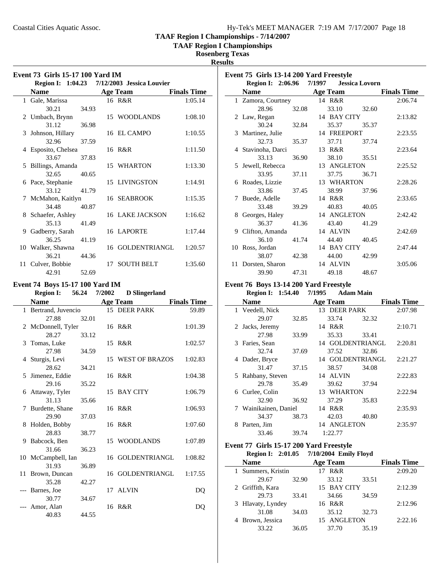**TAAF Region I Championships**

# **Rosenberg Texas**

**Results**

| Event 73 Girls 15-17 100 Yard IM |                                                       |       |                 |                   |                    |  |  |  |
|----------------------------------|-------------------------------------------------------|-------|-----------------|-------------------|--------------------|--|--|--|
|                                  | 7/12/2003 Jessica Louvier<br><b>Region I:</b> 1:04.23 |       |                 |                   |                    |  |  |  |
|                                  | <b>Name</b>                                           |       |                 | <b>Age Team</b>   | <b>Finals Time</b> |  |  |  |
|                                  | 1 Gale, Marissa                                       |       |                 | 16 R&R            | 1:05.14            |  |  |  |
|                                  | 30.21                                                 | 34.93 |                 |                   |                    |  |  |  |
|                                  | 2 Umbach, Brynn                                       |       |                 | 15 WOODLANDS      | 1:08.10            |  |  |  |
|                                  | 31.12                                                 | 36.98 |                 |                   |                    |  |  |  |
|                                  | 3 Johnson, Hillary                                    |       |                 | 16 EL CAMPO       | 1:10.55            |  |  |  |
|                                  | 32.96                                                 | 37.59 |                 |                   |                    |  |  |  |
|                                  | 4 Esposito, Chelsea                                   |       |                 | 16 R&R            | 1:11.50            |  |  |  |
|                                  | 33.67                                                 | 37.83 |                 |                   |                    |  |  |  |
|                                  | 5 Billings, Amanda                                    |       |                 | 15 WHARTON        | 1:13.30            |  |  |  |
|                                  | 32.65                                                 | 40.65 |                 |                   |                    |  |  |  |
|                                  | 6 Pace, Stephanie                                     |       |                 | 15 LIVINGSTON     | 1:14.91            |  |  |  |
|                                  | 33.12                                                 | 41.79 |                 |                   |                    |  |  |  |
|                                  | 7 McMahon, Kaitlyn                                    |       |                 | 16 SEABROOK       | 1:15.35            |  |  |  |
|                                  | 34.48                                                 | 40.87 |                 |                   |                    |  |  |  |
|                                  | 8 Schaefer, Ashley                                    |       |                 | 16 LAKE JACKSON   | 1:16.62            |  |  |  |
|                                  | 35.13                                                 | 41.49 |                 |                   |                    |  |  |  |
|                                  | 9 Gadberry, Sarah                                     |       |                 | 16 LAPORTE        | 1:17.44            |  |  |  |
|                                  | 36.25                                                 | 41.19 |                 |                   |                    |  |  |  |
|                                  | 10 Walker, Shawna                                     |       |                 | 16 GOLDENTRIANGL  | 1:20.57            |  |  |  |
|                                  | 36.21                                                 | 44.36 |                 |                   |                    |  |  |  |
| 11                               | Culver, Bobbie                                        |       | 17 <sup>7</sup> | <b>SOUTH BELT</b> | 1:35.60            |  |  |  |
|                                  | 42.91                                                 | 52.69 |                 |                   |                    |  |  |  |

### **Event 74 Boys 15-17 100 Yard IM**

|     | <b>Region I:</b>         | 56.24 | 7/2002 | <b>D</b> Slingerland |                    |
|-----|--------------------------|-------|--------|----------------------|--------------------|
|     | <b>Name</b>              |       |        | <b>Age Team</b>      | <b>Finals Time</b> |
|     | 1 Bertrand, Juvencio     |       |        | 15 DEER PARK         | 59.89              |
|     | 27.88                    | 32.01 |        |                      |                    |
|     | 2 McDonnell, Tyler       |       |        | 16 R&R               | 1:01.39            |
|     | 28.27                    | 33.12 |        |                      |                    |
|     | 3 Tomas, Luke            |       |        | 15 R&R               | 1:02.57            |
|     | 27.98                    | 34.59 |        |                      |                    |
|     | 4 Sturgis, Levi          |       |        | 15 WEST OF BRAZOS    | 1:02.83            |
|     | 28.62                    | 34.21 |        |                      |                    |
|     | 5 Jimenez, Eddie         |       |        | 16 R&R               | 1:04.38            |
|     | 29.16                    | 35.22 |        |                      |                    |
|     | 6 Attaway, Tyler         |       |        | 15 BAY CITY          | 1:06.79            |
|     | 31.13                    | 35.66 |        |                      |                    |
| 7   | Burdette, Shane          |       |        | 16 R&R               | 1:06.93            |
|     | 29.90                    | 37.03 |        | 16 R&R               |                    |
|     | 8 Holden, Bobby<br>28.83 | 38.77 |        |                      | 1:07.60            |
|     | 9 Babcock, Ben           |       |        | 15 WOODLANDS         | 1:07.89            |
|     | 31.66                    | 36.23 |        |                      |                    |
|     | 10 McCampbell, Ian       |       |        | 16 GOLDENTRIANGL     | 1:08.82            |
|     | 31.93                    | 36.89 |        |                      |                    |
| 11- | Brown, Duncan            |       |        | 16 GOLDENTRIANGL     | 1:17.55            |
|     | 35.28                    | 42.27 |        |                      |                    |
|     | --- Barnes, Joe          |       |        | 17 ALVIN             | DO                 |
|     | 30.77                    | 34.67 |        |                      |                    |
|     | Amor, Alan               |       |        | 16 R&R               | DO                 |
|     | 40.83                    | 44.55 |        |                      |                    |

|    | Event 75 Girls 13-14 200 Yard Freestyle |       |                 |                       |                    |
|----|-----------------------------------------|-------|-----------------|-----------------------|--------------------|
|    | <b>Region I: 2:06.96</b>                |       | 7/1997          | <b>Jessica Lovorn</b> |                    |
|    | <b>Name</b>                             |       | <b>Age Team</b> |                       | <b>Finals Time</b> |
|    | 1 Zamora, Courtney                      |       | 14 R&R          |                       | 2:06.74            |
|    | 28.96                                   | 32.08 | 33.10           | 32.60                 |                    |
|    | 2 Law, Regan                            |       | 14 BAY CITY     |                       | 2:13.82            |
|    | 30.24                                   | 32.84 | 35.37           | 35.37                 |                    |
|    | 3 Martinez, Julie                       |       | 14 FREEPORT     |                       | 2:23.55            |
|    | 32.73                                   | 35.37 | 37.71           | 37.74                 |                    |
|    | 4 Stavinoha, Darci                      |       | 13 R&R          |                       | 2:23.64            |
|    | 33.13                                   | 36.90 | 38.10           | 35.51                 |                    |
|    | 5 Jewell, Rebecca                       |       | 13 ANGLETON     |                       | 2:25.52            |
|    | 33.95                                   | 37.11 | 37.75           | 36.71                 |                    |
|    | 6 Roades, Lizzie                        |       | 13 WHARTON      |                       | 2:28.26            |
|    | 33.86                                   | 37.45 | 38.99           | 37.96                 |                    |
|    | 7 Buede, Adelle                         |       | 14 R&R          |                       | 2:33.65            |
|    | 33.48                                   | 39.29 | 40.83           | 40.05                 |                    |
|    | 8 Georges, Haley                        |       | 14 ANGLETON     |                       | 2:42.42            |
|    | 36.37                                   | 41.36 | 43.40           | 41.29                 |                    |
|    | 9 Clifton, Amanda                       |       | 14 ALVIN        |                       | 2:42.69            |
|    | 36.10                                   | 41.74 | 44.40           | 40.45                 |                    |
|    | 10 Ross, Jordan                         |       | 14 BAY CITY     |                       | 2:47.44            |
|    | 38.07                                   | 42.38 | 44.00           | 42.99                 |                    |
| 11 | Dorsten, Sharon                         |       | 14 ALVIN        |                       | 3:05.06            |
|    | 39.90                                   | 47.31 | 49.18           | 48.67                 |                    |

# **Event 76 Boys 13-14 200 Yard Freestyle<br>Region I: 1:54.40 7/1995 Adam Main**

**Region I: 1:54.40 7/1995** 

| <b>Name</b>           |       | <b>Age Team</b>  |                      | <b>Finals Time</b> |
|-----------------------|-------|------------------|----------------------|--------------------|
| 1 Veedell, Nick       |       | 13 DEER PARK     |                      | 2:07.98            |
| 29.07                 | 32.85 | 33.74            | 32.32                |                    |
| 2 Jacks, Jeremy       |       | 14 R&R           |                      | 2:10.71            |
| 27.98                 | 33.99 | 35.33            | 33.41                |                    |
| 3 Faries, Sean        |       | 14               | <b>GOLDENTRIANGL</b> | 2:20.81            |
| 32.74                 | 37.69 | 37.52            | 32.86                |                    |
| Dader, Bryce<br>4     |       | 14 GOLDENTRIANGL |                      | 2:21.27            |
| 31.47                 | 37.15 | 38.57            | 34.08                |                    |
| Rahbany, Steven<br>5. |       | 14 ALVIN         |                      | 2:22.83            |
| 29.78                 | 35.49 | 39.62            | 37.94                |                    |
| 6 Curlee, Colin       |       | 13 WHARTON       |                      | 2:22.94            |
| 32.90                 | 36.92 | 37.29            | 35.83                |                    |
| 7 Wainikainen, Daniel |       | 14 R&R           |                      | 2:35.93            |
| 34.37                 | 38.73 | 42.03            | 40.80                |                    |
| Parten, Jim<br>8      |       | 14 ANGLETON      |                      | 2:35.97            |
| 33.46                 | 39.74 | 1:22.77          |                      |                    |

### **Event 77 Girls 15-17 200 Yard Freestyle Region I: 2:01.05 Emily Floyd 7/10/2004**

| <b>Name</b>        |       | Age Team    |       | <b>Finals Time</b> |
|--------------------|-------|-------------|-------|--------------------|
| 1 Summers, Kristin |       | R&R         |       | 2:09.20            |
| 29.67              | 32.90 | 33.12       | 33.51 |                    |
| 2 Griffith, Kara   |       | 15 BAY CITY |       | 2:12.39            |
| 29.73              | 33.41 | 34.66       | 34.59 |                    |
| 3 Hlavaty, Lyndey  |       | 16 R&R      |       | 2:12.96            |
| 31.08              | 34.03 | 35.12       | 32.73 |                    |
| 4 Brown, Jessica   |       | 15 ANGLETON |       | 2:22.16            |
| 33.22              | 36.05 | 37.70       | 35.19 |                    |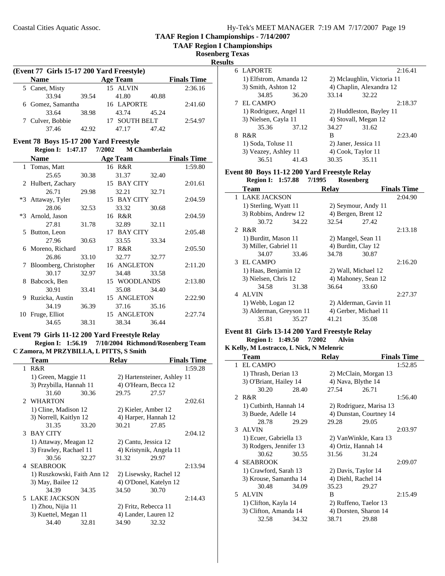**TAAF Region I Championships**

**Rosenberg Texas**

**Results**

| (Event 77 Girls 15-17 200 Yard Freestyle) |                   |       |                 |       |                    |  |
|-------------------------------------------|-------------------|-------|-----------------|-------|--------------------|--|
|                                           | <b>Name</b>       |       | <b>Age Team</b> |       | <b>Finals Time</b> |  |
|                                           | 5 Canet, Misty    |       | 15 ALVIN        |       | 2:36.16            |  |
|                                           | 33.94             | 39.54 | 41.80           | 40.88 |                    |  |
|                                           | 6 Gomez, Samantha |       | 16 LAPORTE      |       | 2:41.60            |  |
|                                           | 33.64             | 38.98 | 43.74           | 45.24 |                    |  |
|                                           | 7 Culver, Bobbie  |       | 17 SOUTH BELT   |       | 2:54.97            |  |
|                                           | 37.46             | 42.92 | 47 17           | 47.42 |                    |  |

### **Event 78 Boys 15-17 200 Yard Freestyle**

**Region I:** 1:47.17 7/2002 **M** Chamberlain

|      | <b>Name</b>            |       | <b>Age Team</b> |       | <b>Finals Time</b> |
|------|------------------------|-------|-----------------|-------|--------------------|
|      | 1 Tomas, Matt          |       | 16 R&R          |       | 1:59.80            |
|      | 25.65                  | 30.38 | 31.37           | 32.40 |                    |
|      | 2 Hulbert, Zachary     |       | 15 BAY CITY     |       | 2:01.61            |
|      | 26.71                  | 29.98 | 32.21           | 32.71 |                    |
| $*3$ | Attaway, Tyler         |       | 15 BAY CITY     |       | 2:04.59            |
|      | 28.06                  | 32.53 | 33.32           | 30.68 |                    |
|      | *3 Arnold, Jason       |       | 16 R&R          |       | 2:04.59            |
|      | 27.81                  | 31.78 | 32.89           | 32.11 |                    |
| 5.   | Button, Leon           |       | 17 BAY CITY     |       | 2:05.48            |
|      | 27.96                  | 30.63 | 33.55           | 33.34 |                    |
|      | 6 Moreno, Richard      |       | 17 R&R          |       | 2:05.50            |
|      | 26.86                  | 33.10 | 32.77           | 32.77 |                    |
| 7    | Bloomberg, Christopher |       | 16 ANGLETON     |       | 2:11.20            |
|      | 30.17                  | 32.97 | 34.48           | 33.58 |                    |
| 8    | Babcock, Ben           |       | 15 WOODLANDS    |       | 2:13.80            |
|      | 30.91                  | 33.41 | 35.08           | 34.40 |                    |
| 9    | Ruzicka, Austin        |       | 15 ANGLETON     |       | 2:22.90            |
|      | 34.19                  | 36.39 | 37.16           | 35.16 |                    |
| 10   | Fruge, Elliot          |       | 15 ANGLETON     |       | 2:27.74            |
|      | 34.65                  | 38.31 | 38.34           | 36.44 |                    |

## **Event 79 Girls 11-12 200 Yard Freestyle Relay**

**Region I: 1:56.19 7/10/2004 Richmond/Rosenberg Team C Zamora, M PRZYBILLA, L PITTS, S Smith**

| Team                        |       | <b>Relav</b>         |                             | <b>Finals Time</b> |
|-----------------------------|-------|----------------------|-----------------------------|--------------------|
| 1 R&R                       |       |                      |                             | 1:59.28            |
| 1) Green, Maggie 11         |       |                      | 2) Hartensteiner, Ashley 11 |                    |
| 3) Przybilla, Hannah 11     |       | 4) O'Hearn, Becca 12 |                             |                    |
| 31.60                       | 30.36 | 29.75                | 27.57                       |                    |
| 2 WHARTON                   |       |                      |                             | 2:02.61            |
| 1) Cline, Madison 12        |       | 2) Kieler, Amber 12  |                             |                    |
| 3) Norrell, Kaitlyn 12      |       | 4) Harper, Hannah 12 |                             |                    |
| 31.35                       | 33.20 | 30.21                | 27.85                       |                    |
| 3 BAY CITY                  |       |                      |                             | 2:04.12            |
| 1) Attaway, Meagan 12       |       | 2) Cantu, Jessica 12 |                             |                    |
| 3) Frawley, Rachael 11      |       |                      | 4) Kristynik, Angela 11     |                    |
| 30.56                       | 32.27 | 31.32                | 29.97                       |                    |
| 4 SEABROOK                  |       |                      |                             | 2:13.94            |
| 1) Ruszkowski, Faith Ann 12 |       |                      | 2) Lisewsky, Rachel 12      |                    |
| 3) May, Bailee 12           |       |                      | 4) O'Donel, Katelyn 12      |                    |
| 34.39                       | 34.35 | 34.50                | 30.70                       |                    |
| 5 LAKE JACKSON              |       |                      |                             | 2:14.43            |
| 1) Zhou, Nijia 11           |       | 2) Fritz, Rebecca 11 |                             |                    |
| 3) Kuettel, Megan 11        |       | 4) Lander, Lauren 12 |                             |                    |
| 34.40                       | 32.81 | 34.90                | 32.32                       |                    |

|   | 6 LAPORTE              |       |                          |                            | 2:16.41 |  |
|---|------------------------|-------|--------------------------|----------------------------|---------|--|
|   | 1) Elfstrom, Amanda 12 |       |                          | 2) Mclaughlin, Victoria 11 |         |  |
|   | 3) Smith, Ashton 12    |       |                          | 4) Chaplin, Alexandra 12   |         |  |
|   | 34.85                  | 36.20 | 33.14                    | 32.22                      |         |  |
|   | EL CAMPO               |       |                          |                            | 2:18.37 |  |
|   | 1) Rodriguez, Angel 11 |       | 2) Huddleston, Bayley 11 |                            |         |  |
|   | 3) Nielsen, Cayla 11   |       | 4) Stovall, Megan 12     |                            |         |  |
|   | 35.36                  | 37.12 | 34.27                    | 31.62                      |         |  |
| 8 | $R\&R$                 |       | В                        |                            | 2:23.40 |  |
|   | 1) Soda, Toluse 11     |       | 2) Janer, Jessica 11     |                            |         |  |
|   | 3) Veazey, Ashley 11   |       | 4) Cook, Taylor 11       |                            |         |  |
|   | 36.51                  | 41.43 | 30.35                    | 35.11                      |         |  |

# **Event 80 Boys 11-12 200 Yard Freestyle Relay**

|   | <b>Region I: 1:57.88</b> |       | 7/1995 |              | <b>Rosenberg</b>      |                    |
|---|--------------------------|-------|--------|--------------|-----------------------|--------------------|
|   | <b>Team</b>              |       |        | <b>Relay</b> |                       | <b>Finals Time</b> |
| 1 | LAKE JACKSON             |       |        |              |                       | 2:04.90            |
|   | 1) Sterling, Wyatt 11    |       |        |              | 2) Seymour, Andy 11   |                    |
|   | 3) Robbins, Andrew 12    |       |        |              | 4) Bergen, Brent 12   |                    |
|   | 30.72                    | 34.22 |        | 32.54        | 27.42                 |                    |
|   | 2 R&R                    |       |        |              |                       | 2:13.18            |
|   | 1) Burditt, Mason 11     |       |        |              | 2) Mangel, Sean 11    |                    |
|   | 3) Miller, Gabriel 11    |       |        |              | 4) Burditt, Clay 12   |                    |
|   | 34.07                    | 33.46 |        | 34.78        | 30.87                 |                    |
|   | 3 EL CAMPO               |       |        |              |                       | 2:16.20            |
|   | 1) Haas, Benjamin 12     |       |        |              | 2) Wall, Michael 12   |                    |
|   | 3) Nielsen, Chris 12     |       |        |              | 4) Mahoney, Sean 12   |                    |
|   | 34.58                    | 31.38 |        | 36.64        | 33.60                 |                    |
| 4 | ALVIN                    |       |        |              |                       | 2:27.37            |
|   | 1) Webb, Logan 12        |       |        |              | 2) Alderman, Gavin 11 |                    |
|   | 3) Alderman, Greyson 11  |       |        |              | 4) Gerber, Michael 11 |                    |
|   | 35.81                    | 35.27 |        | 41.21        | 35.08                 |                    |
|   |                          |       |        |              |                       |                    |

### **Event 81 Girls 13-14 200 Yard Freestyle Relay**

### **Region I: 1:49.50 Alvin 7/2002 K Kelly, M Lostracco, L Nick, N Melenric**

|    | <b>IXCHY,</b> IN LOSH acco, L IMCK, IN MICICILITY |       |                     |                         |                    |
|----|---------------------------------------------------|-------|---------------------|-------------------------|--------------------|
|    | <b>Team</b>                                       |       | Relav               |                         | <b>Finals Time</b> |
|    | 1 EL CAMPO                                        |       |                     |                         | 1:52.85            |
|    | 1) Thrash, Derian 13                              |       |                     | 2) McClain, Morgan 13   |                    |
|    | 3) O'Briant, Hailey 14                            |       | 4) Nava, Blythe 14  |                         |                    |
|    | 30.20                                             | 28.40 | 27.54               | 26.71                   |                    |
|    | 2 R&R                                             |       |                     |                         | 1:56.40            |
|    | 1) Cutbirth, Hannah 14                            |       |                     | 2) Rodriguez, Marisa 13 |                    |
|    | 3) Buede, Adelle 14                               |       |                     | 4) Dunstan, Courtney 14 |                    |
|    | 28.78                                             | 29.29 | 29.28               | 29.05                   |                    |
|    | 3 ALVIN                                           |       |                     |                         | 2:03.97            |
|    | 1) Ecuer, Gabriella 13                            |       |                     | 2) VanWinkle, Kara 13   |                    |
|    | 3) Rodgers, Jennifer 13                           |       | 4) Ortiz, Hannah 14 |                         |                    |
|    | 30.62                                             | 30.55 | 31.56               | 31.24                   |                    |
| 4  | <b>SEABROOK</b>                                   |       |                     |                         | 2:09.07            |
|    | 1) Crawford, Sarah 13                             |       | 2) Davis, Taylor 14 |                         |                    |
|    | 3) Krouse, Samantha 14                            |       | 4) Diehl, Rachel 14 |                         |                    |
|    | 30.48                                             | 34.09 | 35.23               | 29.27                   |                    |
| 5. | <b>ALVIN</b>                                      |       | B                   |                         | 2:15.49            |
|    | 1) Clifton, Kayla 14                              |       |                     | 2) Ruffeno, Taelor 13   |                    |
|    | 3) Clifton, Amanda 14                             |       |                     | 4) Dorsten, Sharon 14   |                    |
|    | 32.58                                             | 34.32 | 38.71               | 29.88                   |                    |